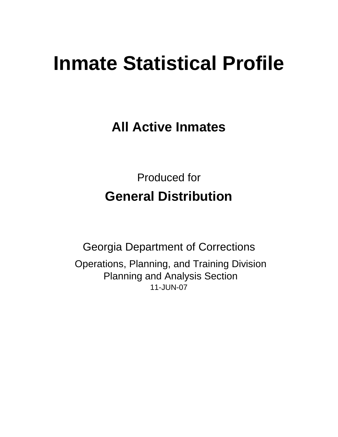# **Inmate Statistical Profile**

**All Active Inmates**

Produced for **General Distribution**

11-JUN-07 Georgia Department of Corrections Operations, Planning, and Training Division Planning and Analysis Section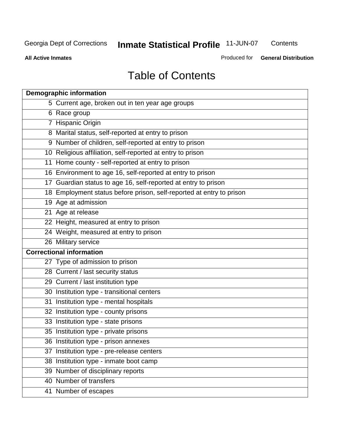**Contents** 

**All Active Inmates**

Produced for **General Distribution**

# Table of Contents

|    | <b>Demographic information</b>                                       |
|----|----------------------------------------------------------------------|
|    | 5 Current age, broken out in ten year age groups                     |
|    | 6 Race group                                                         |
|    | 7 Hispanic Origin                                                    |
|    | 8 Marital status, self-reported at entry to prison                   |
|    | 9 Number of children, self-reported at entry to prison               |
|    | 10 Religious affiliation, self-reported at entry to prison           |
|    | 11 Home county - self-reported at entry to prison                    |
|    | 16 Environment to age 16, self-reported at entry to prison           |
|    | 17 Guardian status to age 16, self-reported at entry to prison       |
|    | 18 Employment status before prison, self-reported at entry to prison |
|    | 19 Age at admission                                                  |
|    | 21 Age at release                                                    |
|    | 22 Height, measured at entry to prison                               |
|    | 24 Weight, measured at entry to prison                               |
|    | 26 Military service                                                  |
|    | <b>Correctional information</b>                                      |
|    | 27 Type of admission to prison                                       |
|    | 28 Current / last security status                                    |
|    | 29 Current / last institution type                                   |
|    | 30 Institution type - transitional centers                           |
|    | 31 Institution type - mental hospitals                               |
|    | 32 Institution type - county prisons                                 |
|    | 33 Institution type - state prisons                                  |
|    | 35 Institution type - private prisons                                |
|    | 36 Institution type - prison annexes                                 |
| 37 | Institution type - pre-release centers                               |
|    | 38 Institution type - inmate boot camp                               |
|    | 39 Number of disciplinary reports                                    |
|    | 40 Number of transfers                                               |
|    | 41 Number of escapes                                                 |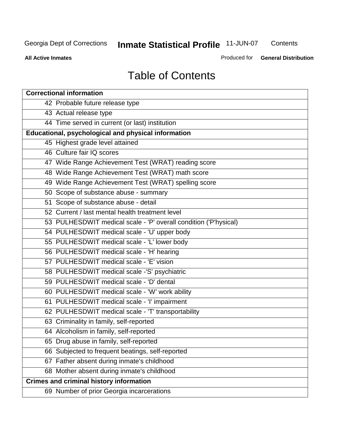**Contents** 

**All Active Inmates**

Produced for **General Distribution**

# Table of Contents

| <b>Correctional information</b>                                  |
|------------------------------------------------------------------|
| 42 Probable future release type                                  |
| 43 Actual release type                                           |
| 44 Time served in current (or last) institution                  |
| Educational, psychological and physical information              |
| 45 Highest grade level attained                                  |
| 46 Culture fair IQ scores                                        |
| 47 Wide Range Achievement Test (WRAT) reading score              |
| 48 Wide Range Achievement Test (WRAT) math score                 |
| 49 Wide Range Achievement Test (WRAT) spelling score             |
| 50 Scope of substance abuse - summary                            |
| 51 Scope of substance abuse - detail                             |
| 52 Current / last mental health treatment level                  |
| 53 PULHESDWIT medical scale - 'P' overall condition ('P'hysical) |
| 54 PULHESDWIT medical scale - 'U' upper body                     |
| 55 PULHESDWIT medical scale - 'L' lower body                     |
| 56 PULHESDWIT medical scale - 'H' hearing                        |
| 57 PULHESDWIT medical scale - 'E' vision                         |
| 58 PULHESDWIT medical scale -'S' psychiatric                     |
| 59 PULHESDWIT medical scale - 'D' dental                         |
| 60 PULHESDWIT medical scale - 'W' work ability                   |
| 61 PULHESDWIT medical scale - 'I' impairment                     |
| 62 PULHESDWIT medical scale - 'T' transportability               |
| 63 Criminality in family, self-reported                          |
| 64 Alcoholism in family, self-reported                           |
| 65 Drug abuse in family, self-reported                           |
| 66 Subjected to frequent beatings, self-reported                 |
| 67 Father absent during inmate's childhood                       |
| 68 Mother absent during inmate's childhood                       |
| <b>Crimes and criminal history information</b>                   |
| 69 Number of prior Georgia incarcerations                        |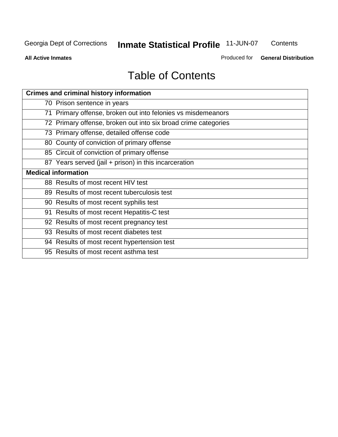**Contents** 

**All Active Inmates**

Produced for **General Distribution**

# Table of Contents

| <b>Crimes and criminal history information</b>                 |
|----------------------------------------------------------------|
| 70 Prison sentence in years                                    |
| 71 Primary offense, broken out into felonies vs misdemeanors   |
| 72 Primary offense, broken out into six broad crime categories |
| 73 Primary offense, detailed offense code                      |
| 80 County of conviction of primary offense                     |
| 85 Circuit of conviction of primary offense                    |
| 87 Years served (jail + prison) in this incarceration          |
| <b>Medical information</b>                                     |
| 88 Results of most recent HIV test                             |
| 89 Results of most recent tuberculosis test                    |
| 90 Results of most recent syphilis test                        |
| 91 Results of most recent Hepatitis-C test                     |
| 92 Results of most recent pregnancy test                       |
| 93 Results of most recent diabetes test                        |
| 94 Results of most recent hypertension test                    |
| 95 Results of most recent asthma test                          |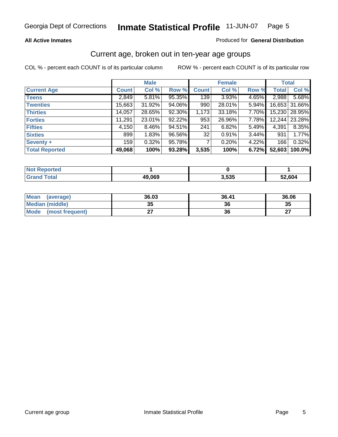#### **All Active Inmates**

#### Produced for **General Distribution**

#### Current age, broken out in ten-year age groups

|                       |              | <b>Male</b> |        |              | <b>Female</b> |          |              | <b>Total</b>  |
|-----------------------|--------------|-------------|--------|--------------|---------------|----------|--------------|---------------|
| <b>Current Age</b>    | <b>Count</b> | Col %       | Row %  | <b>Count</b> | Col %         | Row %    | <b>Total</b> | Col %         |
| <b>Teens</b>          | 2,849        | $5.81\%$    | 95.35% | 139          | $3.93\%$      | 4.65%    | 2,988        | 5.68%         |
| <b>Twenties</b>       | 15,663       | 31.92%      | 94.06% | 990          | 28.01%        | $5.94\%$ |              | 16,653 31.66% |
| <b>Thirties</b>       | 14,057       | 28.65%      | 92.30% | 1,173        | 33.18%        | 7.70%    | 15,230       | 28.95%        |
| <b>Forties</b>        | 11,291       | 23.01%      | 92.22% | 953          | 26.96%        | $7.78\%$ | 12,244       | 23.28%        |
| <b>Fifties</b>        | 4,150        | $8.46\%$    | 94.51% | 241          | 6.82%         | $5.49\%$ | 4,391        | 8.35%         |
| <b>Sixties</b>        | 899          | 1.83%       | 96.56% | 32           | 0.91%         | $3.44\%$ | 931          | 1.77%         |
| Seventy +             | 159          | 0.32%       | 95.78% |              | 0.20%         | 4.22%    | 166          | 0.32%         |
| <b>Total Reported</b> | 49,068       | 100%        | 93.28% | 3,535        | 100%          | 6.72%    | 52,603       | $100.0\%$     |

| <b>Not Reported</b> |        |       |        |
|---------------------|--------|-------|--------|
| <b>Total</b>        | 49,069 | 3,535 | 52,604 |

| <b>Mean</b><br>(average) | 36.03     | 36.41 | 36.06     |
|--------------------------|-----------|-------|-----------|
| Median (middle)          | 25<br>JJ. | 36    | 35        |
| Mode<br>(most frequent)  |           | 36    | ^7<br>. . |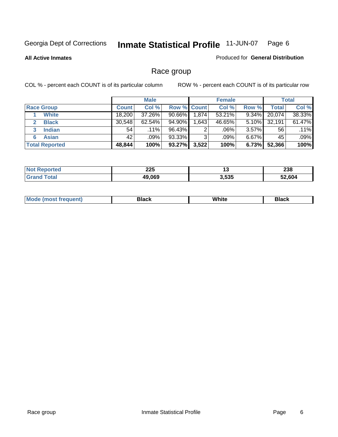#### **All Active Inmates**

#### Produced for **General Distribution**

### Race group

|                       |              | <b>Male</b> |             |          | <b>Female</b> |          |        | <b>Total</b> |
|-----------------------|--------------|-------------|-------------|----------|---------------|----------|--------|--------------|
| <b>Race Group</b>     | <b>Count</b> | Col %       | Row % Count |          | Col %         | Row %    | Total  | Col %        |
| <b>White</b>          | 18,200       | 37.26%      | $90.66\%$   | 1,874    | 53.21%        | 9.34%    | 20,074 | 38.33%       |
| <b>Black</b>          | 30,548       | $62.54\%$   | 94.90%      | ا 643. ا | 46.65%        | 5.10%    | 32,191 | 61.47%       |
| <b>Indian</b><br>3    | 54           | $.11\%$     | 96.43%      | 2        | .06%          | $3.57\%$ | 56     | $.11\%$      |
| <b>Asian</b>          | 42           | .09%        | 93.33%      | 3        | .09%          | $6.67\%$ | 45     | .09%         |
| <b>Total Reported</b> | 48,844       | 100%        | 93.27%      | 3,522    | 100%          | 6.73%    | 52,366 | 100%         |

| າລະ<br>ZZJ | .,    | <b>000</b><br><b>290</b> |
|------------|-------|--------------------------|
| 49.069     | 3,535 | 52 604                   |

| $ -$ | White<br>Mc<br>DIACK<br>nacn |  |
|------|------------------------------|--|
|------|------------------------------|--|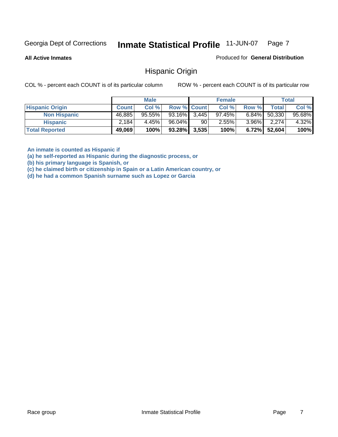**All Active Inmates**

Produced for **General Distribution**

#### Hispanic Origin

COL % - percent each COUNT is of its particular column ROW % - percent each COUNT is of its particular row

|                        |              | <b>Male</b> |                    |    | <b>Female</b> |          |        | <b>Total</b> |
|------------------------|--------------|-------------|--------------------|----|---------------|----------|--------|--------------|
| <b>Hispanic Origin</b> | <b>Count</b> | Col %       | <b>Row % Count</b> |    | Col %         | Row %    | Total  | Col %        |
| <b>Non Hispanic</b>    | 46,885       | $95.55\%$   | $93.16\%$ 3.445    |    | $97.45\%$     | $6.84\%$ | 50,330 | 95.68%       |
| <b>Hispanic</b>        | 2.184        | 4.45%       | 96.04%             | 90 | 2.55%         | $3.96\%$ | 2,274  | 4.32%        |
| <b>Total Reported</b>  | 49,069       | 100%        | $93.28\%$ 3,535    |    | 100%          | $6.72\%$ | 52,604 | 100%         |

**An inmate is counted as Hispanic if** 

**(a) he self-reported as Hispanic during the diagnostic process, or** 

**(b) his primary language is Spanish, or** 

**(c) he claimed birth or citizenship in Spain or a Latin American country, or** 

**(d) he had a common Spanish surname such as Lopez or Garcia**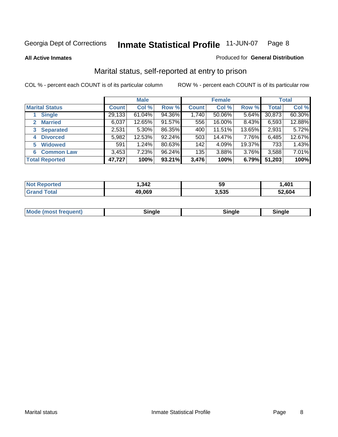**All Active Inmates**

#### Produced for **General Distribution**

### Marital status, self-reported at entry to prison

|                                        |              | <b>Male</b> |        |              | <b>Female</b> |        |              | <b>Total</b> |
|----------------------------------------|--------------|-------------|--------|--------------|---------------|--------|--------------|--------------|
| <b>Marital Status</b>                  | <b>Count</b> | Col %       | Row %  | <b>Count</b> | Col %         | Row %  | <b>Total</b> | Col %        |
| <b>Single</b>                          | 29,133       | 61.04%      | 94.36% | 1,740        | 50.06%        | 5.64%  | 30,873       | 60.30%       |
| <b>Married</b><br>$\mathbf{2}^{\circ}$ | 6,037        | 12.65%      | 91.57% | 556          | 16.00%        | 8.43%  | 6,593        | 12.88%       |
| <b>Separated</b><br>3                  | 2,531        | $5.30\%$    | 86.35% | 400          | 11.51%        | 13.65% | 2,931        | 5.72%        |
| <b>Divorced</b><br>4                   | 5,982        | 12.53%      | 92.24% | 503          | 14.47%        | 7.76%  | 6,485        | 12.67%       |
| <b>Widowed</b><br>5                    | 591          | 1.24%       | 80.63% | 142          | 4.09%         | 19.37% | 733          | 1.43%        |
| <b>Common Law</b><br>6                 | 3,453        | 7.23%       | 96.24% | 135          | 3.88%         | 3.76%  | 3,588        | 7.01%        |
| <b>Total Reported</b>                  | 47,727       | 100%        | 93.21% | 3,476        | 100%          | 6.79%  | 51,203       | 100%         |

| NO | ,342         | 59    | ,401   |
|----|--------------|-------|--------|
|    | 19,069<br>дч | 3.535 | 52.604 |

| <b>Mode (most frequent)</b><br>Sinale<br>≒ınale |
|-------------------------------------------------|
|-------------------------------------------------|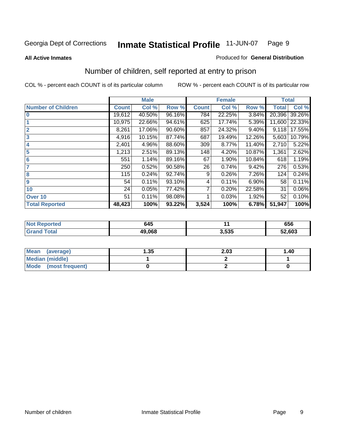#### **All Active Inmates**

#### Produced for **General Distribution**

### Number of children, self reported at entry to prison

|                           |              | <b>Male</b> |        |              | <b>Female</b> |          | <b>Total</b> |        |
|---------------------------|--------------|-------------|--------|--------------|---------------|----------|--------------|--------|
| <b>Number of Children</b> | <b>Count</b> | Col %       | Row %  | <b>Count</b> | Col %         | Row %    | <b>Total</b> | Col %  |
| $\bf{0}$                  | 19,612       | 40.50%      | 96.16% | 784          | 22.25%        | 3.84%    | 20,396       | 39.26% |
|                           | 10,975       | 22.66%      | 94.61% | 625          | 17.74%        | 5.39%    | 11,600       | 22.33% |
| $\overline{2}$            | 8,261        | 17.06%      | 90.60% | 857          | 24.32%        | $9.40\%$ | 9,118        | 17.55% |
| 3                         | 4,916        | 10.15%      | 87.74% | 687          | 19.49%        | 12.26%   | 5,603        | 10.79% |
| 4                         | 2,401        | 4.96%       | 88.60% | 309          | 8.77%         | 11.40%   | 2,710        | 5.22%  |
| 5                         | 1,213        | 2.51%       | 89.13% | 148          | 4.20%         | 10.87%   | 1,361        | 2.62%  |
| $6\phantom{a}$            | 551          | 1.14%       | 89.16% | 67           | 1.90%         | 10.84%   | 618          | 1.19%  |
| 7                         | 250          | 0.52%       | 90.58% | 26           | 0.74%         | 9.42%    | 276          | 0.53%  |
| 8                         | 115          | 0.24%       | 92.74% | 9            | 0.26%         | 7.26%    | 124          | 0.24%  |
| 9                         | 54           | 0.11%       | 93.10% | 4            | 0.11%         | 6.90%    | 58           | 0.11%  |
| 10                        | 24           | 0.05%       | 77.42% | 7            | 0.20%         | 22.58%   | 31           | 0.06%  |
| Over 10                   | 51           | 0.11%       | 98.08% |              | 0.03%         | 1.92%    | 52           | 0.10%  |
| <b>Total Reported</b>     | 48,423       | 100%        | 93.22% | 3,524        | 100%          | 6.78%    | 51,947       | 100%   |

| 645    |              | 656          |
|--------|--------------|--------------|
| 49.068 | らっち<br>ບ.ບບບ | 52,603<br>JZ |

| <b>Mean</b><br>(average) | .35 | 2.03 | 1.40 |
|--------------------------|-----|------|------|
| <b>Median (middle)</b>   |     |      |      |
| Mode<br>(most frequent)  |     |      |      |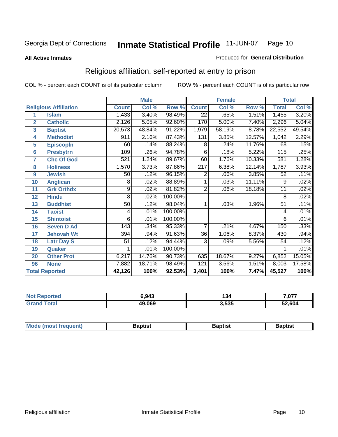#### **All Active Inmates**

#### Produced for **General Distribution**

### Religious affiliation, self-reported at entry to prison

|                  |                              |                 | <b>Male</b> |         |                  | <b>Female</b> |        | <b>Total</b>    |        |
|------------------|------------------------------|-----------------|-------------|---------|------------------|---------------|--------|-----------------|--------|
|                  | <b>Religious Affiliation</b> | <b>Count</b>    | Col %       | Row %   | <b>Count</b>     | Col %         | Row %  | <b>Total</b>    | Col %  |
| 1                | <b>Islam</b>                 | 1,433           | 3.40%       | 98.49%  | $\overline{22}$  | .65%          | 1.51%  | 1,455           | 3.20%  |
| $\overline{2}$   | <b>Catholic</b>              | 2,126           | 5.05%       | 92.60%  | 170              | 5.00%         | 7.40%  | 2,296           | 5.04%  |
| 3                | <b>Baptist</b>               | 20,573          | 48.84%      | 91.22%  | 1,979            | 58.19%        | 8.78%  | 22,552          | 49.54% |
| 4                | <b>Methodist</b>             | 911             | 2.16%       | 87.43%  | 131              | 3.85%         | 12.57% | 1,042           | 2.29%  |
| 5                | <b>EpiscopIn</b>             | 60              | .14%        | 88.24%  | 8                | .24%          | 11.76% | 68              | .15%   |
| 6                | <b>Presbytrn</b>             | 109             | .26%        | 94.78%  | 6                | .18%          | 5.22%  | 115             | .25%   |
| 7                | <b>Chc Of God</b>            | 521             | 1.24%       | 89.67%  | 60               | 1.76%         | 10.33% | 581             | 1.28%  |
| 8                | <b>Holiness</b>              | 1,570           | 3.73%       | 87.86%  | $\overline{217}$ | 6.38%         | 12.14% | 1,787           | 3.93%  |
| $\boldsymbol{9}$ | <b>Jewish</b>                | 50              | .12%        | 96.15%  | 2                | .06%          | 3.85%  | 52              | .11%   |
| 10               | <b>Anglican</b>              | 8               | .02%        | 88.89%  |                  | .03%          | 11.11% | 9               | .02%   |
| 11               | <b>Grk Orthdx</b>            | $\overline{9}$  | .02%        | 81.82%  | $\overline{2}$   | .06%          | 18.18% | 11              | .02%   |
| 12               | <b>Hindu</b>                 | 8               | .02%        | 100.00% |                  |               |        | 8               | .02%   |
| 13               | <b>Buddhist</b>              | $\overline{50}$ | .12%        | 98.04%  | 1                | .03%          | 1.96%  | $\overline{51}$ | .11%   |
| 14               | <b>Taoist</b>                | 4               | .01%        | 100.00% |                  |               |        | 4               | .01%   |
| 15               | <b>Shintoist</b>             | 6               | .01%        | 100.00% |                  |               |        | 6               | .01%   |
| 16               | <b>Seven D Ad</b>            | 143             | .34%        | 95.33%  | 7                | .21%          | 4.67%  | 150             | .33%   |
| 17               | <b>Jehovah Wt</b>            | 394             | .94%        | 91.63%  | 36               | 1.06%         | 8.37%  | 430             | .94%   |
| 18               | <b>Latr Day S</b>            | 51              | .12%        | 94.44%  | 3                | .09%          | 5.56%  | 54              | .12%   |
| 19               | Quaker                       |                 | .01%        | 100.00% |                  |               |        |                 | .01%   |
| 20               | <b>Other Prot</b>            | 6,217           | 14.76%      | 90.73%  | 635              | 18.67%        | 9.27%  | 6,852           | 15.05% |
| 96               | <b>None</b>                  | 7,882           | 18.71%      | 98.49%  | 121              | 3.56%         | 1.51%  | 8,003           | 17.58% |
|                  | <b>Total Reported</b>        | 42,126          | 100%        | 92.53%  | 3,401            | 100%          | 7.47%  | 45,527          | 100%   |

| วrted<br>NO1 | 6,943  | 134   | 7,077  |
|--------------|--------|-------|--------|
| 'otal        | 49,069 | 3,535 | 52,604 |

| <b>Mode</b><br>3aptist<br>3aptist<br>frequent)<br>Baptist<br><i><b>IMOST</b></i> |
|----------------------------------------------------------------------------------|
|----------------------------------------------------------------------------------|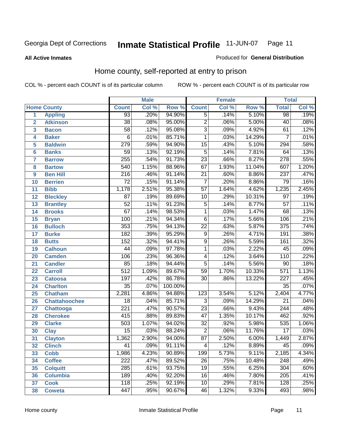#### **All Active Inmates**

#### Produced for **General Distribution**

### Home county, self-reported at entry to prison

|                 |                      |                  | <b>Male</b> |         |                  | <b>Female</b> |        | <b>Total</b>     |       |
|-----------------|----------------------|------------------|-------------|---------|------------------|---------------|--------|------------------|-------|
|                 | <b>Home County</b>   | <b>Count</b>     | Col %       | Row %   | <b>Count</b>     | Col %         | Row %  | <b>Total</b>     | Col % |
| 1               | <b>Appling</b>       | 93               | .20%        | 94.90%  | $\overline{5}$   | .14%          | 5.10%  | 98               | .19%  |
| $\overline{2}$  | <b>Atkinson</b>      | $\overline{38}$  | .08%        | 95.00%  | $\overline{2}$   | .06%          | 5.00%  | $\overline{40}$  | .08%  |
| 3               | <b>Bacon</b>         | $\overline{58}$  | .12%        | 95.08%  | $\overline{3}$   | .09%          | 4.92%  | 61               | .12%  |
| 4               | <b>Baker</b>         | $\overline{6}$   | .01%        | 85.71%  | $\overline{1}$   | .03%          | 14.29% | $\overline{7}$   | .01%  |
| 5               | <b>Baldwin</b>       | $\overline{279}$ | .59%        | 94.90%  | $\overline{15}$  | .43%          | 5.10%  | 294              | .58%  |
| $6\phantom{a}$  | <b>Banks</b>         | $\overline{59}$  | .13%        | 92.19%  | $\overline{5}$   | .14%          | 7.81%  | 64               | .13%  |
| $\overline{7}$  | <b>Barrow</b>        | 255              | .54%        | 91.73%  | $\overline{23}$  | .66%          | 8.27%  | $\overline{278}$ | .55%  |
| 8               | <b>Bartow</b>        | $\overline{540}$ | 1.15%       | 88.96%  | 67               | 1.93%         | 11.04% | 607              | 1.20% |
| 9               | <b>Ben Hill</b>      | $\overline{216}$ | .46%        | 91.14%  | $\overline{21}$  | .60%          | 8.86%  | $\overline{237}$ | .47%  |
| 10              | <b>Berrien</b>       | $\overline{72}$  | .15%        | 91.14%  | $\overline{7}$   | .20%          | 8.86%  | 79               | .16%  |
| 11              | <b>Bibb</b>          | 1,178            | 2.51%       | 95.38%  | $\overline{57}$  | 1.64%         | 4.62%  | 1,235            | 2.45% |
| 12              | <b>Bleckley</b>      | $\overline{87}$  | .19%        | 89.69%  | $\overline{10}$  | .29%          | 10.31% | $\overline{97}$  | .19%  |
| $\overline{13}$ | <b>Brantley</b>      | $\overline{52}$  | .11%        | 91.23%  | $\overline{5}$   | .14%          | 8.77%  | $\overline{57}$  | .11%  |
| $\overline{14}$ | <b>Brooks</b>        | $\overline{67}$  | .14%        | 98.53%  | $\overline{1}$   | .03%          | 1.47%  | $\overline{68}$  | .13%  |
| 15              | <b>Bryan</b>         | 100              | .21%        | 94.34%  | $\overline{6}$   | .17%          | 5.66%  | 106              | .21%  |
| 16              | <b>Bulloch</b>       | 353              | .75%        | 94.13%  | $\overline{22}$  | .63%          | 5.87%  | $\overline{375}$ | .74%  |
| $\overline{17}$ | <b>Burke</b>         | 182              | .39%        | 95.29%  | $\overline{9}$   | .26%          | 4.71%  | 191              | .38%  |
| 18              | <b>Butts</b>         | $\overline{152}$ | .32%        | 94.41%  | $\overline{9}$   | .26%          | 5.59%  | 161              | .32%  |
| 19              | <b>Calhoun</b>       | $\overline{44}$  | .09%        | 97.78%  | $\mathbf{1}$     | .03%          | 2.22%  | $\overline{45}$  | .09%  |
| 20              | <b>Camden</b>        | 106              | .23%        | 96.36%  | $\overline{4}$   | .12%          | 3.64%  | 110              | .22%  |
| 21              | <b>Candler</b>       | $\overline{85}$  | .18%        | 94.44%  | $\overline{5}$   | .14%          | 5.56%  | $\overline{90}$  | .18%  |
| $\overline{22}$ | <b>Carroll</b>       | $\overline{512}$ | 1.09%       | 89.67%  | $\overline{59}$  | 1.70%         | 10.33% | $\overline{571}$ | 1.13% |
| 23              | <b>Catoosa</b>       | 197              | .42%        | 86.78%  | $\overline{30}$  | .86%          | 13.22% | $\overline{227}$ | .45%  |
| 24              | <b>Charlton</b>      | $\overline{35}$  | .07%        | 100.00% |                  |               |        | $\overline{35}$  | .07%  |
| 25              | <b>Chatham</b>       | 2,281            | 4.86%       | 94.88%  | $\overline{123}$ | 3.54%         | 5.12%  | 2,404            | 4.77% |
| 26              | <b>Chattahoochee</b> | $\overline{18}$  | .04%        | 85.71%  | 3                | .09%          | 14.29% | $\overline{21}$  | .04%  |
| 27              | <b>Chattooga</b>     | $\overline{221}$ | .47%        | 90.57%  | $\overline{23}$  | .66%          | 9.43%  | $\overline{244}$ | .48%  |
| 28              | <b>Cherokee</b>      | 415              | .88%        | 89.83%  | $\overline{47}$  | 1.35%         | 10.17% | 462              | .92%  |
| 29              | <b>Clarke</b>        | $\overline{503}$ | 1.07%       | 94.02%  | $\overline{32}$  | .92%          | 5.98%  | 535              | 1.06% |
| 30              | <b>Clay</b>          | $\overline{15}$  | .03%        | 88.24%  | $\overline{2}$   | .06%          | 11.76% | $\overline{17}$  | .03%  |
| $\overline{31}$ | <b>Clayton</b>       | 1,362            | 2.90%       | 94.00%  | $\overline{87}$  | 2.50%         | 6.00%  | 1,449            | 2.87% |
| 32              | <b>Clinch</b>        | 41               | .09%        | 91.11%  | 4                | .12%          | 8.89%  | 45               | .09%  |
| 33              | <b>Cobb</b>          | 1,986            | 4.23%       | 90.89%  | 199              | 5.73%         | 9.11%  | 2,185            | 4.34% |
| 34              | <b>Coffee</b>        | $\overline{222}$ | .47%        | 89.52%  | $\overline{26}$  | .75%          | 10.48% | 248              | .49%  |
| 35              | <b>Colquitt</b>      | $\overline{285}$ | .61%        | 93.75%  | $\overline{19}$  | .55%          | 6.25%  | $\overline{304}$ | .60%  |
| 36              | <b>Columbia</b>      | 189              | .40%        | 92.20%  | 16               | .46%          | 7.80%  | $\overline{205}$ | .41%  |
| 37              | <b>Cook</b>          | 118              | .25%        | 92.19%  | 10               | .29%          | 7.81%  | 128              | .25%  |
| 38              | <b>Coweta</b>        | 447              | .95%        | 90.67%  | 46               | 1.32%         | 9.33%  | 493              | .98%  |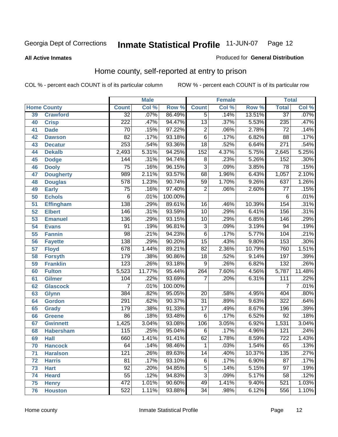#### **All Active Inmates**

#### Produced for **General Distribution**

### Home county, self-reported at entry to prison

|    | <b>Male</b><br><b>Female</b> |                  |        | <b>Total</b> |                  |       |        |                  |        |
|----|------------------------------|------------------|--------|--------------|------------------|-------|--------|------------------|--------|
|    | <b>Home County</b>           | <b>Count</b>     | Col %  | Row %        | <b>Count</b>     | Col % | Row %  | <b>Total</b>     | Col %  |
| 39 | <b>Crawford</b>              | $\overline{32}$  | .07%   | 86.49%       | $\overline{5}$   | .14%  | 13.51% | $\overline{37}$  | .07%   |
| 40 | <b>Crisp</b>                 | $\overline{222}$ | .47%   | 94.47%       | $\overline{13}$  | .37%  | 5.53%  | 235              | .47%   |
| 41 | <b>Dade</b>                  | 70               | .15%   | 97.22%       | $\overline{2}$   | .06%  | 2.78%  | $\overline{72}$  | .14%   |
| 42 | <b>Dawson</b>                | $\overline{82}$  | .17%   | 93.18%       | $\overline{6}$   | .17%  | 6.82%  | $\overline{88}$  | .17%   |
| 43 | <b>Decatur</b>               | 253              | .54%   | 93.36%       | $\overline{18}$  | .52%  | 6.64%  | $\overline{271}$ | .54%   |
| 44 | <b>Dekalb</b>                | 2,493            | 5.31%  | 94.25%       | $\overline{152}$ | 4.37% | 5.75%  | 2,645            | 5.25%  |
| 45 | <b>Dodge</b>                 | 144              | .31%   | 94.74%       | $\overline{8}$   | .23%  | 5.26%  | 152              | .30%   |
| 46 | <b>Dooly</b>                 | $\overline{75}$  | .16%   | 96.15%       | $\overline{3}$   | .09%  | 3.85%  | $\overline{78}$  | .15%   |
| 47 | <b>Dougherty</b>             | 989              | 2.11%  | 93.57%       | 68               | 1.96% | 6.43%  | 1,057            | 2.10%  |
| 48 | <b>Douglas</b>               | $\overline{578}$ | 1.23%  | 90.74%       | $\overline{59}$  | 1.70% | 9.26%  | 637              | 1.26%  |
| 49 | <b>Early</b>                 | $\overline{75}$  | .16%   | 97.40%       | $\overline{2}$   | .06%  | 2.60%  | 77               | .15%   |
| 50 | <b>Echols</b>                | $\overline{6}$   | .01%   | 100.00%      |                  |       |        | 6                | .01%   |
| 51 | <b>Effingham</b>             | 138              | .29%   | 89.61%       | 16               | .46%  | 10.39% | 154              | .31%   |
| 52 | <b>Elbert</b>                | 146              | .31%   | 93.59%       | $\overline{10}$  | .29%  | 6.41%  | 156              | .31%   |
| 53 | <b>Emanuel</b>               | 136              | .29%   | 93.15%       | $\overline{10}$  | .29%  | 6.85%  | 146              | .29%   |
| 54 | <b>Evans</b>                 | $\overline{91}$  | .19%   | 96.81%       | $\overline{3}$   | .09%  | 3.19%  | 94               | .19%   |
| 55 | <b>Fannin</b>                | $\overline{98}$  | .21%   | 94.23%       | $\overline{6}$   | .17%  | 5.77%  | 104              | .21%   |
| 56 | <b>Fayette</b>               | 138              | .29%   | 90.20%       | $\overline{15}$  | .43%  | 9.80%  | 153              | .30%   |
| 57 | <b>Floyd</b>                 | 678              | 1.44%  | 89.21%       | $\overline{82}$  | 2.36% | 10.79% | 760              | 1.51%  |
| 58 | <b>Forsyth</b>               | 179              | .38%   | 90.86%       | $\overline{18}$  | .52%  | 9.14%  | 197              | .39%   |
| 59 | <b>Franklin</b>              | 123              | .26%   | 93.18%       | $\overline{9}$   | .26%  | 6.82%  | $\overline{132}$ | .26%   |
| 60 | <b>Fulton</b>                | 5,523            | 11.77% | 95.44%       | 264              | 7.60% | 4.56%  | 5,787            | 11.48% |
| 61 | <b>Gilmer</b>                | 104              | .22%   | 93.69%       | 7                | .20%  | 6.31%  | 111              | .22%   |
| 62 | <b>Glascock</b>              | 7                | .01%   | 100.00%      |                  |       |        | $\overline{7}$   | .01%   |
| 63 | <b>Glynn</b>                 | 384              | .82%   | 95.05%       | 20               | .58%  | 4.95%  | 404              | .80%   |
| 64 | <b>Gordon</b>                | 291              | .62%   | 90.37%       | $\overline{31}$  | .89%  | 9.63%  | $\overline{322}$ | .64%   |
| 65 | <b>Grady</b>                 | 179              | .38%   | 91.33%       | $\overline{17}$  | .49%  | 8.67%  | 196              | .39%   |
| 66 | <b>Greene</b>                | $\overline{86}$  | .18%   | 93.48%       | $\overline{6}$   | .17%  | 6.52%  | $\overline{92}$  | .18%   |
| 67 | <b>Gwinnett</b>              | 1,425            | 3.04%  | 93.08%       | 106              | 3.05% | 6.92%  | 1,531            | 3.04%  |
| 68 | <b>Habersham</b>             | 115              | .25%   | 95.04%       | 6                | .17%  | 4.96%  | $\overline{121}$ | .24%   |
| 69 | <b>Hall</b>                  | 660              | 1.41%  | 91.41%       | 62               | 1.78% | 8.59%  | 722              | 1.43%  |
| 70 | <b>Hancock</b>               | 64               | .14%   | 98.46%       | 1                | .03%  | 1.54%  | $\overline{65}$  | .13%   |
| 71 | <b>Haralson</b>              | 121              | .26%   | 89.63%       | 14               | .40%  | 10.37% | 135              | .27%   |
| 72 | <b>Harris</b>                | $\overline{81}$  | .17%   | 93.10%       | 6                | .17%  | 6.90%  | $\overline{87}$  | .17%   |
| 73 | <b>Hart</b>                  | $\overline{92}$  | .20%   | 94.85%       | $\overline{5}$   | .14%  | 5.15%  | $\overline{97}$  | .19%   |
| 74 | <b>Heard</b>                 | $\overline{55}$  | .12%   | 94.83%       | $\overline{3}$   | .09%  | 5.17%  | 58               | .12%   |
| 75 | <b>Henry</b>                 | 472              | 1.01%  | 90.60%       | 49               | 1.41% | 9.40%  | 521              | 1.03%  |
| 76 | <b>Houston</b>               | 522              | 1.11%  | 93.88%       | $\overline{34}$  | .98%  | 6.12%  | 556              | 1.10%  |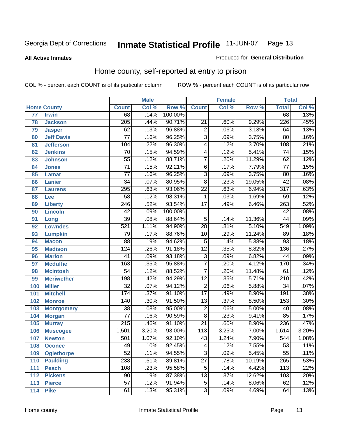**All Active Inmates**

#### Produced for **General Distribution**

### Home county, self-reported at entry to prison

|     |                    |                  | <b>Male</b> |         |                  | <b>Female</b> |        | <b>Total</b>     |       |
|-----|--------------------|------------------|-------------|---------|------------------|---------------|--------|------------------|-------|
|     | <b>Home County</b> | <b>Count</b>     | Col %       | Row %   | <b>Count</b>     | Col %         | Row %  | <b>Total</b>     | Col % |
| 77  | <b>Irwin</b>       | 68               | .14%        | 100.00% |                  |               |        | 68               | .13%  |
| 78  | <b>Jackson</b>     | $\overline{205}$ | .44%        | 90.71%  | $\overline{21}$  | .60%          | 9.29%  | 226              | .45%  |
| 79  | <b>Jasper</b>      | $\overline{62}$  | .13%        | 96.88%  | $\overline{2}$   | .06%          | 3.13%  | 64               | .13%  |
| 80  | <b>Jeff Davis</b>  | $\overline{77}$  | .16%        | 96.25%  | $\overline{3}$   | .09%          | 3.75%  | 80               | .16%  |
| 81  | <b>Jefferson</b>   | 104              | .22%        | 96.30%  | $\overline{4}$   | .12%          | 3.70%  | 108              | .21%  |
| 82  | <b>Jenkins</b>     | $\overline{70}$  | .15%        | 94.59%  | 4                | .12%          | 5.41%  | $\overline{74}$  | .15%  |
| 83  | <b>Johnson</b>     | $\overline{55}$  | .12%        | 88.71%  | $\overline{7}$   | .20%          | 11.29% | 62               | .12%  |
| 84  | <b>Jones</b>       | $\overline{71}$  | .15%        | 92.21%  | $\overline{6}$   | .17%          | 7.79%  | 77               | .15%  |
| 85  | <b>Lamar</b>       | $\overline{77}$  | .16%        | 96.25%  | $\overline{3}$   | .09%          | 3.75%  | $\overline{80}$  | .16%  |
| 86  | Lanier             | $\overline{34}$  | .07%        | 80.95%  | $\overline{8}$   | .23%          | 19.05% | $\overline{42}$  | .08%  |
| 87  | <b>Laurens</b>     | 295              | .63%        | 93.06%  | $\overline{22}$  | .63%          | 6.94%  | $\overline{317}$ | .63%  |
| 88  | Lee                | $\overline{58}$  | .12%        | 98.31%  | 1                | .03%          | 1.69%  | 59               | .12%  |
| 89  | <b>Liberty</b>     | $\overline{246}$ | .52%        | 93.54%  | $\overline{17}$  | .49%          | 6.46%  | 263              | .52%  |
| 90  | <b>Lincoln</b>     | $\overline{42}$  | .09%        | 100.00% |                  |               |        | 42               | .08%  |
| 91  | Long               | $\overline{39}$  | .08%        | 88.64%  | $\overline{5}$   | .14%          | 11.36% | $\overline{44}$  | .09%  |
| 92  | <b>Lowndes</b>     | $\overline{521}$ | 1.11%       | 94.90%  | $\overline{28}$  | .81%          | 5.10%  | 549              | 1.09% |
| 93  | <b>Lumpkin</b>     | $\overline{79}$  | .17%        | 88.76%  | $\overline{10}$  | .29%          | 11.24% | 89               | .18%  |
| 94  | <b>Macon</b>       | $\overline{88}$  | .19%        | 94.62%  | $\overline{5}$   | .14%          | 5.38%  | 93               | .18%  |
| 95  | <b>Madison</b>     | 124              | .26%        | 91.18%  | $\overline{12}$  | .35%          | 8.82%  | 136              | .27%  |
| 96  | <b>Marion</b>      | $\overline{41}$  | .09%        | 93.18%  | $\overline{3}$   | .09%          | 6.82%  | 44               | .09%  |
| 97  | <b>Mcduffie</b>    | 163              | .35%        | 95.88%  | $\overline{7}$   | .20%          | 4.12%  | 170              | .34%  |
| 98  | <b>Mcintosh</b>    | $\overline{54}$  | .12%        | 88.52%  | $\overline{7}$   | .20%          | 11.48% | 61               | .12%  |
| 99  | <b>Meriwether</b>  | 198              | .42%        | 94.29%  | $\overline{12}$  | .35%          | 5.71%  | $\overline{210}$ | .42%  |
| 100 | <b>Miller</b>      | $\overline{32}$  | .07%        | 94.12%  | $\overline{2}$   | .06%          | 5.88%  | 34               | .07%  |
| 101 | <b>Mitchell</b>    | 174              | .37%        | 91.10%  | $\overline{17}$  | .49%          | 8.90%  | 191              | .38%  |
| 102 | <b>Monroe</b>      | $\overline{140}$ | .30%        | 91.50%  | $\overline{13}$  | .37%          | 8.50%  | 153              | .30%  |
| 103 | <b>Montgomery</b>  | $\overline{38}$  | .08%        | 95.00%  | $\overline{2}$   | .06%          | 5.00%  | 40               | .08%  |
| 104 | <b>Morgan</b>      | $\overline{77}$  | .16%        | 90.59%  | $\overline{8}$   | .23%          | 9.41%  | 85               | .17%  |
| 105 | <b>Murray</b>      | $\overline{215}$ | .46%        | 91.10%  | $\overline{21}$  | .60%          | 8.90%  | $\overline{236}$ | .47%  |
| 106 | <b>Muscogee</b>    | 1,501            | 3.20%       | 93.00%  | $\overline{113}$ | 3.25%         | 7.00%  | 1,614            | 3.20% |
| 107 | <b>Newton</b>      | 501              | 1.07%       | 92.10%  | 43               | 1.24%         | 7.90%  | 544              | 1.08% |
| 108 | <b>Oconee</b>      | 49               | .10%        | 92.45%  | 4                | .12%          | 7.55%  | 53               | .11%  |
| 109 | <b>Oglethorpe</b>  | $\overline{52}$  | .11%        | 94.55%  | $\overline{3}$   | .09%          | 5.45%  | $\overline{55}$  | .11%  |
| 110 | <b>Paulding</b>    | 238              | .51%        | 89.81%  | $\overline{27}$  | .78%          | 10.19% | 265              | .53%  |
| 111 | <b>Peach</b>       | 108              | .23%        | 95.58%  | $\overline{5}$   | .14%          | 4.42%  | 113              | .22%  |
| 112 | <b>Pickens</b>     | 90               | .19%        | 87.38%  | $\overline{13}$  | .37%          | 12.62% | 103              | .20%  |
| 113 | <b>Pierce</b>      | $\overline{57}$  | .12%        | 91.94%  | 5                | .14%          | 8.06%  | 62               | .12%  |
| 114 | <b>Pike</b>        | 61               | .13%        | 95.31%  | $\overline{3}$   | .09%          | 4.69%  | 64               | .13%  |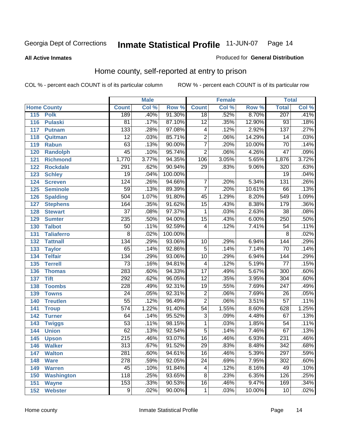#### **All Active Inmates**

#### Produced for **General Distribution**

### Home county, self-reported at entry to prison

|     |                    |                  | <b>Male</b> |         |                 | <b>Female</b> |        | <b>Total</b>     |                            |
|-----|--------------------|------------------|-------------|---------|-----------------|---------------|--------|------------------|----------------------------|
|     | <b>Home County</b> | <b>Count</b>     | Col %       | Row %   | <b>Count</b>    | Col %         | Row %  | <b>Total</b>     | $\overline{\text{Col }^9}$ |
| 115 | <b>Polk</b>        | 189              | .40%        | 91.30%  | $\overline{18}$ | .52%          | 8.70%  | 207              | .41%                       |
| 116 | <b>Pulaski</b>     | $\overline{81}$  | .17%        | 87.10%  | $\overline{12}$ | .35%          | 12.90% | $\overline{93}$  | .18%                       |
| 117 | <b>Putnam</b>      | 133              | .28%        | 97.08%  | 4               | .12%          | 2.92%  | 137              | .27%                       |
| 118 | Quitman            | $\overline{12}$  | .03%        | 85.71%  | $\overline{2}$  | .06%          | 14.29% | 14               | .03%                       |
| 119 | <b>Rabun</b>       | 63               | .13%        | 90.00%  | $\overline{7}$  | .20%          | 10.00% | $\overline{70}$  | .14%                       |
| 120 | <b>Randolph</b>    | $\overline{45}$  | .10%        | 95.74%  | $\overline{2}$  | .06%          | 4.26%  | $\overline{47}$  | .09%                       |
| 121 | <b>Richmond</b>    | 1,770            | 3.77%       | 94.35%  | 106             | 3.05%         | 5.65%  | 1,876            | 3.72%                      |
| 122 | <b>Rockdale</b>    | 291              | .62%        | 90.94%  | 29              | .83%          | 9.06%  | 320              | .63%                       |
| 123 | <b>Schley</b>      | $\overline{19}$  | .04%        | 100.00% |                 |               |        | $\overline{19}$  | .04%                       |
| 124 | <b>Screven</b>     | 124              | .26%        | 94.66%  | $\overline{7}$  | .20%          | 5.34%  | 131              | .26%                       |
| 125 | <b>Seminole</b>    | $\overline{59}$  | .13%        | 89.39%  | $\overline{7}$  | .20%          | 10.61% | 66               | .13%                       |
| 126 | <b>Spalding</b>    | 504              | 1.07%       | 91.80%  | $\overline{45}$ | 1.29%         | 8.20%  | 549              | 1.09%                      |
| 127 | <b>Stephens</b>    | 164              | .35%        | 91.62%  | $\overline{15}$ | .43%          | 8.38%  | 179              | .36%                       |
| 128 | <b>Stewart</b>     | $\overline{37}$  | .08%        | 97.37%  | 1               | .03%          | 2.63%  | $\overline{38}$  | .08%                       |
| 129 | <b>Sumter</b>      | 235              | .50%        | 94.00%  | $\overline{15}$ | .43%          | 6.00%  | 250              | .50%                       |
| 130 | <b>Talbot</b>      | $\overline{50}$  | .11%        | 92.59%  | 4               | .12%          | 7.41%  | $\overline{54}$  | .11%                       |
| 131 | <b>Taliaferro</b>  | $\overline{8}$   | .02%        | 100.00% |                 |               |        | 8                | .02%                       |
| 132 | <b>Tattnall</b>    | 134              | .29%        | 93.06%  | $\overline{10}$ | .29%          | 6.94%  | 144              | .29%                       |
| 133 | <b>Taylor</b>      | 65               | .14%        | 92.86%  | $\overline{5}$  | .14%          | 7.14%  | $\overline{70}$  | .14%                       |
| 134 | <b>Telfair</b>     | 134              | .29%        | 93.06%  | $\overline{10}$ | .29%          | 6.94%  | 144              | .29%                       |
| 135 | <b>Terrell</b>     | $\overline{73}$  | .16%        | 94.81%  | 4               | .12%          | 5.19%  | $\overline{77}$  | .15%                       |
| 136 | <b>Thomas</b>      | 283              | .60%        | 94.33%  | $\overline{17}$ | .49%          | 5.67%  | 300              | .60%                       |
| 137 | <b>Tift</b>        | 292              | .62%        | 96.05%  | $\overline{12}$ | .35%          | 3.95%  | 304              | .60%                       |
| 138 | <b>Toombs</b>      | $\overline{228}$ | .49%        | 92.31%  | $\overline{19}$ | .55%          | 7.69%  | $\overline{247}$ | .49%                       |
| 139 | <b>Towns</b>       | $\overline{24}$  | .05%        | 92.31%  | $\overline{2}$  | .06%          | 7.69%  | $\overline{26}$  | .05%                       |
| 140 | <b>Treutlen</b>    | $\overline{55}$  | .12%        | 96.49%  | $\overline{2}$  | .06%          | 3.51%  | $\overline{57}$  | .11%                       |
| 141 | <b>Troup</b>       | $\overline{574}$ | 1.22%       | 91.40%  | $\overline{54}$ | 1.55%         | 8.60%  | 628              | 1.25%                      |
| 142 | <b>Turner</b>      | 64               | .14%        | 95.52%  | $\overline{3}$  | .09%          | 4.48%  | 67               | .13%                       |
| 143 | <b>Twiggs</b>      | $\overline{53}$  | .11%        | 98.15%  | 1               | .03%          | 1.85%  | 54               | .11%                       |
| 144 | <b>Union</b>       | 62               | .13%        | 92.54%  | $\overline{5}$  | .14%          | 7.46%  | 67               | .13%                       |
| 145 | <b>Upson</b>       | $\overline{215}$ | .46%        | 93.07%  | $\overline{16}$ | .46%          | 6.93%  | $\overline{231}$ | .46%                       |
| 146 | <b>Walker</b>      | 313              | .67%        | 91.52%  | 29              | .83%          | 8.48%  | 342              | .68%                       |
| 147 | <b>Walton</b>      | $\overline{281}$ | .60%        | 94.61%  | $\overline{16}$ | .46%          | 5.39%  | $\overline{297}$ | .59%                       |
| 148 | <b>Ware</b>        | $\overline{278}$ | .59%        | 92.05%  | $\overline{24}$ | .69%          | 7.95%  | 302              | .60%                       |
| 149 | <b>Warren</b>      | 45               | .10%        | 91.84%  | 4               | .12%          | 8.16%  | 49               | .10%                       |
| 150 | <b>Washington</b>  | 118              | .25%        | 93.65%  | $\overline{8}$  | .23%          | 6.35%  | 126              | .25%                       |
| 151 | <b>Wayne</b>       | 153              | .33%        | 90.53%  | 16              | .46%          | 9.47%  | 169              | .34%                       |
| 152 | <b>Webster</b>     | $\overline{9}$   | .02%        | 90.00%  | 1               | .03%          | 10.00% | 10               | .02%                       |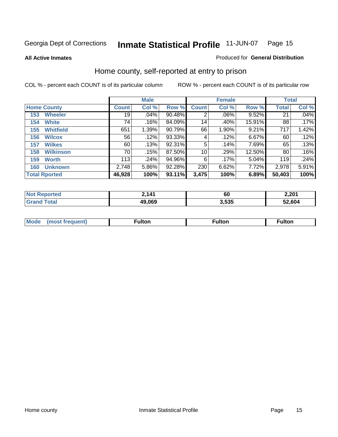**All Active Inmates**

#### Produced for **General Distribution**

### Home county, self-reported at entry to prison

|                      |                  |              | <b>Male</b> |        |              | <b>Female</b> |        |              | <b>Total</b> |  |
|----------------------|------------------|--------------|-------------|--------|--------------|---------------|--------|--------------|--------------|--|
| <b>Home County</b>   |                  | <b>Count</b> | Col %       | Row %  | <b>Count</b> | Col %         | Row %  | <b>Total</b> | Col %        |  |
| 153                  | <b>Wheeler</b>   | 19           | .04%        | 90.48% | 2            | .06%          | 9.52%  | 21           | .04%         |  |
| 154                  | <b>White</b>     | 74           | .16%        | 84.09% | 14           | .40%          | 15.91% | 88           | .17%         |  |
| 155                  | <b>Whitfield</b> | 651          | 1.39%       | 90.79% | 66           | 1.90%         | 9.21%  | 717          | 1.42%        |  |
| 156                  | <b>Wilcox</b>    | 56           | .12%        | 93.33% | 4            | .12%          | 6.67%  | 60           | .12%         |  |
| 157                  | <b>Wilkes</b>    | 60           | .13%        | 92.31% | 5            | .14%          | 7.69%  | 65           | .13%         |  |
| 158                  | <b>Wilkinson</b> | 70           | .15%        | 87.50% | 10           | .29%          | 12.50% | 80           | .16%         |  |
| 159                  | <b>Worth</b>     | 113          | .24%        | 94.96% | 6            | .17%          | 5.04%  | 119          | .24%         |  |
| 160                  | <b>Unknown</b>   | 2,748        | 5.86%       | 92.28% | 230          | 6.62%         | 7.72%  | 2,978        | 5.91%        |  |
| <b>Total Rported</b> |                  | 46,928       | 100%        | 93.11% | 3,475        | 100%          | 6.89%  | 50,403       | 100%         |  |

| <b>rted</b><br>N <sub>O1</sub> | 141    | 60    | 2,201  |
|--------------------------------|--------|-------|--------|
| Total                          | 49,069 | 3.535 | 52.604 |

| <b>Mode</b> | ---<br>.tor | <b>ulton</b> | . |
|-------------|-------------|--------------|---|
|             |             |              |   |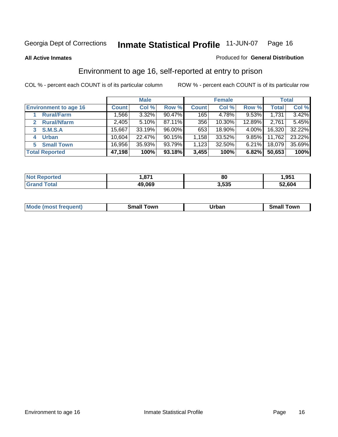**All Active Inmates**

#### Produced for **General Distribution**

### Environment to age 16, self-reported at entry to prison

|                                    | <b>Male</b>  |        | <b>Female</b> |              |        | <b>Total</b> |              |        |
|------------------------------------|--------------|--------|---------------|--------------|--------|--------------|--------------|--------|
| <b>Environment to age 16</b>       | <b>Count</b> | Col %  | Row %         | <b>Count</b> | Col %  | Row %        | <b>Total</b> | Col %  |
| <b>Rural/Farm</b>                  | ا 566.       | 3.32%  | 90.47%        | 165          | 4.78%  | $9.53\%$     | 1,731        | 3.42%  |
| <b>Rural/Nfarm</b><br>$\mathbf{2}$ | 2,405        | 5.10%  | 87.11%        | 356          | 10.30% | 12.89%       | 2,761        | 5.45%  |
| <b>S.M.S.A</b><br>3                | 15,667       | 33.19% | 96.00%        | 653          | 18.90% | 4.00%        | 16,320       | 32.22% |
| <b>Urban</b><br>4                  | 10,604       | 22.47% | 90.15%        | .158         | 33.52% | $9.85\%$     | 11,762       | 23.22% |
| <b>Small Town</b><br>5             | 16,956       | 35.93% | 93.79%        | 1,123        | 32.50% | 6.21%        | 18,079       | 35.69% |
| <b>Total Reported</b>              | 47,198       | 100%   | 93.18%        | 3,455        | 100%   | 6.82%        | 50,653       | 100%   |

| Reported<br><b>Not</b> | ,871   | 80    | 1,951  |
|------------------------|--------|-------|--------|
| Total                  | 49,069 | 3,535 | 52.604 |

| Mo<br>. . | . owr | <u>'''' ''</u><br>roa<br>_____ | .0W <sub>r</sub> |
|-----------|-------|--------------------------------|------------------|
|           |       |                                |                  |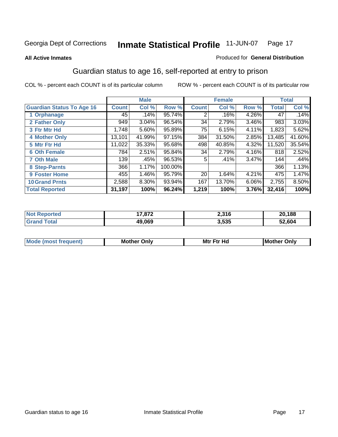#### **All Active Inmates**

#### Produced for **General Distribution**

### Guardian status to age 16, self-reported at entry to prison

|                                  |              | <b>Male</b> |         |                 | <b>Female</b> |          |              | <b>Total</b> |
|----------------------------------|--------------|-------------|---------|-----------------|---------------|----------|--------------|--------------|
| <b>Guardian Status To Age 16</b> | <b>Count</b> | Col %       | Row %   | <b>Count</b>    | Col %         | Row %    | <b>Total</b> | Col %        |
| 1 Orphanage                      | 45           | .14%        | 95.74%  | 2               | .16%          | 4.26%    | 47           | .14%         |
| 2 Father Only                    | 949          | 3.04%       | 96.54%  | 34              | 2.79%         | $3.46\%$ | 983          | 3.03%        |
| 3 Ftr Mtr Hd                     | 1,748        | 5.60%       | 95.89%  | 75              | 6.15%         | 4.11%    | 1,823        | 5.62%        |
| <b>4 Mother Only</b>             | 13,101       | 41.99%      | 97.15%  | 384             | 31.50%        | 2.85%    | 13,485       | 41.60%       |
| 5 Mtr Ftr Hd                     | 11,022       | 35.33%      | 95.68%  | 498             | 40.85%        | 4.32%    | 11,520       | 35.54%       |
| <b>6 Oth Female</b>              | 784          | 2.51%       | 95.84%  | 34              | 2.79%         | 4.16%    | 818          | 2.52%        |
| <b>7 Oth Male</b>                | 139          | .45%        | 96.53%  | 5               | .41%          | 3.47%    | 144          | .44%         |
| 8 Step-Parnts                    | 366          | 1.17%       | 100.00% |                 |               |          | 366          | 1.13%        |
| 9 Foster Home                    | 455          | 1.46%       | 95.79%  | 20 <sub>1</sub> | 1.64%         | 4.21%    | 475          | 1.47%        |
| <b>10 Grand Prnts</b>            | 2,588        | 8.30%       | 93.94%  | 167             | 13.70%        | 6.06%    | 2,755        | 8.50%        |
| <b>Total Reported</b>            | 31,197       | 100%        | 96.24%  | 1,219           | 100%          | 3.76%    | 32,416       | 100%         |

| <b>Not Reported</b> | 17,872 | 2,316 | 20,188 |
|---------------------|--------|-------|--------|
| <b>Grand Total</b>  | 49,069 | 3,535 | 52,604 |

| <b>Mou</b> | <b>Mother</b><br>Onlv | Hд<br>Mtr Ftr | Only<br>lMoth |
|------------|-----------------------|---------------|---------------|
|            |                       |               |               |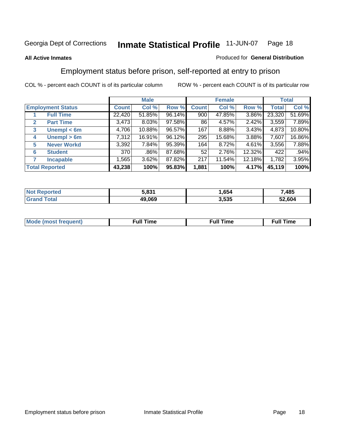#### **All Active Inmates**

#### Produced for **General Distribution**

### Employment status before prison, self-reported at entry to prison

|                       |                          |              | <b>Male</b> |        |              | <b>Female</b> |        |        | <b>Total</b> |
|-----------------------|--------------------------|--------------|-------------|--------|--------------|---------------|--------|--------|--------------|
|                       | <b>Employment Status</b> | <b>Count</b> | Col %       | Row %  | <b>Count</b> | Col %         | Row %  | Total  | Col %        |
|                       | <b>Full Time</b>         | 22,420       | 51.85%      | 96.14% | 900          | 47.85%        | 3.86%  | 23,320 | 51.69%       |
| $\mathbf{2}$          | <b>Part Time</b>         | 3,473        | 8.03%       | 97.58% | 86           | 4.57%         | 2.42%  | 3,559  | 7.89%        |
| 3                     | Unempl $<$ 6m            | 4,706        | 10.88%      | 96.57% | 167          | 8.88%         | 3.43%  | 4,873  | 10.80%       |
| 4                     | Unempl > 6m              | 7,312        | 16.91%      | 96.12% | 295          | 15.68%        | 3.88%  | 7,607  | 16.86%       |
| 5                     | <b>Never Workd</b>       | 3,392        | 7.84%       | 95.39% | 164          | 8.72%         | 4.61%  | 3,556  | 7.88%        |
| 6                     | <b>Student</b>           | 370          | .86%        | 87.68% | 52           | 2.76%         | 12.32% | 422    | .94%         |
| 7                     | <b>Incapable</b>         | 1,565        | 3.62%       | 87.82% | 217          | 11.54%        | 12.18% | 1,782  | 3.95%        |
| <b>Total Reported</b> |                          | 43,238       | 100%        | 95.83% | 1,881        | 100%          | 4.17%  | 45,119 | 100%         |

| E 094<br>כס נ | .654                | .485 |
|---------------|---------------------|------|
| 49.069        | <b>EOF</b><br>3.535 | .604 |

| <b>M</b> ດ | the contract of the contract of the contract of the contract of the contract of the contract of the contract of | the contract of the contract of the contract of the contract of the contract of the contract of the contract of | ----<br><b>Full Time</b> |
|------------|-----------------------------------------------------------------------------------------------------------------|-----------------------------------------------------------------------------------------------------------------|--------------------------|
|            |                                                                                                                 |                                                                                                                 |                          |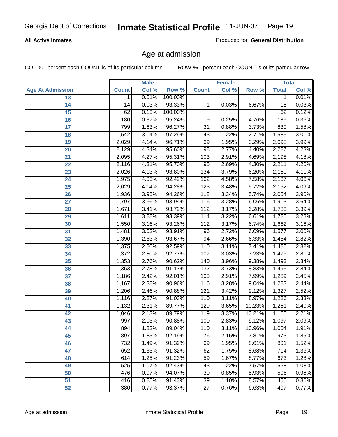#### **All Active Inmates**

Produced for **General Distribution**

### Age at admission

|                         |              | <b>Male</b> |         |                  | <b>Female</b> |        |              | <b>Total</b> |
|-------------------------|--------------|-------------|---------|------------------|---------------|--------|--------------|--------------|
| <b>Age At Admission</b> | <b>Count</b> | Col %       | Row %   | <b>Count</b>     | Col %         | Row %  | <b>Total</b> | Col %        |
| 13                      | 1            | 0.01%       | 100.00% |                  |               |        | 1            | 0.01%        |
| 14                      | 14           | 0.03%       | 93.33%  | 1                | 0.03%         | 6.67%  | 15           | 0.03%        |
| $\overline{15}$         | 62           | 0.13%       | 100.00% |                  |               |        | 62           | 0.12%        |
| 16                      | 180          | 0.37%       | 95.24%  | 9                | 0.25%         | 4.76%  | 189          | 0.36%        |
| $\overline{17}$         | 799          | 1.63%       | 96.27%  | $\overline{31}$  | 0.88%         | 3.73%  | 830          | 1.58%        |
| 18                      | 1,542        | 3.14%       | 97.29%  | 43               | 1.22%         | 2.71%  | 1,585        | 3.01%        |
| 19                      | 2,029        | 4.14%       | 96.71%  | 69               | 1.95%         | 3.29%  | 2,098        | 3.99%        |
| 20                      | 2,129        | 4.34%       | 95.60%  | 98               | 2.77%         | 4.40%  | 2,227        | 4.23%        |
| 21                      | 2,095        | 4.27%       | 95.31%  | 103              | 2.91%         | 4.69%  | 2,198        | 4.18%        |
| 22                      | 2,116        | 4.31%       | 95.70%  | $\overline{95}$  | 2.69%         | 4.30%  | 2,211        | 4.20%        |
| 23                      | 2,026        | 4.13%       | 93.80%  | 134              | 3.79%         | 6.20%  | 2,160        | 4.11%        |
| 24                      | 1,975        | 4.03%       | 92.42%  | 162              | 4.58%         | 7.58%  | 2,137        | 4.06%        |
| $\overline{25}$         | 2,029        | 4.14%       | 94.28%  | $\overline{123}$ | 3.48%         | 5.72%  | 2,152        | 4.09%        |
| 26                      | 1,936        | 3.95%       | 94.26%  | 118              | 3.34%         | 5.74%  | 2,054        | 3.90%        |
| 27                      | 1,797        | 3.66%       | 93.94%  | 116              | 3.28%         | 6.06%  | 1,913        | 3.64%        |
| 28                      | 1,671        | 3.41%       | 93.72%  | 112              | 3.17%         | 6.28%  | 1,783        | 3.39%        |
| 29                      | 1,611        | 3.28%       | 93.39%  | 114              | 3.22%         | 6.61%  | 1,725        | 3.28%        |
| 30                      | 1,550        | 3.16%       | 93.26%  | 112              | 3.17%         | 6.74%  | 1,662        | 3.16%        |
| 31                      | 1,481        | 3.02%       | 93.91%  | $\overline{96}$  | 2.72%         | 6.09%  | 1,577        | 3.00%        |
| 32                      | 1,390        | 2.83%       | 93.67%  | 94               | 2.66%         | 6.33%  | 1,484        | 2.82%        |
| 33                      | 1,375        | 2.80%       | 92.59%  | 110              | 3.11%         | 7.41%  | 1,485        | 2.82%        |
| 34                      | 1,372        | 2.80%       | 92.77%  | 107              | 3.03%         | 7.23%  | 1,479        | 2.81%        |
| 35                      | 1,353        | 2.76%       | 90.62%  | 140              | 3.96%         | 9.38%  | 1,493        | 2.84%        |
| 36                      | 1,363        | 2.78%       | 91.17%  | 132              | 3.73%         | 8.83%  | 1,495        | 2.84%        |
| 37                      | 1,186        | 2.42%       | 92.01%  | 103              | 2.91%         | 7.99%  | 1,289        | 2.45%        |
| 38                      | 1,167        | 2.38%       | 90.96%  | $\overline{116}$ | 3.28%         | 9.04%  | 1,283        | 2.44%        |
| 39                      | 1,206        | 2.46%       | 90.88%  | 121              | 3.42%         | 9.12%  | 1,327        | 2.52%        |
| 40                      | 1,116        | 2.27%       | 91.03%  | 110              | 3.11%         | 8.97%  | 1,226        | 2.33%        |
| 41                      | 1,132        | 2.31%       | 89.77%  | 129              | 3.65%         | 10.23% | 1,261        | 2.40%        |
| 42                      | 1,046        | 2.13%       | 89.79%  | 119              | 3.37%         | 10.21% | 1,165        | 2.21%        |
| 43                      | 997          | 2.03%       | 90.88%  | 100              | 2.83%         | 9.12%  | 1,097        | 2.09%        |
| 44                      | 894          | 1.82%       | 89.04%  | 110              | 3.11%         | 10.96% | 1,004        | 1.91%        |
| 45                      | 897          | 1.83%       | 92.19%  | $\overline{76}$  | 2.15%         | 7.81%  | 973          | 1.85%        |
| 46                      | 732          | 1.49%       | 91.39%  | 69               | 1.95%         | 8.61%  | 801          | 1.52%        |
| 47                      | 652          | 1.33%       | 91.32%  | 62               | 1.75%         | 8.68%  | 714          | 1.36%        |
| 48                      | 614          | 1.25%       | 91.23%  | 59               | 1.67%         | 8.77%  | 673          | 1.28%        |
| 49                      | 525          | 1.07%       | 92.43%  | 43               | 1.22%         | 7.57%  | 568          | 1.08%        |
| 50                      | 476          | 0.97%       | 94.07%  | 30               | 0.85%         | 5.93%  | 506          | 0.96%        |
| 51                      | 416          | 0.85%       | 91.43%  | 39               | 1.10%         | 8.57%  | 455          | 0.86%        |
| 52                      | 380          | 0.77%       | 93.37%  | 27               | 0.76%         | 6.63%  | 407          | 0.77%        |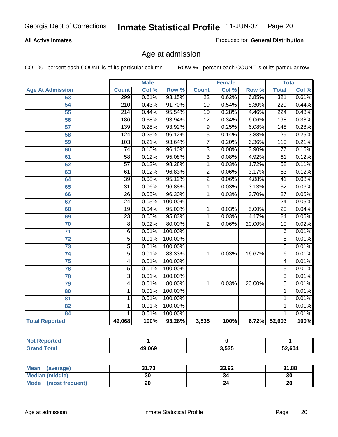#### **All Active Inmates**

Produced for **General Distribution**

### Age at admission

|                         | <b>Male</b>      |       | <b>Female</b>    |                           |       | <b>Total</b>     |                  |       |
|-------------------------|------------------|-------|------------------|---------------------------|-------|------------------|------------------|-------|
| <b>Age At Admission</b> | <b>Count</b>     | Col % | Row <sup>%</sup> | <b>Count</b>              | Col % | Row <sup>%</sup> | <b>Total</b>     | Col % |
| 53                      | 299              | 0.61% | 93.15%           | $\overline{22}$           | 0.62% | 6.85%            | 321              | 0.61% |
| 54                      | $\overline{210}$ | 0.43% | 91.70%           | $\overline{19}$           | 0.54% | 8.30%            | 229              | 0.44% |
| $\overline{55}$         | $\overline{214}$ | 0.44% | 95.54%           | $\overline{10}$           | 0.28% | 4.46%            | $\overline{224}$ | 0.43% |
| $\overline{56}$         | 186              | 0.38% | 93.94%           | $\overline{12}$           | 0.34% | 6.06%            | 198              | 0.38% |
| $\overline{57}$         | 139              | 0.28% | 93.92%           | $\overline{9}$            | 0.25% | 6.08%            | 148              | 0.28% |
| 58                      | 124              | 0.25% | 96.12%           | $\overline{5}$            | 0.14% | 3.88%            | 129              | 0.25% |
| 59                      | $\overline{103}$ | 0.21% | 93.64%           | $\overline{7}$            | 0.20% | 6.36%            | 110              | 0.21% |
| 60                      | $\overline{74}$  | 0.15% | 96.10%           | $\overline{3}$            | 0.08% | 3.90%            | $\overline{77}$  | 0.15% |
| 61                      | $\overline{58}$  | 0.12% | 95.08%           | $\overline{\overline{3}}$ | 0.08% | 4.92%            | 61               | 0.12% |
| 62                      | $\overline{57}$  | 0.12% | 98.28%           | $\overline{1}$            | 0.03% | 1.72%            | $\overline{58}$  | 0.11% |
| 63                      | 61               | 0.12% | 96.83%           | $\overline{2}$            | 0.06% | 3.17%            | $\overline{63}$  | 0.12% |
| 64                      | $\overline{39}$  | 0.08% | 95.12%           | $\overline{2}$            | 0.06% | 4.88%            | $\overline{41}$  | 0.08% |
| 65                      | $\overline{31}$  | 0.06% | 96.88%           | $\overline{1}$            | 0.03% | 3.13%            | $\overline{32}$  | 0.06% |
| 66                      | $\overline{26}$  | 0.05% | 96.30%           | $\overline{1}$            | 0.03% | 3.70%            | $\overline{27}$  | 0.05% |
| 67                      | $\overline{24}$  | 0.05% | 100.00%          |                           |       |                  | $\overline{24}$  | 0.05% |
| 68                      | $\overline{19}$  | 0.04% | 95.00%           | 1                         | 0.03% | 5.00%            | $\overline{20}$  | 0.04% |
| 69                      | $\overline{23}$  | 0.05% | 95.83%           | 1                         | 0.03% | 4.17%            | 24               | 0.05% |
| 70                      | $\overline{8}$   | 0.02% | 80.00%           | $\overline{2}$            | 0.06% | 20.00%           | $\overline{10}$  | 0.02% |
| 71                      | $\overline{6}$   | 0.01% | 100.00%          |                           |       |                  | 6                | 0.01% |
| $\overline{72}$         | $\overline{5}$   | 0.01% | 100.00%          |                           |       |                  | $\overline{5}$   | 0.01% |
| $\overline{73}$         | $\overline{5}$   | 0.01% | 100.00%          |                           |       |                  | $\overline{5}$   | 0.01% |
| $\overline{74}$         | $\overline{5}$   | 0.01% | 83.33%           | 1                         | 0.03% | 16.67%           | $\overline{6}$   | 0.01% |
| $\overline{75}$         | 4                | 0.01% | 100.00%          |                           |       |                  | 4                | 0.01% |
| 76                      | $\overline{5}$   | 0.01% | 100.00%          |                           |       |                  | 5                | 0.01% |
| 78                      | $\overline{3}$   | 0.01% | 100.00%          |                           |       |                  | $\overline{3}$   | 0.01% |
| 79                      | $\overline{4}$   | 0.01% | 80.00%           | $\mathbf{1}$              | 0.03% | 20.00%           | $\overline{5}$   | 0.01% |
| 80                      | 1                | 0.01% | 100.00%          |                           |       |                  | 1                | 0.01% |
| $\overline{81}$         | $\mathbf{1}$     | 0.01% | 100.00%          |                           |       |                  | 1                | 0.01% |
| 82                      | $\mathbf{1}$     | 0.01% | 100.00%          |                           |       |                  | 1                | 0.01% |
| 84                      | 1                | 0.01% | 100.00%          |                           |       |                  | 1                | 0.01% |
| <b>Total Reported</b>   | 49,068           | 100%  | 93.28%           | 3,535                     | 100%  | 6.72%            | 52,603           | 100%  |

| <b>Not Reported</b> |        |       |        |
|---------------------|--------|-------|--------|
| <b>Grand Total</b>  | 49,069 | 3,535 | 52,604 |

| <b>Mean</b><br>(average) | 31.73 | 33.92 | 31.88 |
|--------------------------|-------|-------|-------|
| <b>Median (middle)</b>   | 30    | 34    | 30    |
| Mode<br>(most frequent)  | ۷J    |       | 20    |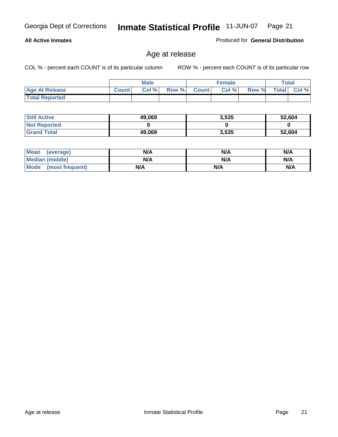#### **All Active Inmates**

Produced for **General Distribution**

### Age at release

|                       |              | <b>Male</b> |       |              | <b>Female</b> |       |              | <b>Total</b> |
|-----------------------|--------------|-------------|-------|--------------|---------------|-------|--------------|--------------|
| <b>Age At Release</b> | <b>Count</b> | Col %       | Row % | <b>Count</b> | Col %         | Row % | <b>Total</b> | Col %        |
| <b>Total Reported</b> |              |             |       |              |               |       |              |              |

| <b>Still Active</b> | 49,069 | 3,535 | 52,604 |
|---------------------|--------|-------|--------|
| <b>Not Reported</b> |        |       |        |
| <b>Grand Total</b>  | 49,069 | 3,535 | 52,604 |

| Mean (average)       | N/A | N/A | N/A |
|----------------------|-----|-----|-----|
| Median (middle)      | N/A | N/A | N/A |
| Mode (most frequent) | N/A | N/A | N/A |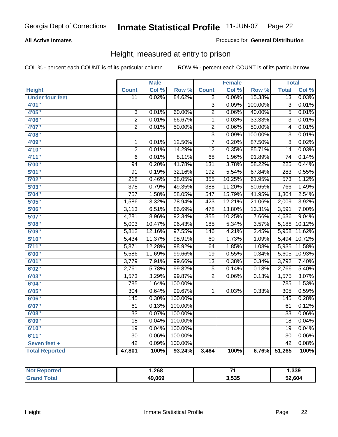#### **All Active Inmates**

#### Produced for **General Distribution**

### Height, measured at entry to prison

|                        |                  | <b>Male</b> |                  |                           | <b>Female</b> |         | <b>Total</b>     |        |
|------------------------|------------------|-------------|------------------|---------------------------|---------------|---------|------------------|--------|
| <b>Height</b>          | <b>Count</b>     | Col %       | Row <sup>%</sup> | <b>Count</b>              | Col %         | Row %   | <b>Total</b>     | Col %  |
| <b>Under four feet</b> | $\overline{11}$  | 0.02%       | 84.62%           | 2                         | 0.06%         | 15.38%  | $\overline{13}$  | 0.03%  |
| 4'01''                 |                  |             |                  | $\overline{\overline{3}}$ | 0.09%         | 100.00% | $\overline{3}$   | 0.01%  |
| 4'05''                 | $\overline{3}$   | 0.01%       | 60.00%           | $\overline{2}$            | 0.06%         | 40.00%  | $\overline{5}$   | 0.01%  |
| 4'06"                  | $\overline{2}$   | 0.01%       | 66.67%           | $\overline{1}$            | 0.03%         | 33.33%  | $\overline{3}$   | 0.01%  |
| 4'07"                  | $\overline{2}$   | 0.01%       | 50.00%           | $\overline{2}$            | 0.06%         | 50.00%  | 4                | 0.01%  |
| 4'08"                  |                  |             |                  | $\overline{3}$            | 0.09%         | 100.00% | 3                | 0.01%  |
| 4'09"                  | $\mathbf 1$      | 0.01%       | 12.50%           | $\overline{7}$            | 0.20%         | 87.50%  | $\overline{8}$   | 0.02%  |
| 4'10"                  | $\overline{2}$   | 0.01%       | 14.29%           | $\overline{12}$           | 0.35%         | 85.71%  | 14               | 0.03%  |
| 4'11''                 | 6                | 0.01%       | 8.11%            | 68                        | 1.96%         | 91.89%  | $\overline{74}$  | 0.14%  |
| 5'00''                 | 94               | 0.20%       | 41.78%           | 131                       | 3.78%         | 58.22%  | $\overline{225}$ | 0.44%  |
| 5'01''                 | $\overline{91}$  | 0.19%       | 32.16%           | 192                       | 5.54%         | 67.84%  | 283              | 0.55%  |
| 5'02''                 | $\overline{218}$ | 0.46%       | 38.05%           | 355                       | 10.25%        | 61.95%  | 573              | 1.12%  |
| 5'03''                 | 378              | 0.79%       | 49.35%           | 388                       | 11.20%        | 50.65%  | 766              | 1.49%  |
| 5'04"                  | $\overline{757}$ | 1.58%       | 58.05%           | $\overline{547}$          | 15.79%        | 41.95%  | 1,304            | 2.54%  |
| 5'05''                 | 1,586            | 3.32%       | 78.94%           | 423                       | 12.21%        | 21.06%  | 2,009            | 3.92%  |
| 5'06''                 | 3,113            | 6.51%       | 86.69%           | 478                       | 13.80%        | 13.31%  | 3,591            | 7.00%  |
| 5'07''                 | 4,281            | 8.96%       | 92.34%           | 355                       | 10.25%        | 7.66%   | 4,636            | 9.04%  |
| 5'08''                 | 5,003            | 10.47%      | 96.43%           | 185                       | 5.34%         | 3.57%   | 5,188            | 10.12% |
| 5'09''                 | 5,812            | 12.16%      | 97.55%           | 146                       | 4.21%         | 2.45%   | 5,958            | 11.62% |
| 5'10''                 | 5,434            | 11.37%      | 98.91%           | 60                        | 1.73%         | 1.09%   | 5,494            | 10.72% |
| 5'11''                 | 5,871            | 12.28%      | 98.92%           | 64                        | 1.85%         | 1.08%   | 5,935            | 11.58% |
| 6'00''                 | 5,586            | 11.69%      | 99.66%           | $\overline{19}$           | 0.55%         | 0.34%   | 5,605            | 10.93% |
| 6'01''                 | 3,779            | 7.91%       | 99.66%           | $\overline{13}$           | 0.38%         | 0.34%   | 3,792            | 7.40%  |
| 6'02''                 | 2,761            | 5.78%       | 99.82%           | $\overline{5}$            | 0.14%         | 0.18%   | 2,766            | 5.40%  |
| 6'03''                 | 1,573            | 3.29%       | 99.87%           | $\overline{2}$            | 0.06%         | 0.13%   | 1,575            | 3.07%  |
| 6'04''                 | 785              | 1.64%       | 100.00%          |                           |               |         | 785              | 1.53%  |
| 6'05''                 | $\overline{304}$ | 0.64%       | 99.67%           | 1                         | 0.03%         | 0.33%   | 305              | 0.59%  |
| 6'06''                 | 145              | 0.30%       | 100.00%          |                           |               |         | 145              | 0.28%  |
| 6'07''                 | 61               | 0.13%       | 100.00%          |                           |               |         | 61               | 0.12%  |
| 6'08''                 | $\overline{33}$  | 0.07%       | 100.00%          |                           |               |         | $\overline{33}$  | 0.06%  |
| 6'09''                 | $\overline{18}$  | 0.04%       | 100.00%          |                           |               |         | $\overline{18}$  | 0.04%  |
| 6'10''                 | 19               | 0.04%       | 100.00%          |                           |               |         | $\overline{19}$  | 0.04%  |
| 6'11''                 | $\overline{30}$  | 0.06%       | 100.00%          |                           |               |         | $\overline{30}$  | 0.06%  |
| Seven feet +           | $\overline{42}$  | 0.09%       | 100.00%          |                           |               |         | $\overline{42}$  | 0.08%  |
| <b>Total Reported</b>  | 47,801           | 100%        | 93.24%           | 3,464                     | 100%          | 6.76%   | 51,265           | 100%   |

| orted (                  | . 268. |       | 339. ا |
|--------------------------|--------|-------|--------|
| <sup>-</sup> otal<br>Gra | 49,069 | 3.535 | 52,604 |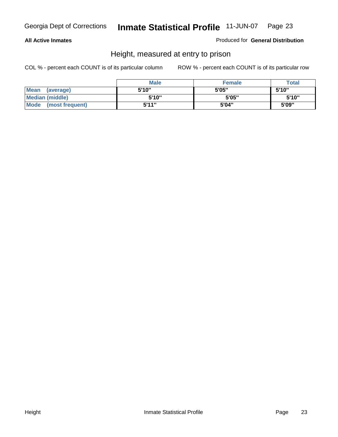#### **All Active Inmates**

#### Produced for **General Distribution**

### Height, measured at entry to prison

|                        | <b>Male</b> | <b>Female</b> | <b>Total</b> |
|------------------------|-------------|---------------|--------------|
| Mean (average)         | 5'10"       | 5'05"         | 5'10''       |
| <b>Median (middle)</b> | 5'10''      | 5'05"         | 5'10"        |
| Mode (most frequent)   | 5'11"       | 5'04"         | 5'09"        |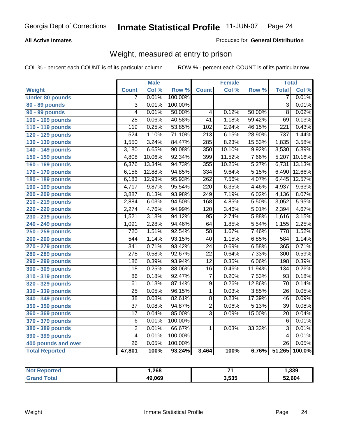#### **All Active Inmates**

#### Produced for **General Distribution**

### Weight, measured at entry to prison

|                        |                           | <b>Male</b> |         |                  | <b>Female</b> |        | <b>Total</b>     |        |
|------------------------|---------------------------|-------------|---------|------------------|---------------|--------|------------------|--------|
| Weight                 | <b>Count</b>              | Col %       | Row %   | <b>Count</b>     | Col %         | Row %  | <b>Total</b>     | Col %  |
| <b>Under 80 pounds</b> | 7                         | 0.01%       | 100.00% |                  |               |        | 7                | 0.01%  |
| 80 - 89 pounds         | $\overline{\overline{3}}$ | 0.01%       | 100.00% |                  |               |        | $\overline{3}$   | 0.01%  |
| 90 - 99 pounds         | $\overline{4}$            | 0.01%       | 50.00%  | $\overline{4}$   | 0.12%         | 50.00% | $\overline{8}$   | 0.02%  |
| 100 - 109 pounds       | $\overline{28}$           | 0.06%       | 40.58%  | $\overline{41}$  | 1.18%         | 59.42% | 69               | 0.13%  |
| 110 - 119 pounds       | 119                       | 0.25%       | 53.85%  | 102              | 2.94%         | 46.15% | $\overline{221}$ | 0.43%  |
| 120 - 129 pounds       | 524                       | 1.10%       | 71.10%  | $\overline{213}$ | 6.15%         | 28.90% | 737              | 1.44%  |
| 130 - 139 pounds       | 1,550                     | 3.24%       | 84.47%  | $\overline{285}$ | 8.23%         | 15.53% | 1,835            | 3.58%  |
| 140 - 149 pounds       | 3,180                     | 6.65%       | 90.08%  | 350              | 10.10%        | 9.92%  | 3,530            | 6.89%  |
| 150 - 159 pounds       | 4,808                     | 10.06%      | 92.34%  | 399              | 11.52%        | 7.66%  | 5,207            | 10.16% |
| 160 - 169 pounds       | 6,376                     | 13.34%      | 94.73%  | 355              | 10.25%        | 5.27%  | 6,731            | 13.13% |
| 170 - 179 pounds       | 6,156                     | 12.88%      | 94.85%  | 334              | 9.64%         | 5.15%  | 6,490            | 12.66% |
| 180 - 189 pounds       | 6,183                     | 12.93%      | 95.93%  | 262              | 7.56%         | 4.07%  | 6,445            | 12.57% |
| 190 - 199 pounds       | 4,717                     | 9.87%       | 95.54%  | $\overline{220}$ | 6.35%         | 4.46%  | 4,937            | 9.63%  |
| 200 - 209 pounds       | 3,887                     | 8.13%       | 93.98%  | 249              | 7.19%         | 6.02%  | 4,136            | 8.07%  |
| 210 - 219 pounds       | 2,884                     | 6.03%       | 94.50%  | 168              | 4.85%         | 5.50%  | 3,052            | 5.95%  |
| 220 - 229 pounds       | 2,274                     | 4.76%       | 94.99%  | 120              | 3.46%         | 5.01%  | 2,394            | 4.67%  |
| 230 - 239 pounds       | 1,521                     | 3.18%       | 94.12%  | $\overline{95}$  | 2.74%         | 5.88%  | 1,616            | 3.15%  |
| 240 - 249 pounds       | 1,091                     | 2.28%       | 94.46%  | 64               | 1.85%         | 5.54%  | 1,155            | 2.25%  |
| 250 - 259 pounds       | 720                       | 1.51%       | 92.54%  | $\overline{58}$  | 1.67%         | 7.46%  | 778              | 1.52%  |
| 260 - 269 pounds       | 544                       | 1.14%       | 93.15%  | $\overline{40}$  | 1.15%         | 6.85%  | 584              | 1.14%  |
| 270 - 279 pounds       | 341                       | 0.71%       | 93.42%  | $\overline{24}$  | 0.69%         | 6.58%  | 365              | 0.71%  |
| 280 - 289 pounds       | $\overline{278}$          | 0.58%       | 92.67%  | $\overline{22}$  | 0.64%         | 7.33%  | $\overline{300}$ | 0.59%  |
| 290 - 299 pounds       | 186                       | 0.39%       | 93.94%  | $\overline{12}$  | 0.35%         | 6.06%  | 198              | 0.39%  |
| 300 - 309 pounds       | 118                       | 0.25%       | 88.06%  | $\overline{16}$  | 0.46%         | 11.94% | 134              | 0.26%  |
| 310 - 319 pounds       | 86                        | 0.18%       | 92.47%  | 7                | 0.20%         | 7.53%  | $\overline{93}$  | 0.18%  |
| 320 - 329 pounds       | 61                        | 0.13%       | 87.14%  | $\overline{9}$   | 0.26%         | 12.86% | 70               | 0.14%  |
| 330 - 339 pounds       | $\overline{25}$           | 0.05%       | 96.15%  | $\mathbf{1}$     | 0.03%         | 3.85%  | $\overline{26}$  | 0.05%  |
| 340 - 349 pounds       | 38                        | 0.08%       | 82.61%  | $\overline{8}$   | 0.23%         | 17.39% | 46               | 0.09%  |
| 350 - 359 pounds       | $\overline{37}$           | 0.08%       | 94.87%  | $\overline{2}$   | 0.06%         | 5.13%  | $\overline{39}$  | 0.08%  |
| 360 - 369 pounds       | $\overline{17}$           | 0.04%       | 85.00%  | $\overline{3}$   | 0.09%         | 15.00% | $\overline{20}$  | 0.04%  |
| 370 - 379 pounds       | $\overline{6}$            | 0.01%       | 100.00% |                  |               |        | $6\phantom{1}6$  | 0.01%  |
| 380 - 389 pounds       | $\overline{2}$            | 0.01%       | 66.67%  | 1                | 0.03%         | 33.33% | $\overline{3}$   | 0.01%  |
| 390 - 399 pounds       | $\overline{4}$            | 0.01%       | 100.00% |                  |               |        | 4                | 0.01%  |
| 400 pounds and over    | $\overline{26}$           | 0.05%       | 100.00% |                  |               |        | $\overline{26}$  | 0.05%  |
| <b>Total Reported</b>  | 47,801                    | 100%        | 93.24%  | 3,464            | 100%          | 6.76%  | 51,265           | 100.0% |

| : Reported<br><b>Not</b> | 268. ا | -24   | 339,   |
|--------------------------|--------|-------|--------|
| `otal<br>Gra             | 49,069 | 3,535 | 52,604 |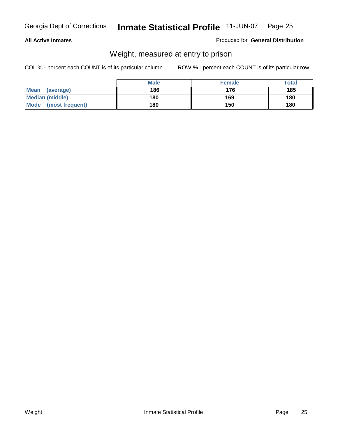#### **All Active Inmates**

#### Produced for **General Distribution**

### Weight, measured at entry to prison

|                         | <b>Male</b> | <b>Female</b> | Total |
|-------------------------|-------------|---------------|-------|
| Mean<br>(average)       | 186         | 176           | 185   |
| <b>Median (middle)</b>  | 180         | 169           | 180   |
| Mode<br>(most frequent) | 180         | 150           | 180   |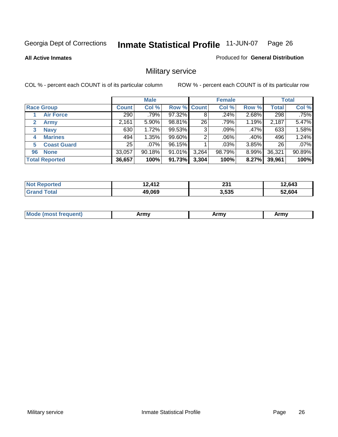**All Active Inmates**

#### Produced for **General Distribution**

### Military service

|                             |              | <b>Male</b> |                    |       | <b>Female</b> |          |              | <b>Total</b> |
|-----------------------------|--------------|-------------|--------------------|-------|---------------|----------|--------------|--------------|
| <b>Race Group</b>           | <b>Count</b> | Col %       | <b>Row % Count</b> |       | Col %         | Row %    | <b>Total</b> | Col %        |
| <b>Air Force</b>            | 290          | .79%        | 97.32%             | 8     | .24%          | 2.68%    | 298          | .75%         |
| $\mathbf{2}$<br><b>Army</b> | 2,161        | 5.90%       | 98.81%             | 26    | .79%          | 1.19%    | 2,187        | 5.47%        |
| <b>Navy</b><br>3            | 630          | 1.72%       | 99.53%             | 3     | .09%          | .47%     | 633          | 1.58%        |
| <b>Marines</b><br>4         | 494          | 1.35%       | 99.60%             | 2     | $.06\%$       | .40%     | 496          | 1.24%        |
| <b>Coast Guard</b><br>5     | 25           | $.07\%$     | 96.15%             |       | .03%          | 3.85%    | 26           | .07%         |
| <b>None</b><br>96           | 33,057       | 90.18%      | 91.01%             | 3,264 | 98.79%        | $8.99\%$ | 36,321       | 90.89%       |
| <b>Total Reported</b>       | 36,657       | 100%        | 91.73%             | 3,304 | 100%          | 8.27%    | 39,961       | 100%         |

| orted<br>NO.          | 12,412 | つつへ<br>ZJ I | 2,643  |
|-----------------------|--------|-------------|--------|
| ⊺otal<br><b>Grand</b> | 49,069 | 3.535       | 52,604 |

|  | <b>Mou</b> | Army | Army | Army |
|--|------------|------|------|------|
|--|------------|------|------|------|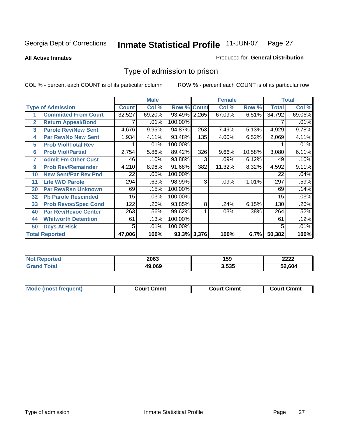#### **All Active Inmates**

#### Produced for **General Distribution**

### Type of admission to prison

|                |                             |              | <b>Male</b> |                    |     | <b>Female</b> |        |              | <b>Total</b> |
|----------------|-----------------------------|--------------|-------------|--------------------|-----|---------------|--------|--------------|--------------|
|                | <b>Type of Admission</b>    | <b>Count</b> | Col %       | <b>Row % Count</b> |     | Col %         | Row %  | <b>Total</b> | Col %        |
| 1              | <b>Committed From Court</b> | 32,527       | 69.20%      | 93.49% 2,265       |     | 67.09%        | 6.51%  | 34,792       | 69.06%       |
| $\overline{2}$ | <b>Return Appeal/Bond</b>   |              | .01%        | 100.00%            |     |               |        |              | .01%         |
| 3              | <b>Parole Rev/New Sent</b>  | 4,676        | 9.95%       | 94.87%             | 253 | 7.49%         | 5.13%  | 4,929        | 9.78%        |
| 4              | <b>Par Rev/No New Sent</b>  | 1,934        | 4.11%       | 93.48%             | 135 | 4.00%         | 6.52%  | 2,069        | 4.11%        |
| 5              | <b>Prob Viol/Total Rev</b>  |              | .01%        | 100.00%            |     |               |        |              | .01%         |
| 6              | <b>Prob Viol/Partial</b>    | 2,754        | 5.86%       | 89.42%             | 326 | 9.66%         | 10.58% | 3,080        | 6.11%        |
| 7              | <b>Admit Fm Other Cust</b>  | 46           | .10%        | 93.88%             | 3   | .09%          | 6.12%  | 49           | .10%         |
| 9              | <b>Prob Rev/Remainder</b>   | 4,210        | 8.96%       | 91.68%             | 382 | 11.32%        | 8.32%  | 4,592        | 9.11%        |
| 10             | <b>New Sent/Par Rev Pnd</b> | 22           | .05%        | 100.00%            |     |               |        | 22           | .04%         |
| 11             | <b>Life W/O Parole</b>      | 294          | .63%        | 98.99%             | 3   | .09%          | 1.01%  | 297          | .59%         |
| 30             | <b>Par Rev/Rsn Unknown</b>  | 69           | .15%        | 100.00%            |     |               |        | 69           | .14%         |
| 32             | <b>Pb Parole Rescinded</b>  | 15           | .03%        | 100.00%            |     |               |        | 15           | .03%         |
| 33             | <b>Prob Revoc/Spec Cond</b> | 122          | .26%        | 93.85%             | 8   | .24%          | 6.15%  | 130          | .26%         |
| 40             | <b>Par Rev/Revoc Center</b> | 263          | .56%        | 99.62%             |     | .03%          | .38%   | 264          | .52%         |
| 44             | <b>Whitworth Detention</b>  | 61           | .13%        | 100.00%            |     |               |        | 61           | .12%         |
| 50             | <b>Dcys At Risk</b>         | 5            | .01%        | 100.00%            |     |               |        | 5            | .01%         |
|                | <b>Total Reported</b>       | 47,006       | 100%        | 93.3% 3,376        |     | 100%          | 6.7%   | 50,382       | 100%         |

| NO)<br>τeα | 2063   | 159   | 2222         |
|------------|--------|-------|--------------|
|            | 49.069 | 3,535 | <b>2.604</b> |

| Mou.<br>uent)<br>most trea | Court Cmmt | Cmmt<br>COULLET. | Cmm<br>∶ourt |
|----------------------------|------------|------------------|--------------|
|                            |            |                  |              |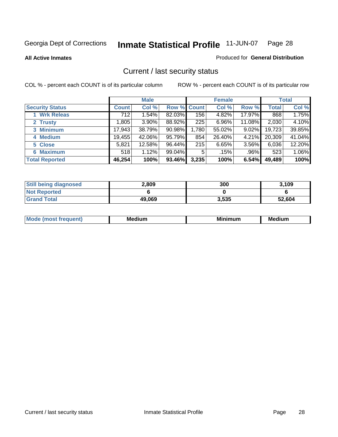**All Active Inmates**

#### Produced for **General Distribution**

### Current / last security status

|                        |              | <b>Male</b> |             |       | <b>Female</b> |          |              | <b>Total</b> |
|------------------------|--------------|-------------|-------------|-------|---------------|----------|--------------|--------------|
| <b>Security Status</b> | <b>Count</b> | Col %       | Row % Count |       | Col %         | Row %    | <b>Total</b> | Col %        |
| 1 Wrk Releas           | 712          | 1.54%       | 82.03%      | 156   | 4.82%         | 17.97%   | 868          | 1.75%        |
| 2 Trusty               | 1,805        | 3.90%       | 88.92%      | 225   | 6.96%         | 11.08%   | 2,030        | 4.10%        |
| 3 Minimum              | 17,943       | 38.79%      | 90.98%      | 1,780 | 55.02%        | $9.02\%$ | 19,723       | 39.85%       |
| 4 Medium               | 19,455       | 42.06%      | 95.79%      | 854   | 26.40%        | 4.21%    | 20,309       | 41.04%       |
| 5 Close                | 5,821        | 12.58%      | 96.44%      | 215   | 6.65%         | 3.56%    | 6,036        | 12.20%       |
| 6 Maximum              | 518          | 1.12%       | 99.04%      | 5     | .15%          | $.96\%$  | 523          | 1.06%        |
| <b>Total Reported</b>  | 46,254       | 100%        | 93.46%      | 3,235 | 100%          | 6.54%    | 49,489       | 100%         |

| <b>Still being diagnosed</b> | 2,809  | 300   | 3,109  |
|------------------------------|--------|-------|--------|
| <b>Not Reported</b>          |        |       |        |
| <b>Grand Total</b>           | 49.069 | 3,535 | 52,604 |

| M | <br><br>$  -$ | <br>- -<br>Me |
|---|---------------|---------------|
|   |               |               |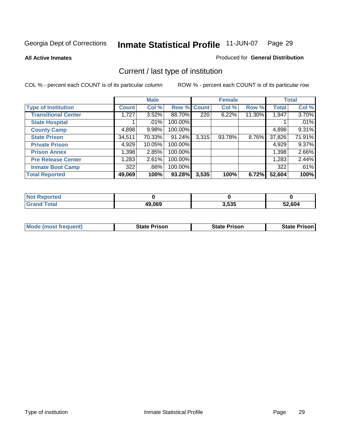**All Active Inmates**

#### Produced for **General Distribution**

### Current / last type of institution

|                            |              | <b>Male</b> |         |                  | <b>Female</b> |          |              | <b>Total</b> |
|----------------------------|--------------|-------------|---------|------------------|---------------|----------|--------------|--------------|
| <b>Type of Institution</b> | <b>Count</b> | Col %       | Row %   | <b>Count</b>     | Col %         | Row %    | <b>Total</b> | Col %        |
| <b>Transitional Center</b> | 1,727        | 3.52%       | 88.70%  | $\overline{220}$ | 6.22%         | 11.30%   | 1,947        | 3.70%        |
| <b>State Hospital</b>      |              | $.01\%$     | 100.00% |                  |               |          |              | .01%         |
| <b>County Camp</b>         | 4,898        | 9.98%       | 100.00% |                  |               |          | 4,898        | 9.31%        |
| <b>State Prison</b>        | 34,511       | 70.33%      | 91.24%  | 3,315            | 93.78%        | $8.76\%$ | 37,826       | 71.91%       |
| <b>Private Prison</b>      | 4,929        | 10.05%      | 100.00% |                  |               |          | 4,929        | 9.37%        |
| <b>Prison Annex</b>        | 1,398        | 2.85%       | 100.00% |                  |               |          | 1,398        | 2.66%        |
| <b>Pre Release Center</b>  | 1,283        | 2.61%       | 100.00% |                  |               |          | 1,283        | 2.44%        |
| <b>Inmate Boot Camp</b>    | 322          | .66%        | 100.00% |                  |               |          | 322          | .61%         |
| <b>Total Reported</b>      | 49,069       | 100%        | 93.28%  | 3,535            | 100%          | 6.72%    | 52,604       | 100%         |

| <b>Not Reported</b> |        |       |        |
|---------------------|--------|-------|--------|
| <b>Grand Total</b>  | 49,069 | 3,535 | 52.604 |

| <b>Mode (most frequent)</b> | State Prison | <b>State Prison</b> | <b>State Prison I</b> |
|-----------------------------|--------------|---------------------|-----------------------|
|                             |              |                     |                       |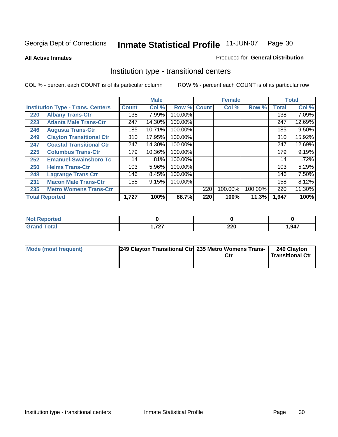**All Active Inmates**

#### Produced for **General Distribution**

### Institution type - transitional centers

|     |                                          |              | <b>Male</b> |         |              | <b>Female</b> |         |              | <b>Total</b> |
|-----|------------------------------------------|--------------|-------------|---------|--------------|---------------|---------|--------------|--------------|
|     | <b>Institution Type - Trans. Centers</b> | <b>Count</b> | Col %       | Row %   | <b>Count</b> | Col %         | Row %   | <b>Total</b> | Col %        |
| 220 | <b>Albany Trans-Ctr</b>                  | 138          | 7.99%       | 100.00% |              |               |         | 138          | 7.09%        |
| 223 | <b>Atlanta Male Trans-Ctr</b>            | 247          | 14.30%      | 100.00% |              |               |         | 247          | 12.69%       |
| 246 | <b>Augusta Trans-Ctr</b>                 | 185          | 10.71%      | 100.00% |              |               |         | 185          | $9.50\%$     |
| 249 | <b>Clayton Transitional Ctr</b>          | 310          | 17.95%      | 100.00% |              |               |         | 310          | 15.92%       |
| 247 | <b>Coastal Transitional Ctr</b>          | 247          | 14.30%      | 100.00% |              |               |         | 247          | 12.69%       |
| 225 | <b>Columbus Trans-Ctr</b>                | 179          | 10.36%      | 100.00% |              |               |         | 179          | 9.19%        |
| 252 | <b>Emanuel-Swainsboro Tc</b>             | 14           | .81%        | 100.00% |              |               |         | 14           | .72%         |
| 250 | <b>Helms Trans-Ctr</b>                   | 103          | 5.96%       | 100.00% |              |               |         | 103          | 5.29%        |
| 248 | <b>Lagrange Trans Ctr</b>                | 146          | 8.45%       | 100.00% |              |               |         | 146          | 7.50%        |
| 231 | <b>Macon Male Trans-Ctr</b>              | 158          | 9.15%       | 100.00% |              |               |         | 158          | 8.12%        |
| 235 | <b>Metro Womens Trans-Ctr</b>            |              |             |         | 220          | 100.00%       | 100.00% | 220          | 11.30%       |
|     | <b>Total Reported</b>                    | 1,727        | 100%        | 88.7%   | 220          | 100%          | 11.3%   | 1,947        | 100%         |

| <b>ortea</b><br>N<br>. |          |                  |      |
|------------------------|----------|------------------|------|
| $-1$                   | ラヘラ<br>. | nne<br>LLV<br>__ | ,947 |

| Mode (most frequent) | 249 Clayton Transitional Ctrl 235 Metro Womens Trans- | Ctr | 249 Clayton<br><b>Transitional Ctr</b> |
|----------------------|-------------------------------------------------------|-----|----------------------------------------|
|                      |                                                       |     |                                        |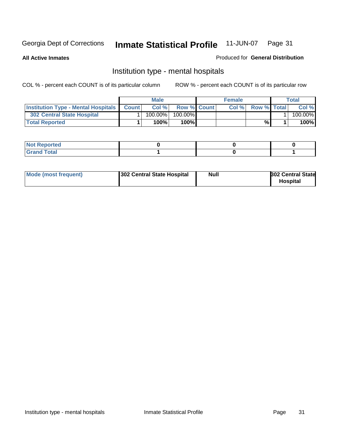**All Active Inmates**

#### Produced for **General Distribution**

### Institution type - mental hospitals

|                                                  | <b>Male</b> |                    | <b>Female</b> |                    | Total   |
|--------------------------------------------------|-------------|--------------------|---------------|--------------------|---------|
| <b>Institution Type - Mental Hospitals Count</b> | Col%        | <b>Row % Count</b> | Col%          | <b>Row % Total</b> | Col %   |
| <b>302 Central State Hospital</b>                | $100.00\%$  | 100.00%            |               |                    | 100.00% |
| <b>Total Reported</b>                            | 100%        | 100%               |               | %                  | 100%    |

| Not Reported |  |  |
|--------------|--|--|
| <b>Total</b> |  |  |

| Mode (most frequent)<br>302 Central State Hospital | Null | <b>302 Central State</b><br><b>Hospital</b> |
|----------------------------------------------------|------|---------------------------------------------|
|----------------------------------------------------|------|---------------------------------------------|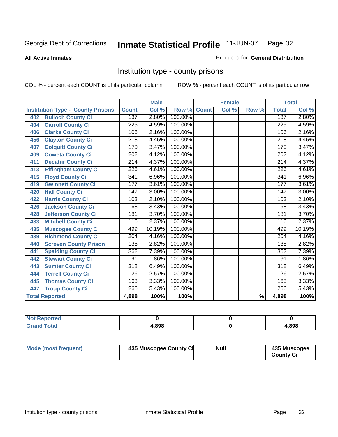#### **All Active Inmates**

#### Produced for **General Distribution**

### Institution type - county prisons

|                                          |                  | <b>Male</b> |         |              | <b>Female</b>             |                          |                  | <b>Total</b> |
|------------------------------------------|------------------|-------------|---------|--------------|---------------------------|--------------------------|------------------|--------------|
| <b>Institution Type - County Prisons</b> | <b>Count</b>     | Col %       | Row %   | <b>Count</b> | $\overline{\text{Col}}$ % | Row %                    | <b>Total</b>     | Col %        |
| <b>Bulloch County Ci</b><br>402          | 137              | 2.80%       | 100.00% |              |                           |                          | 137              | 2.80%        |
| <b>Carroll County Ci</b><br>404          | $\overline{225}$ | 4.59%       | 100.00% |              |                           |                          | 225              | 4.59%        |
| <b>Clarke County Ci</b><br>406           | 106              | 2.16%       | 100.00% |              |                           |                          | 106              | 2.16%        |
| <b>Clayton County Ci</b><br>456          | 218              | 4.45%       | 100.00% |              |                           |                          | $\overline{218}$ | 4.45%        |
| <b>Colquitt County Ci</b><br>407         | 170              | 3.47%       | 100.00% |              |                           |                          | 170              | 3.47%        |
| <b>Coweta County Ci</b><br>409           | $\overline{202}$ | 4.12%       | 100.00% |              |                           |                          | $\overline{202}$ | 4.12%        |
| <b>Decatur County Ci</b><br>411          | 214              | 4.37%       | 100.00% |              |                           |                          | $\overline{214}$ | 4.37%        |
| <b>Effingham County Ci</b><br>413        | 226              | 4.61%       | 100.00% |              |                           |                          | 226              | 4.61%        |
| <b>Floyd County Ci</b><br>415            | 341              | 6.96%       | 100.00% |              |                           |                          | 341              | 6.96%        |
| <b>Gwinnett County Ci</b><br>419         | 177              | 3.61%       | 100.00% |              |                           |                          | 177              | 3.61%        |
| <b>Hall County Ci</b><br>420             | 147              | 3.00%       | 100.00% |              |                           |                          | 147              | 3.00%        |
| <b>Harris County Ci</b><br>422           | 103              | 2.10%       | 100.00% |              |                           |                          | 103              | 2.10%        |
| <b>Jackson County Ci</b><br>426          | 168              | 3.43%       | 100.00% |              |                           |                          | 168              | 3.43%        |
| <b>Jefferson County Ci</b><br>428        | 181              | 3.70%       | 100.00% |              |                           |                          | 181              | 3.70%        |
| <b>Mitchell County Ci</b><br>433         | 116              | 2.37%       | 100.00% |              |                           |                          | 116              | 2.37%        |
| <b>Muscogee County Ci</b><br>435         | 499              | 10.19%      | 100.00% |              |                           |                          | 499              | 10.19%       |
| <b>Richmond County Ci</b><br>439         | 204              | 4.16%       | 100.00% |              |                           |                          | 204              | 4.16%        |
| <b>Screven County Prison</b><br>440      | 138              | 2.82%       | 100.00% |              |                           |                          | 138              | 2.82%        |
| <b>Spalding County Ci</b><br>441         | 362              | 7.39%       | 100.00% |              |                           |                          | 362              | 7.39%        |
| <b>Stewart County Ci</b><br>442          | 91               | 1.86%       | 100.00% |              |                           |                          | 91               | 1.86%        |
| <b>Sumter County Ci</b><br>443           | $\overline{318}$ | 6.49%       | 100.00% |              |                           |                          | $\overline{318}$ | 6.49%        |
| <b>Terrell County Ci</b><br>444          | 126              | 2.57%       | 100.00% |              |                           |                          | 126              | 2.57%        |
| <b>Thomas County Ci</b><br>445           | 163              | 3.33%       | 100.00% |              |                           |                          | 163              | 3.33%        |
| <b>Troup County Ci</b><br>447            | 266              | 5.43%       | 100.00% |              |                           |                          | 266              | 5.43%        |
| <b>Total Reported</b>                    | 4,898            | 100%        | 100%    |              |                           | $\overline{\frac{9}{6}}$ | 4,898            | 100%         |

| iteto.                      |       |            |
|-----------------------------|-------|------------|
| $\sim$ $\sim$ $\sim$ $\sim$ | 4.898 | 000<br>סשר |

| Mode (most frequent) | 435 Muscogee County Ci | <b>Null</b> | 435 Muscogee     |
|----------------------|------------------------|-------------|------------------|
|                      |                        |             | <b>County Ci</b> |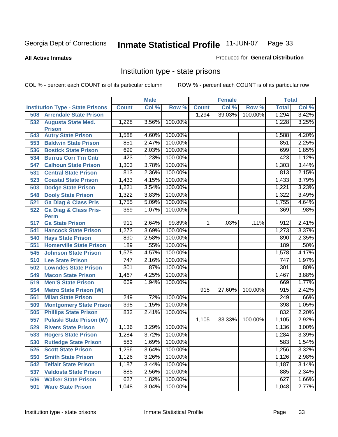**All Active Inmates**

#### Produced for **General Distribution**

### Institution type - state prisons

|     |                                            |                  | <b>Male</b> |         |              | <b>Female</b> |         | <b>Total</b>     |          |
|-----|--------------------------------------------|------------------|-------------|---------|--------------|---------------|---------|------------------|----------|
|     | <b>Institution Type - State Prisons</b>    | <b>Count</b>     | Col %       | Row %   | <b>Count</b> | Col %         | Row %   | <b>Total</b>     | Col %    |
| 508 | <b>Arrendale State Prison</b>              |                  |             |         | 1,294        | 39.03%        | 100.00% | 1,294            | 3.42%    |
| 532 | <b>Augusta State Med.</b><br><b>Prison</b> | 1,228            | 3.56%       | 100.00% |              |               |         | 1,228            | 3.25%    |
| 543 | <b>Autry State Prison</b>                  | 1,588            | 4.60%       | 100.00% |              |               |         | 1,588            | 4.20%    |
| 553 | <b>Baldwin State Prison</b>                | 851              | 2.47%       | 100.00% |              |               |         | 851              | 2.25%    |
| 536 | <b>Bostick State Prison</b>                | 699              | 2.03%       | 100.00% |              |               |         | 699              | 1.85%    |
| 534 | <b>Burrus Corr Trn Cntr</b>                | 423              | 1.23%       | 100.00% |              |               |         | 423              | 1.12%    |
| 547 | <b>Calhoun State Prison</b>                | 1,303            | 3.78%       | 100.00% |              |               |         | 1,303            | 3.44%    |
| 531 | <b>Central State Prison</b>                | 813              | 2.36%       | 100.00% |              |               |         | 813              | 2.15%    |
| 523 | <b>Coastal State Prison</b>                | 1,433            | 4.15%       | 100.00% |              |               |         | 1,433            | 3.79%    |
| 503 | <b>Dodge State Prison</b>                  | 1,221            | 3.54%       | 100.00% |              |               |         | 1,221            | 3.23%    |
| 548 | <b>Dooly State Prison</b>                  | 1,322            | 3.83%       | 100.00% |              |               |         | 1,322            | 3.49%    |
| 521 | <b>Ga Diag &amp; Class Pris</b>            | 1,755            | 5.09%       | 100.00% |              |               |         | 1,755            | 4.64%    |
| 522 | <b>Ga Diag &amp; Class Pris-</b>           | 369              | 1.07%       | 100.00% |              |               |         | 369              | .98%     |
|     | <b>Perm</b>                                |                  |             |         |              |               |         |                  |          |
| 517 | <b>Ga State Prison</b>                     | 911              | 2.64%       | 99.89%  | 1.           | .03%          | .11%    | 912              | 2.41%    |
| 541 | <b>Hancock State Prison</b>                | 1,273            | 3.69%       | 100.00% |              |               |         | 1,273            | 3.37%    |
| 540 | <b>Hays State Prison</b>                   | 890              | 2.58%       | 100.00% |              |               |         | 890              | 2.35%    |
| 551 | <b>Homerville State Prison</b>             | 189              | .55%        | 100.00% |              |               |         | 189              | .50%     |
| 545 | <b>Johnson State Prison</b>                | 1,578            | 4.57%       | 100.00% |              |               |         | 1,578            | 4.17%    |
| 510 | <b>Lee State Prison</b>                    | 747              | 2.16%       | 100.00% |              |               |         | 747              | 1.97%    |
| 502 | <b>Lowndes State Prison</b>                | 301              | .87%        | 100.00% |              |               |         | 301              | .80%     |
| 549 | <b>Macon State Prison</b>                  | 1,467            | 4.25%       | 100.00% |              |               |         | 1,467            | 3.88%    |
| 519 | <b>Men'S State Prison</b>                  | 669              | 1.94%       | 100.00% |              |               |         | 669              | 1.77%    |
| 554 | <b>Metro State Prison (W)</b>              |                  |             |         | 915          | 27.60%        | 100.00% | 915              | 2.42%    |
| 561 | <b>Milan State Prison</b>                  | $\overline{249}$ | .72%        | 100.00% |              |               |         | $\overline{249}$ | .66%     |
| 509 | <b>Montgomery State Prison</b>             | 398              | 1.15%       | 100.00% |              |               |         | 398              | 1.05%    |
| 505 | <b>Phillips State Prison</b>               | 832              | 2.41%       | 100.00% |              |               |         | 832              | 2.20%    |
| 557 | <b>Pulaski State Prison (W)</b>            |                  |             |         | 1,105        | 33.33%        | 100.00% | 1,105            | 2.92%    |
| 529 | <b>Rivers State Prison</b>                 | 1,136            | 3.29%       | 100.00% |              |               |         | 1,136            | $3.00\%$ |
| 533 | <b>Rogers State Prison</b>                 | 1,284            | 3.72%       | 100.00% |              |               |         | 1,284            | 3.39%    |
| 530 | <b>Rutledge State Prison</b>               | 583              | 1.69%       | 100.00% |              |               |         | 583              | 1.54%    |
| 525 | <b>Scott State Prison</b>                  | 1,256            | 3.64%       | 100.00% |              |               |         | 1,256            | 3.32%    |
| 550 | <b>Smith State Prison</b>                  | 1,126            | 3.26%       | 100.00% |              |               |         | 1,126            | 2.98%    |
| 542 | <b>Telfair State Prison</b>                | 1,187            | 3.44%       | 100.00% |              |               |         | 1,187            | 3.14%    |
| 537 | <b>Valdosta State Prison</b>               | 885              | 2.56%       | 100.00% |              |               |         | 885              | 2.34%    |
| 506 | <b>Walker State Prison</b>                 | 627              | 1.82%       | 100.00% |              |               |         | 627              | 1.66%    |
| 501 | <b>Ware State Prison</b>                   | 1,048            | 3.04%       | 100.00% |              |               |         | 1,048            | 2.77%    |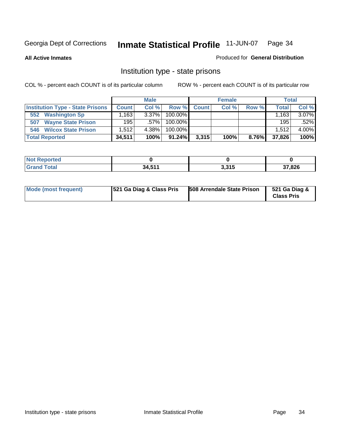**All Active Inmates**

#### Produced for **General Distribution**

### Institution type - state prisons

|                                         |              | <b>Male</b> |            |              | <b>Female</b> |       | <b>Total</b> |       |
|-----------------------------------------|--------------|-------------|------------|--------------|---------------|-------|--------------|-------|
| <b>Institution Type - State Prisons</b> | <b>Count</b> | Col %       | Row %      | <b>Count</b> | Col %         | Row % | Total        | Col % |
| <b>Washington Sp</b><br>552             | .163         | $3.37\%$    | $100.00\%$ |              |               |       | 1.163        | 3.07% |
| <b>Wayne State Prison</b><br>507        | 195          | $.57\%$     | $100.00\%$ |              |               |       | 195          | .52%  |
| <b>Wilcox State Prison</b><br>546       | 1.512        | 4.38%       | $100.00\%$ |              |               |       | 1.512        | 4.00% |
| <b>Total Reported</b>                   | 34,511       | 100%        | $91.24\%$  | 3,315        | 100%          | 8.76% | 37,826       | 100%  |

| <b>NOT</b><br>Reported |            |                        |        |
|------------------------|------------|------------------------|--------|
| Total                  | <b>E44</b> | <b>3 94 E</b><br>J.JIJ | 37,826 |

| Mode (most frequent) | 521 Ga Diag & Class Pris | 508 Arrendale State Prison | 521 Ga Diag &<br><b>Class Pris</b> |
|----------------------|--------------------------|----------------------------|------------------------------------|
|----------------------|--------------------------|----------------------------|------------------------------------|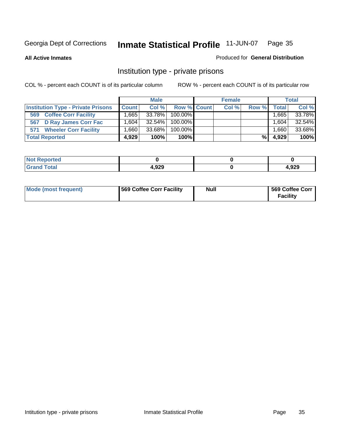**All Active Inmates**

#### Produced for **General Distribution**

### Institution type - private prisons

|                                           |                   | <b>Male</b> |             | <b>Female</b> |       |       | <b>Total</b> |
|-------------------------------------------|-------------------|-------------|-------------|---------------|-------|-------|--------------|
| <b>Institution Type - Private Prisons</b> | <b>Count</b>      | Col %       | Row % Count | Col %         | Row % | Total | Col %        |
| <b>Coffee Corr Facility</b><br>569        | .665              | 33.78%      | 100.00%     |               |       | 1.665 | 33.78%       |
| 567 D Ray James Corr Fac                  | .604 <sup>†</sup> | 32.54%      | 100.00%     |               |       | 1,604 | 32.54%       |
| <b>Wheeler Corr Facility</b><br>571       | .660 <sup>1</sup> | 33.68%      | 100.00%     |               |       | 066.1 | 33.68%       |
| <b>Total Reported</b>                     | 4,929             | 100%        | 100%        |               | %     | 4,929 | 100%         |

| Reported<br><b>NOT</b> |       |      |
|------------------------|-------|------|
| <b>Total</b><br>$\sim$ | 1,929 | ,929 |

| Mode (most frequent) | 569 Coffee Corr Facility | <b>Null</b> | 569 Coffee Corr<br><b>Facility</b> |
|----------------------|--------------------------|-------------|------------------------------------|
|----------------------|--------------------------|-------------|------------------------------------|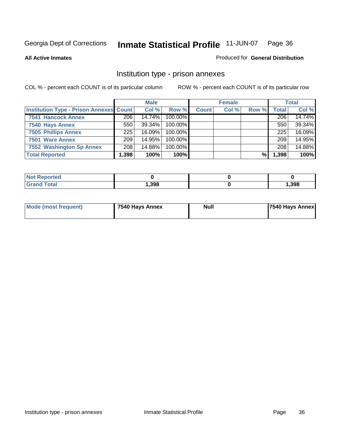#### **All Active Inmates**

#### Produced for **General Distribution**

### Institution type - prison annexes

|                                                | <b>Male</b> |           | <b>Female</b> |              |       | <b>Total</b> |       |        |
|------------------------------------------------|-------------|-----------|---------------|--------------|-------|--------------|-------|--------|
| <b>Institution Type - Prison Annexes Count</b> |             | Col %     | Row %         | <b>Count</b> | Col % | Row %        | Total | Col %  |
| <b>7541 Hancock Annex</b>                      | 206         | 14.74%    | 100.00%       |              |       |              | 206   | 14.74% |
| 7540 Hays Annex                                | 550         | $39.34\%$ | $100.00\%$    |              |       |              | 550   | 39.34% |
| <b>7505 Phillips Annex</b>                     | 225         | $16.09\%$ | 100.00%       |              |       |              | 225   | 16.09% |
| 7501 Ware Annex                                | 209         | 14.95%    | $100.00\%$    |              |       |              | 209   | 14.95% |
| 7552 Washington Sp Annex                       | 208         | 14.88%    | 100.00%       |              |       |              | 208   | 14.88% |
| <b>Total Reported</b>                          | 1,398       | 100%      | $100\%$       |              |       | %            | 1,398 | 100%   |

| $^{\mathrm{H}}$ Not.<br><b>Reported</b> |      |      |
|-----------------------------------------|------|------|
| <b>Total</b><br>' Grand                 | ,398 | ,398 |

| Mode (most frequent) | 7540 Hays Annex | <b>Null</b> | <b>7540 Hays Annex</b> |
|----------------------|-----------------|-------------|------------------------|
|                      |                 |             |                        |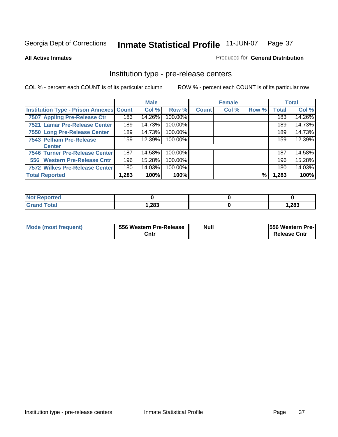#### **All Active Inmates**

### Produced for **General Distribution**

## Institution type - pre-release centers

|                                         |        | <b>Male</b> |         |              | <b>Female</b> |       |              | <b>Total</b> |
|-----------------------------------------|--------|-------------|---------|--------------|---------------|-------|--------------|--------------|
| Institution Type - Prison Annexes Count |        | Col %       | Row %   | <b>Count</b> | Col %         | Row % | <b>Total</b> | Col %        |
| 7507 Appling Pre-Release Ctr            | 183    | 14.26%      | 100.00% |              |               |       | 183          | 14.26%       |
| 7521 Lamar Pre-Release Center           | 189    | 14.73%      | 100.00% |              |               |       | 189          | 14.73%       |
| 7550 Long Pre-Release Center            | 189    | 14.73%      | 100.00% |              |               |       | 189          | 14.73%       |
| 7543 Pelham Pre-Release                 | 159    | 12.39%      | 100.00% |              |               |       | 159          | 12.39%       |
| <b>Center</b>                           |        |             |         |              |               |       |              |              |
| 7546 Turner Pre-Release Center          | 187    | 14.58%      | 100.00% |              |               |       | 187          | 14.58%       |
| 556 Western Pre-Release Cntr            | 196    | 15.28%      | 100.00% |              |               |       | 196          | 15.28%       |
| 7572 Wilkes Pre-Release Center          | 180    | 14.03%      | 100.00% |              |               |       | 180          | 14.03%       |
| <b>Total Reported</b>                   | 283, ا | 100%        | 100%    |              |               | %     | 1,283        | 100%         |

| <b>Reported</b>             |       |       |
|-----------------------------|-------|-------|
| <b>Total</b><br><b>Gran</b> | 1,283 | 1,283 |

| Mode (most frequent) | 556 Western Pre-Release | <b>Null</b> | <b>1556 Western Pre-I</b> |
|----------------------|-------------------------|-------------|---------------------------|
|                      | Cntr                    |             | <b>Release Cntr</b>       |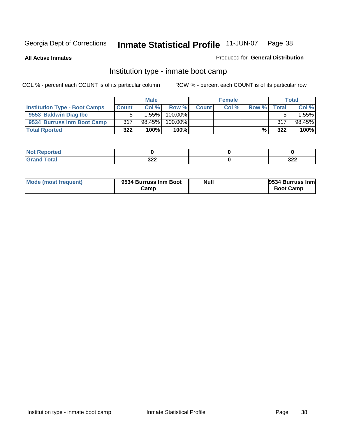**All Active Inmates**

#### Produced for **General Distribution**

## Institution type - inmate boot camp

|                                      |              | <b>Male</b> |         |       | <b>Female</b> |       |       | <b>Total</b> |
|--------------------------------------|--------------|-------------|---------|-------|---------------|-------|-------|--------------|
| <b>Institution Type - Boot Camps</b> | <b>Count</b> | Col %       | Row %   | Count | Col %         | Row % | Total | Col %        |
| 9553 Baldwin Diag Ibc                |              | 1.55%       | 100.00% |       |               |       |       | 1.55%1       |
| 9534 Burruss Inm Boot Camp           | 317          | 98.45%      | 100.00% |       |               |       | 317   | 98.45%       |
| <b>Total Rported</b>                 | 322          | 100%        | 100%    |       |               | %     | 322   | 100%         |

| τeα<br>. <i>.</i> |     |     |
|-------------------|-----|-----|
| υιαι              | າງາ | າາາ |
| ---               | ◡▵▴ | JZZ |

| Mode (most frequent) | 9534 Burruss Inm Boot<br>Camp | <b>Null</b> | 9534 Burruss Inm<br><b>Boot Camp</b> |
|----------------------|-------------------------------|-------------|--------------------------------------|
|----------------------|-------------------------------|-------------|--------------------------------------|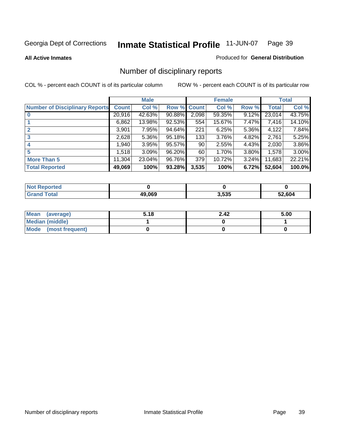**All Active Inmates**

#### Produced for **General Distribution**

## Number of disciplinary reports

|                                       |              | <b>Male</b> |        |              | <b>Female</b> |          |              | <b>Total</b> |
|---------------------------------------|--------------|-------------|--------|--------------|---------------|----------|--------------|--------------|
| <b>Number of Disciplinary Reports</b> | <b>Count</b> | Col %       | Row %  | <b>Count</b> | Col %         | Row %    | <b>Total</b> | Col %        |
|                                       | 20,916       | 42.63%      | 90.88% | 2,098        | 59.35%        | 9.12%    | 23,014       | 43.75%       |
|                                       | 6,862        | 13.98%      | 92.53% | 554          | 15.67%        | 7.47%    | 7,416        | 14.10%       |
| $\mathbf{2}$                          | 3,901        | 7.95%       | 94.64% | 221          | 6.25%         | $5.36\%$ | 4,122        | 7.84%        |
| 3                                     | 2,628        | 5.36%       | 95.18% | 133          | 3.76%         | 4.82%    | 2,761        | 5.25%        |
|                                       | ,940         | 3.95%       | 95.57% | 90           | 2.55%         | $4.43\%$ | 2,030        | 3.86%        |
| 5                                     | ا 518. ا     | 3.09%       | 96.20% | 60           | 1.70%         | 3.80%    | 1,578        | $3.00\%$     |
| <b>More Than 5</b>                    | 11,304       | 23.04%      | 96.76% | 379          | 10.72%        | 3.24%    | 11,683       | 22.21%       |
| <b>Total Reported</b>                 | 49,069       | 100%        | 93.28% | 3,535        | 100%          | 6.72%    | 52,604       | 100.0%       |

| N                |        |       |        |
|------------------|--------|-------|--------|
| $\sim$<br>______ | 10.000 | 3,535 | 52.604 |

| Mean (average)       | 5.18 | 2.42 | 5.00 |
|----------------------|------|------|------|
| Median (middle)      |      |      |      |
| Mode (most frequent) |      |      |      |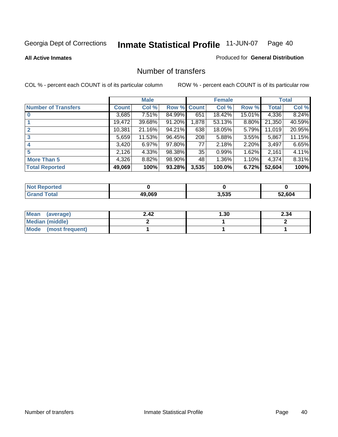**All Active Inmates**

#### Produced for **General Distribution**

## Number of transfers

|                            |         | <b>Male</b> |        |              | <b>Female</b> |          |              | <b>Total</b> |
|----------------------------|---------|-------------|--------|--------------|---------------|----------|--------------|--------------|
| <b>Number of Transfers</b> | Count l | Col %       | Row %  | <b>Count</b> | Col %         | Row %    | <b>Total</b> | Col %        |
|                            | 3,685   | $7.51\%$    | 84.99% | 651          | 18.42%        | 15.01%   | 4,336        | 8.24%        |
|                            | 19,472  | 39.68%      | 91.20% | 1,878        | 53.13%        | $8.80\%$ | 21,350       | 40.59%       |
|                            | 10,381  | 21.16%      | 94.21% | 638          | 18.05%        | 5.79%    | 11,019       | 20.95%       |
| 3                          | 5,659   | 11.53%      | 96.45% | 208          | 5.88%         | 3.55%    | 5,867        | 11.15%       |
|                            | 3,420   | 6.97%       | 97.80% | 77           | 2.18%         | $2.20\%$ | 3,497        | 6.65%        |
| 5                          | 2,126   | 4.33%       | 98.38% | 35           | 0.99%         | 1.62%    | 2,161        | 4.11%        |
| <b>More Than 5</b>         | 4,326   | 8.82%       | 98.90% | 48           | 1.36%         | $1.10\%$ | 4,374        | 8.31%        |
| <b>Total Reported</b>      | 49,069  | 100%        | 93.28% | 3,535        | 100.0%        | 6.72%    | 52,604       | 100%         |

| ntec<br>NO   |        |       |        |
|--------------|--------|-------|--------|
| <b>Total</b> | 49.069 | 3,535 | 52.604 |

| Mean (average)       | 2.42 | 30. ا | 2.34 |
|----------------------|------|-------|------|
| Median (middle)      |      |       |      |
| Mode (most frequent) |      |       |      |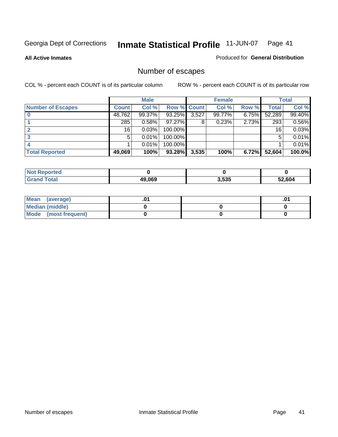**All Active Inmates**

Produced for **General Distribution**

## Number of escapes

|                          |              | <b>Male</b> |             |       | <b>Female</b> |       |        | <b>Total</b> |
|--------------------------|--------------|-------------|-------------|-------|---------------|-------|--------|--------------|
| <b>Number of Escapes</b> | <b>Count</b> | Col %       | Row % Count |       | Col %         | Row % | Total  | Col %        |
|                          | 48,762       | 99.37%      | 93.25%      | 3,527 | 99.77%        | 6.75% | 52,289 | 99.40%       |
|                          | 285          | 0.58%       | $97.27\%$   | 8     | 0.23%         | 2.73% | 293    | 0.56%        |
|                          | 16           | 0.03%       | 100.00%     |       |               |       | 16     | 0.03%        |
|                          | 5            | 0.01%       | 100.00%     |       |               |       | 5      | 0.01%        |
|                          |              | 0.01%       | $100.00\%$  |       |               |       |        | 0.01%        |
| <b>Total Reported</b>    | 49,069       | 100%        | 93.28%      | 3,535 | 100%          | 6.72% | 52,604 | 100.0%       |

| <b>Reported</b><br><b>Not</b> |        |       |        |
|-------------------------------|--------|-------|--------|
| <b>Total</b>                  | 49,069 | 3,535 | 52.604 |

| Mean (average)       |  | .01 |
|----------------------|--|-----|
| Median (middle)      |  |     |
| Mode (most frequent) |  |     |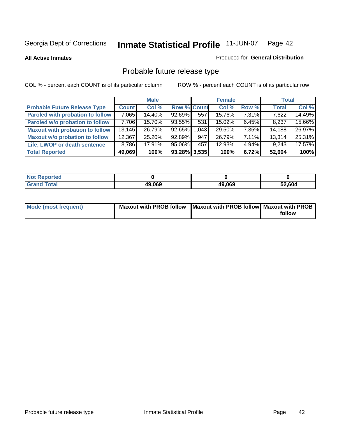**All Active Inmates**

#### Produced for **General Distribution**

## Probable future release type

|                                         |        | <b>Male</b> |                    |     | <b>Female</b> |          | <b>Total</b> |        |
|-----------------------------------------|--------|-------------|--------------------|-----|---------------|----------|--------------|--------|
| <b>Probable Future Release Type</b>     | Count  | Col%        | <b>Row % Count</b> |     | Col %         | Row %    | <b>Total</b> | Col %  |
| <b>Paroled with probation to follow</b> | 7,065  | 14.40%      | 92.69%             | 557 | 15.76%        | $7.31\%$ | 7,622        | 14.49% |
| Paroled w/o probation to follow         | 7,706  | 15.70%      | 93.55%             | 531 | 15.02%        | $6.45\%$ | 8,237        | 15.66% |
| <b>Maxout with probation to follow</b>  | 13,145 | 26.79%      | 92.65% 1.043       |     | 29.50%        | $7.35\%$ | 14,188       | 26.97% |
| <b>Maxout w/o probation to follow</b>   | 12,367 | 25.20%      | 92.89%             | 947 | 26.79%        | $7.11\%$ | 13,314       | 25.31% |
| Life, LWOP or death sentence            | 8,786  | 17.91%      | 95.06%             | 457 | 12.93%        | $4.94\%$ | 9,243        | 17.57% |
| <b>Total Reported</b>                   | 49,069 | 100%        | 93.28% 3,535       |     | 100%          | 6.72%    | 52,604       | 100%   |

| <b>Not</b><br>Reported       |        |        |        |
|------------------------------|--------|--------|--------|
| <b>Total</b><br><b>Grand</b> | 49,069 | 49,069 | 52,604 |

| Mode (most frequent) | Maxout with PROB follow   Maxout with PROB follow   Maxout with PROB |        |
|----------------------|----------------------------------------------------------------------|--------|
|                      |                                                                      | follow |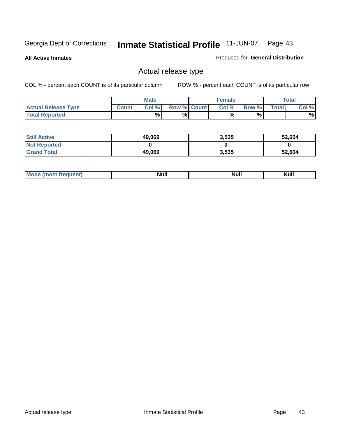**All Active Inmates**

Produced for **General Distribution**

## Actual release type

|                            |              | <b>Male</b> |                    | <b>Female</b> |        |       | $\tau$ otal |
|----------------------------|--------------|-------------|--------------------|---------------|--------|-------|-------------|
| <b>Actual Release Type</b> | <b>Count</b> | Col %       | <b>Row % Count</b> | Col %         | Row %I | Total | Col %       |
| <b>Total Reported</b>      |              | $\%$        | %                  | %             | %      |       | %           |

| <b>Still Active</b> | 49,069 | 3,535 | 52,604 |
|---------------------|--------|-------|--------|
| <b>Not Reported</b> |        |       |        |
| <b>Grand Total</b>  | 49,069 | 3,535 | 52,604 |

| ∣M∩<br>requent) | <b>Null</b> | <b>Null</b> | Null |
|-----------------|-------------|-------------|------|
|                 |             |             |      |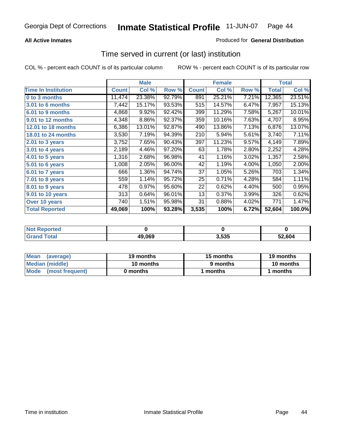### **All Active Inmates**

### Produced for **General Distribution**

## Time served in current (or last) institution

|                            |              | <b>Male</b> |        |              | <b>Female</b> |       |        | <b>Total</b> |
|----------------------------|--------------|-------------|--------|--------------|---------------|-------|--------|--------------|
| <b>Time In Institution</b> | <b>Count</b> | Col %       | Row %  | <b>Count</b> | Col %         | Row % | Total  | Col %        |
| 0 to 3 months              | 11,474       | 23.38%      | 92.79% | 891          | 25.21%        | 7.21% | 12,365 | 23.51%       |
| 3.01 to 6 months           | 7,442        | 15.17%      | 93.53% | 515          | 14.57%        | 6.47% | 7,957  | 15.13%       |
| 6.01 to 9 months           | 4,868        | 9.92%       | 92.42% | 399          | 11.29%        | 7.58% | 5,267  | 10.01%       |
| 9.01 to 12 months          | 4,348        | 8.86%       | 92.37% | 359          | 10.16%        | 7.63% | 4,707  | 8.95%        |
| 12.01 to 18 months         | 6,386        | 13.01%      | 92.87% | 490          | 13.86%        | 7.13% | 6,876  | 13.07%       |
| <b>18.01 to 24 months</b>  | 3,530        | 7.19%       | 94.39% | 210          | 5.94%         | 5.61% | 3,740  | 7.11%        |
| 2.01 to 3 years            | 3,752        | 7.65%       | 90.43% | 397          | 11.23%        | 9.57% | 4,149  | 7.89%        |
| 3.01 to 4 years            | 2,189        | 4.46%       | 97.20% | 63           | 1.78%         | 2.80% | 2,252  | 4.28%        |
| 4.01 to 5 years            | 1,316        | 2.68%       | 96.98% | 41           | 1.16%         | 3.02% | 1,357  | 2.58%        |
| 5.01 to 6 years            | 1,008        | 2.05%       | 96.00% | 42           | 1.19%         | 4.00% | 1,050  | 2.00%        |
| 6.01 to 7 years            | 666          | 1.36%       | 94.74% | 37           | 1.05%         | 5.26% | 703    | 1.34%        |
| 7.01 to 8 years            | 559          | 1.14%       | 95.72% | 25           | 0.71%         | 4.28% | 584    | 1.11%        |
| 8.01 to 9 years            | 478          | 0.97%       | 95.60% | 22           | 0.62%         | 4.40% | 500    | 0.95%        |
| 9.01 to 10 years           | 313          | 0.64%       | 96.01% | 13           | 0.37%         | 3.99% | 326    | 0.62%        |
| Over 10 years              | 740          | 1.51%       | 95.98% | 31           | 0.88%         | 4.02% | 771    | 1.47%        |
| <b>Total Reported</b>      | 49,069       | 100%        | 93.28% | 3,535        | 100%          | 6.72% | 52,604 | 100.0%       |

| orted<br>N |        |       |        |
|------------|--------|-------|--------|
| `ofai      | 49.069 | 3.535 | 52.604 |

| <b>Mean</b><br>(average)  | 19 months | 15 months | 19 months |
|---------------------------|-----------|-----------|-----------|
| Median (middle)           | 10 months | 9 months  | 10 months |
| l Mode<br>(most frequent) | 0 months  | months    | months    |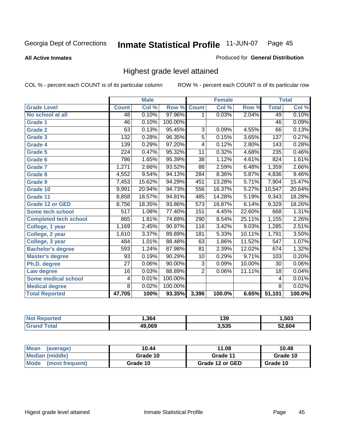**All Active Inmates**

#### Produced for **General Distribution**

## Highest grade level attained

|                              |                  | <b>Male</b> |         |                  | <b>Female</b> |        |                  | <b>Total</b> |
|------------------------------|------------------|-------------|---------|------------------|---------------|--------|------------------|--------------|
| <b>Grade Level</b>           | <b>Count</b>     | Col %       | Row %   | <b>Count</b>     | Col %         | Row %  | <b>Total</b>     | Col %        |
| No school at all             | $\overline{48}$  | 0.10%       | 97.96%  | 1                | 0.03%         | 2.04%  | 49               | 0.10%        |
| Grade 1                      | 46               | 0.10%       | 100.00% |                  |               |        | 46               | 0.09%        |
| <b>Grade 2</b>               | 63               | 0.13%       | 95.45%  | 3                | 0.09%         | 4.55%  | 66               | 0.13%        |
| <b>Grade 3</b>               | $\overline{132}$ | 0.28%       | 96.35%  | $\overline{5}$   | 0.15%         | 3.65%  | 137              | 0.27%        |
| Grade 4                      | 139              | 0.29%       | 97.20%  | 4                | 0.12%         | 2.80%  | $\overline{143}$ | 0.28%        |
| Grade 5                      | 224              | 0.47%       | 95.32%  | $\overline{11}$  | 0.32%         | 4.68%  | 235              | 0.46%        |
| Grade 6                      | 786              | 1.65%       | 95.39%  | $\overline{38}$  | 1.12%         | 4.61%  | 824              | 1.61%        |
| <b>Grade 7</b>               | 1,271            | 2.66%       | 93.52%  | $\overline{88}$  | 2.59%         | 6.48%  | 1,359            | 2.66%        |
| <b>Grade 8</b>               | 4,552            | 9.54%       | 94.13%  | 284              | 8.36%         | 5.87%  | 4,836            | 9.46%        |
| <b>Grade 9</b>               | 7,453            | 15.62%      | 94.29%  | 451              | 13.28%        | 5.71%  | 7,904            | 15.47%       |
| Grade 10                     | 9,991            | 20.94%      | 94.73%  | 556              | 16.37%        | 5.27%  | 10,547           | 20.64%       |
| Grade 11                     | 8,858            | 18.57%      | 94.81%  | 485              | 14.28%        | 5.19%  | 9,343            | 18.28%       |
| <b>Grade 12 or GED</b>       | 8,756            | 18.35%      | 93.86%  | $\overline{573}$ | 16.87%        | 6.14%  | 9,329            | 18.26%       |
| <b>Some tech school</b>      | $\overline{517}$ | 1.08%       | 77.40%  | 151              | 4.45%         | 22.60% | 668              | 1.31%        |
| <b>Completed tech school</b> | 865              | 1.81%       | 74.89%  | 290              | 8.54%         | 25.11% | 1,155            | 2.26%        |
| College, 1 year              | 1,169            | 2.45%       | 90.97%  | 116              | 3.42%         | 9.03%  | 1,285            | 2.51%        |
| College, 2 year              | 1,610            | 3.37%       | 89.89%  | 181              | 5.33%         | 10.11% | 1,791            | 3.50%        |
| College, 3 year              | 484              | 1.01%       | 88.48%  | 63               | 1.86%         | 11.52% | $\overline{547}$ | 1.07%        |
| <b>Bachelor's degree</b>     | 593              | 1.24%       | 87.98%  | 81               | 2.39%         | 12.02% | 674              | 1.32%        |
| <b>Master's degree</b>       | 93               | 0.19%       | 90.29%  | 10               | 0.29%         | 9.71%  | 103              | 0.20%        |
| Ph.D. degree                 | $\overline{27}$  | 0.06%       | 90.00%  | $\overline{3}$   | 0.09%         | 10.00% | 30               | 0.06%        |
| Law degree                   | $\overline{16}$  | 0.03%       | 88.89%  | $\overline{2}$   | 0.06%         | 11.11% | $\overline{18}$  | 0.04%        |
| <b>Some medical school</b>   | 4                | 0.01%       | 100.00% |                  |               |        | 4                | 0.01%        |
| <b>Medical degree</b>        | 8                | 0.02%       | 100.00% |                  |               |        | $\overline{8}$   | 0.02%        |
| <b>Total Reported</b>        | 47,705           | 100%        | 93.35%  | 3,396            | 100.0%        | 6.65%  | 51,101           | 100.0%       |

| 364    | 139           | .503 |
|--------|---------------|------|
| PAN PI | ? らい<br>J.JJJ | 604  |

| <b>Mean</b><br>(average)       | 10.44    | 11.08           | 10.48    |
|--------------------------------|----------|-----------------|----------|
| Median (middle)                | Grade 10 | Grade 11        | Grade 10 |
| <b>Mode</b><br>(most frequent) | Grade 10 | Grade 12 or GED | Grade 10 |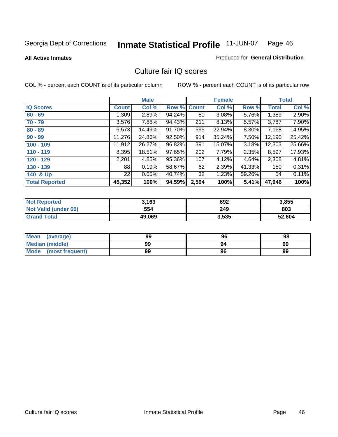#### **All Active Inmates**

## Produced for **General Distribution**

## Culture fair IQ scores

|                       |              | <b>Male</b> |        |              | <b>Female</b> |        |              | <b>Total</b> |
|-----------------------|--------------|-------------|--------|--------------|---------------|--------|--------------|--------------|
| <b>IQ Scores</b>      | <b>Count</b> | Col %       | Row %  | <b>Count</b> | Col %         | Row %  | <b>Total</b> | Col %        |
| $60 - 69$             | 1,309        | 2.89%       | 94.24% | 80           | 3.08%         | 5.76%  | 1,389        | 2.90%        |
| $70 - 79$             | 3,576        | 7.88%       | 94.43% | 211          | 8.13%         | 5.57%  | 3,787        | 7.90%        |
| $80 - 89$             | 6,573        | 14.49%      | 91.70% | 595          | 22.94%        | 8.30%  | 7,168        | 14.95%       |
| $90 - 99$             | 11,276       | 24.86%      | 92.50% | 914          | 35.24%        | 7.50%  | 12,190       | 25.42%       |
| $100 - 109$           | 11,912       | 26.27%      | 96.82% | 391          | 15.07%        | 3.18%  | 12,303       | 25.66%       |
| $110 - 119$           | 8,395        | 18.51%      | 97.65% | 202          | 7.79%         | 2.35%  | 8,597        | 17.93%       |
| $120 - 129$           | 2,201        | 4.85%       | 95.36% | 107          | 4.12%         | 4.64%  | 2,308        | 4.81%        |
| $130 - 139$           | 88           | 0.19%       | 58.67% | 62           | 2.39%         | 41.33% | 150          | 0.31%        |
| 140 & Up              | 22           | 0.05%       | 40.74% | 32           | 1.23%         | 59.26% | 54           | 0.11%        |
| <b>Total Reported</b> | 45,352       | 100%        | 94.59% | 2,594        | 100%          | 5.41%  | 47,946       | 100%         |

| <b>Not Reported</b>         | 3,163  | 692   | 3,855  |
|-----------------------------|--------|-------|--------|
| <b>Not Valid (under 60)</b> | 554    | 249   | 803    |
| <b>Grand Total</b>          | 49,069 | 3,535 | 52,604 |

| <b>Mean</b><br>(average)       | 99 | 96 | 98 |
|--------------------------------|----|----|----|
| <b>Median (middle)</b>         | 99 | 94 | 99 |
| <b>Mode</b><br>(most frequent) | 99 | 96 | 99 |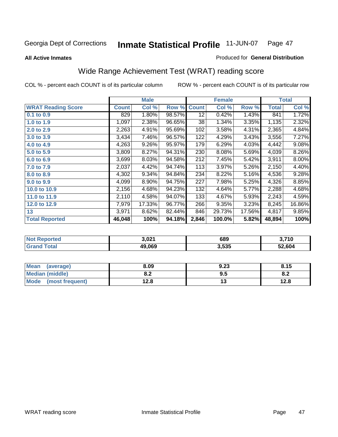#### **All Active Inmates**

#### Produced for **General Distribution**

## Wide Range Achievement Test (WRAT) reading score

|                           |              | <b>Male</b> |        |              | <b>Female</b> |        |              | <b>Total</b> |
|---------------------------|--------------|-------------|--------|--------------|---------------|--------|--------------|--------------|
| <b>WRAT Reading Score</b> | <b>Count</b> | Col %       | Row %  | <b>Count</b> | Col %         | Row %  | <b>Total</b> | Col %        |
| 0.1 to 0.9                | 829          | 1.80%       | 98.57% | 12           | 0.42%         | 1.43%  | 841          | 1.72%        |
| 1.0 to 1.9                | 1,097        | 2.38%       | 96.65% | 38           | 1.34%         | 3.35%  | 1,135        | 2.32%        |
| 2.0 to 2.9                | 2,263        | 4.91%       | 95.69% | 102          | 3.58%         | 4.31%  | 2,365        | 4.84%        |
| 3.0 to 3.9                | 3,434        | 7.46%       | 96.57% | 122          | 4.29%         | 3.43%  | 3,556        | 7.27%        |
| 4.0 to 4.9                | 4,263        | 9.26%       | 95.97% | 179          | 6.29%         | 4.03%  | 4,442        | 9.08%        |
| 5.0 to 5.9                | 3,809        | 8.27%       | 94.31% | 230          | 8.08%         | 5.69%  | 4,039        | 8.26%        |
| 6.0 to 6.9                | 3,699        | 8.03%       | 94.58% | 212          | 7.45%         | 5.42%  | 3,911        | 8.00%        |
| 7.0 to 7.9                | 2,037        | 4.42%       | 94.74% | 113          | 3.97%         | 5.26%  | 2,150        | 4.40%        |
| 8.0 to 8.9                | 4,302        | 9.34%       | 94.84% | 234          | 8.22%         | 5.16%  | 4,536        | 9.28%        |
| 9.0 to 9.9                | 4,099        | 8.90%       | 94.75% | 227          | 7.98%         | 5.25%  | 4,326        | 8.85%        |
| 10.0 to 10.9              | 2,156        | 4.68%       | 94.23% | 132          | 4.64%         | 5.77%  | 2,288        | 4.68%        |
| 11.0 to 11.9              | 2,110        | 4.58%       | 94.07% | 133          | 4.67%         | 5.93%  | 2,243        | 4.59%        |
| 12.0 to 12.9              | 7,979        | 17.33%      | 96.77% | 266          | 9.35%         | 3.23%  | 8,245        | 16.86%       |
| 13                        | 3,971        | 8.62%       | 82.44% | 846          | 29.73%        | 17.56% | 4,817        | 9.85%        |
| <b>Total Reported</b>     | 46,048       | 100%        | 94.18% | 2,846        | 100.0%        | 5.82%  | 48,894       | 100%         |

| Reported<br><b>Not</b> | 3.021  | 689   | 3,710  |
|------------------------|--------|-------|--------|
| 'otal                  | 49,069 | 3,535 | 52,604 |

| <b>Mean</b><br>(average)       | 8.09           | 9.23 | 8.15 |
|--------------------------------|----------------|------|------|
| Median (middle)                | י ה<br>0.Z     | ນ.ວ  | О.Д  |
| <b>Mode</b><br>(most frequent) | 1 2 9<br>I ∠.O | יי   | 12.8 |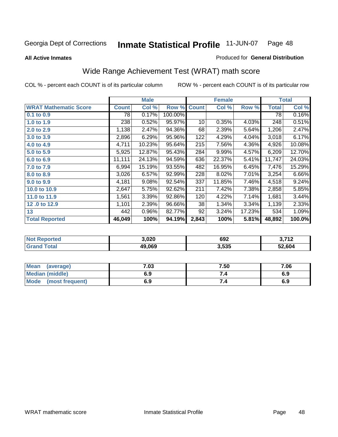**All Active Inmates**

#### Produced for **General Distribution**

## Wide Range Achievement Test (WRAT) math score

|                              |              | <b>Male</b> |         |              | <b>Female</b> |        |              | <b>Total</b> |
|------------------------------|--------------|-------------|---------|--------------|---------------|--------|--------------|--------------|
| <b>WRAT Mathematic Score</b> | <b>Count</b> | Col %       | Row %   | <b>Count</b> | Col %         | Row %  | <b>Total</b> | Col %        |
| 0.1 to 0.9                   | 78           | 0.17%       | 100.00% |              |               |        | 78           | 0.16%        |
| 1.0 to 1.9                   | 238          | 0.52%       | 95.97%  | 10           | 0.35%         | 4.03%  | 248          | 0.51%        |
| 2.0 to 2.9                   | 1,138        | 2.47%       | 94.36%  | 68           | 2.39%         | 5.64%  | 1,206        | 2.47%        |
| 3.0 to 3.9                   | 2,896        | 6.29%       | 95.96%  | 122          | 4.29%         | 4.04%  | 3,018        | 6.17%        |
| 4.0 to 4.9                   | 4,711        | 10.23%      | 95.64%  | 215          | 7.56%         | 4.36%  | 4,926        | 10.08%       |
| 5.0 to 5.9                   | 5,925        | 12.87%      | 95.43%  | 284          | 9.99%         | 4.57%  | 6,209        | 12.70%       |
| 6.0 to 6.9                   | 11,111       | 24.13%      | 94.59%  | 636          | 22.37%        | 5.41%  | 11,747       | 24.03%       |
| 7.0 to 7.9                   | 6,994        | 15.19%      | 93.55%  | 482          | 16.95%        | 6.45%  | 7,476        | 15.29%       |
| 8.0 to 8.9                   | 3,026        | 6.57%       | 92.99%  | 228          | 8.02%         | 7.01%  | 3,254        | 6.66%        |
| 9.0 to 9.9                   | 4,181        | 9.08%       | 92.54%  | 337          | 11.85%        | 7.46%  | 4,518        | 9.24%        |
| 10.0 to 10.9                 | 2,647        | 5.75%       | 92.62%  | 211          | 7.42%         | 7.38%  | 2,858        | 5.85%        |
| 11.0 to 11.9                 | 1,561        | 3.39%       | 92.86%  | 120          | 4.22%         | 7.14%  | 1,681        | 3.44%        |
| 12.0 to 12.9                 | 1,101        | 2.39%       | 96.66%  | 38           | 1.34%         | 3.34%  | 1,139        | 2.33%        |
| 13                           | 442          | 0.96%       | 82.77%  | 92           | 3.24%         | 17.23% | 534          | 1.09%        |
| <b>Total Reported</b>        | 46,049       | 100%        | 94.19%  | 2,843        | 100%          | 5.81%  | 48,892       | 100.0%       |

| <b>orted</b><br>NO: | 3,020  | 692   | ר די<br>$\epsilon$ |
|---------------------|--------|-------|--------------------|
| <b>ota</b><br>Gr.   | 49.069 | 3,535 | 52,604             |

| <b>Mean</b><br>(average) | .03 | 7.50 | 7.06 |
|--------------------------|-----|------|------|
| Median (middle)          | 6.9 |      | 6.9  |
| Mode<br>(most frequent)  | 6.9 | 7.4  | 6.9  |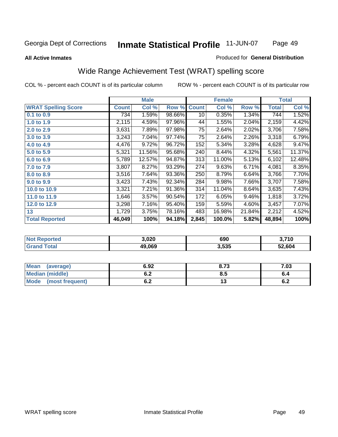#### **All Active Inmates**

### Produced for **General Distribution**

## Wide Range Achievement Test (WRAT) spelling score

|                            |              | <b>Male</b> |        |              | <b>Female</b> |        |              | <b>Total</b> |
|----------------------------|--------------|-------------|--------|--------------|---------------|--------|--------------|--------------|
| <b>WRAT Spelling Score</b> | <b>Count</b> | Col %       | Row %  | <b>Count</b> | Col %         | Row %  | <b>Total</b> | Col %        |
| 0.1 to 0.9                 | 7341         | 1.59%       | 98.66% | 10           | 0.35%         | 1.34%  | 744          | 1.52%        |
| 1.0 to 1.9                 | 2,115        | 4.59%       | 97.96% | 44           | 1.55%         | 2.04%  | 2,159        | 4.42%        |
| 2.0 to 2.9                 | 3,631        | 7.89%       | 97.98% | 75           | 2.64%         | 2.02%  | 3,706        | 7.58%        |
| 3.0 to 3.9                 | 3,243        | 7.04%       | 97.74% | 75           | 2.64%         | 2.26%  | 3,318        | 6.79%        |
| 4.0 to 4.9                 | 4,476        | 9.72%       | 96.72% | 152          | 5.34%         | 3.28%  | 4,628        | 9.47%        |
| 5.0 to 5.9                 | 5,321        | 11.56%      | 95.68% | 240          | 8.44%         | 4.32%  | 5,561        | 11.37%       |
| 6.0 to 6.9                 | 5,789        | 12.57%      | 94.87% | 313          | 11.00%        | 5.13%  | 6,102        | 12.48%       |
| 7.0 to 7.9                 | 3,807        | 8.27%       | 93.29% | 274          | 9.63%         | 6.71%  | 4,081        | 8.35%        |
| 8.0 to 8.9                 | 3,516        | 7.64%       | 93.36% | 250          | 8.79%         | 6.64%  | 3,766        | 7.70%        |
| 9.0 to 9.9                 | 3,423        | 7.43%       | 92.34% | 284          | 9.98%         | 7.66%  | 3,707        | 7.58%        |
| 10.0 to 10.9               | 3,321        | 7.21%       | 91.36% | 314          | 11.04%        | 8.64%  | 3,635        | 7.43%        |
| 11.0 to 11.9               | 1,646        | 3.57%       | 90.54% | 172          | 6.05%         | 9.46%  | 1,818        | 3.72%        |
| 12.0 to 12.9               | 3,298        | 7.16%       | 95.40% | 159          | 5.59%         | 4.60%  | 3,457        | 7.07%        |
| 13                         | 1,729        | 3.75%       | 78.16% | 483          | 16.98%        | 21.84% | 2,212        | 4.52%        |
| <b>Total Reported</b>      | 46,049       | 100%        | 94.18% | 2,845        | 100.0%        | 5.82%  | 48,894       | 100%         |

| Reported<br><b>Not</b> | 3.020  | 690   | 3,710  |
|------------------------|--------|-------|--------|
| 'otal                  | 49,069 | 3,535 | 52,604 |

| <b>Mean</b><br>(average)       | 6.92               | 8.73 | 7.03 |
|--------------------------------|--------------------|------|------|
| <b>Median (middle)</b>         | <u>. . </u><br>O.Z | ბ.Ე  |      |
| <b>Mode</b><br>(most frequent) | . .<br>U.Z         | . .  | υ.Ζ  |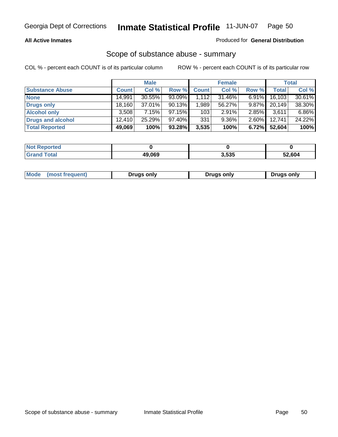#### **All Active Inmates**

#### Produced for **General Distribution**

## Scope of substance abuse - summary

|                        |        | <b>Male</b> |           |              | <b>Female</b> |          |              | <b>Total</b> |
|------------------------|--------|-------------|-----------|--------------|---------------|----------|--------------|--------------|
| <b>Substance Abuse</b> | Count  | Col %       | Row %     | <b>Count</b> | Col %         | Row %    | <b>Total</b> | Col %        |
| <b>None</b>            | 14,991 | 30.55%      | 93.09%    | 1.112        | 31.46%        | $6.91\%$ | 16,103       | 30.61%       |
| <b>Drugs only</b>      | 18,160 | 37.01%      | 90.13%    | 1,989        | 56.27%        | $9.87\%$ | 20.149       | 38.30%       |
| <b>Alcohol only</b>    | 3,508  | 7.15%       | 97.15%    | 103          | 2.91%         | 2.85%    | 3,611        | 6.86%        |
| Drugs and alcohol      | 12.410 | 25.29%      | $97.40\%$ | 331          | $9.36\%$      | $2.60\%$ | 12.741       | 24.22%       |
| <b>Total Reported</b>  | 49,069 | 100%        | 93.28%    | 3,535        | 100%          | 6.72%    | 52,604       | 100%         |

| <b>Not</b><br><b>Reported</b> |        |       |        |
|-------------------------------|--------|-------|--------|
| <b>Total</b>                  | 49.069 | 3,535 | 52,604 |

|  | Mode<br>(most frequent) | Drugs only | Drugs only | Drugs only |
|--|-------------------------|------------|------------|------------|
|--|-------------------------|------------|------------|------------|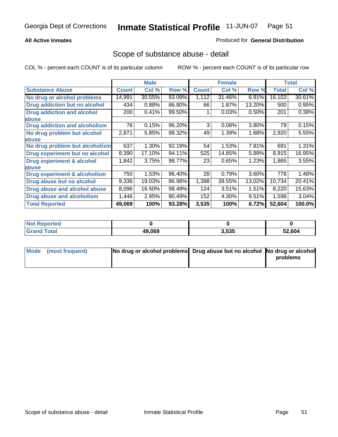### **All Active Inmates**

#### Produced for **General Distribution**

## Scope of substance abuse - detail

|                                      |              | <b>Male</b> |        |              | <b>Female</b> |        |              | <b>Total</b> |
|--------------------------------------|--------------|-------------|--------|--------------|---------------|--------|--------------|--------------|
| <b>Substance Abuse</b>               | <b>Count</b> | Col %       | Row %  | <b>Count</b> | Col %         | Row %  | <b>Total</b> | Col %        |
| No drug or alcohol problems          | 14,991       | 30.55%      | 93.09% | 1,112        | 31.46%        | 6.91%  | 16,103       | 30.61%       |
| <b>Drug addiction but no alcohol</b> | 434          | 0.88%       | 86.80% | 66           | 1.87%         | 13.20% | 500          | 0.95%        |
| <b>Drug addiction and alcohol</b>    | 200          | 0.41%       | 99.50% |              | 0.03%         | 0.50%  | 201          | 0.38%        |
| abuse                                |              |             |        |              |               |        |              |              |
| <b>Drug addiction and alcoholism</b> | 76           | 0.15%       | 96.20% | 3            | 0.08%         | 3.80%  | 79           | 0.15%        |
| No drug problem but alcohol          | 2,871        | 5.85%       | 98.32% | 49           | 1.39%         | 1.68%  | 2,920        | 5.55%        |
| abuse                                |              |             |        |              |               |        |              |              |
| No drug problem but alcoholism       | 637          | 1.30%       | 92.19% | 54           | 1.53%         | 7.81%  | 691          | 1.31%        |
| Drug experiment but no alcohol       | 8,390        | 17.10%      | 94.11% | 525          | 14.85%        | 5.89%  | 8,915        | 16.95%       |
| <b>Drug experiment &amp; alcohol</b> | 1,842        | 3.75%       | 98.77% | 23           | 0.65%         | 1.23%  | 1,865        | 3.55%        |
| abuse                                |              |             |        |              |               |        |              |              |
| Drug experiment & alcoholism         | 750          | 1.53%       | 96.40% | 28           | 0.79%         | 3.60%  | 778          | 1.48%        |
| Drug abuse but no alcohol            | 9,336        | 19.03%      | 86.98% | 1,398        | 39.55%        | 13.02% | 10,734       | 20.41%       |
| Drug abuse and alcohol abuse         | 8,096        | 16.50%      | 98.49% | 124          | 3.51%         | 1.51%  | 8,220        | 15.63%       |
| Drug abuse and alcoholism            | 1,446        | 2.95%       | 90.49% | 152          | 4.30%         | 9.51%  | 1,598        | 3.04%        |
| <b>Total Reported</b>                | 49,069       | 100%        | 93.28% | 3,535        | 100%          | 6.72%  | 52,604       | 100.0%       |

| <b>Not Reported</b> |        |       |        |
|---------------------|--------|-------|--------|
| 'otal               | 49.069 | 3.535 | 52.604 |

| Mode (most frequent) | No drug or alcohol problems Drug abuse but no alcohol No drug or alcohol |          |
|----------------------|--------------------------------------------------------------------------|----------|
|                      |                                                                          | problems |
|                      |                                                                          |          |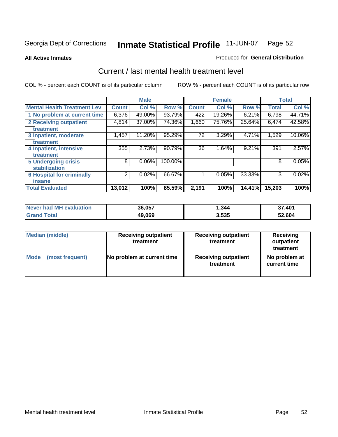#### **All Active Inmates**

#### Produced for **General Distribution**

## Current / last mental health treatment level

|                                    |              | <b>Male</b> |         |              | <b>Female</b> |        |              | <b>Total</b> |
|------------------------------------|--------------|-------------|---------|--------------|---------------|--------|--------------|--------------|
| <b>Mental Health Treatment Lev</b> | <b>Count</b> | Col %       | Row %   | <b>Count</b> | Col %         | Row %  | <b>Total</b> | Col %        |
| 1 No problem at current time       | 6,376        | 49.00%      | 93.79%  | 422          | 19.26%        | 6.21%  | 6,798        | 44.71%       |
| 2 Receiving outpatient             | 4,814        | 37.00%      | 74.36%  | 1,660        | 75.76%        | 25.64% | 6,474        | 42.58%       |
| treatment                          |              |             |         |              |               |        |              |              |
| 3 Inpatient, moderate              | 1,457        | 11.20%      | 95.29%  | 72           | 3.29%         | 4.71%  | 1,529        | 10.06%       |
| treatment                          |              |             |         |              |               |        |              |              |
| 4 Inpatient, intensive             | 355          | 2.73%       | 90.79%  | 36           | 1.64%         | 9.21%  | 391          | 2.57%        |
| treatment                          |              |             |         |              |               |        |              |              |
| <b>5 Undergoing crisis</b>         | 8            | 0.06%       | 100.00% |              |               |        | 8            | 0.05%        |
| stabilization                      |              |             |         |              |               |        |              |              |
| <b>6 Hospital for criminally</b>   | 2            | 0.02%       | 66.67%  | 1            | 0.05%         | 33.33% | 3            | 0.02%        |
| insane                             |              |             |         |              |               |        |              |              |
| <b>Total Evaluated</b>             | 13,012       | 100%        | 85.59%  | 2,191        | 100%          | 14.41% | 15,203       | 100%         |

| Never had MH evaluation | 36,057 | 344,  | 37,401 |
|-------------------------|--------|-------|--------|
| <b>Grand Total</b>      | 49,069 | 3,535 | 52,604 |

| <b>Median (middle)</b> | <b>Receiving outpatient</b><br>treatment | <b>Receiving outpatient</b><br>treatment | <b>Receiving</b><br>outpatient<br>treatment |
|------------------------|------------------------------------------|------------------------------------------|---------------------------------------------|
| <b>Mode</b>            | No problem at current time               | <b>Receiving outpatient</b>              | No problem at                               |
| (most frequent)        |                                          | treatment                                | current time                                |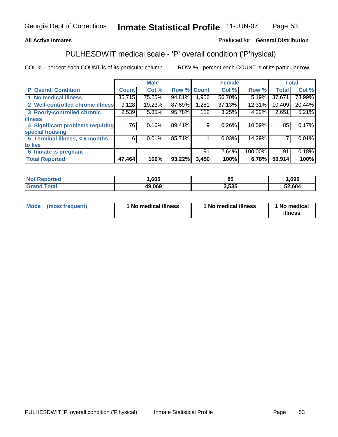### **All Active Inmates**

### Produced for **General Distribution**

## PULHESDWIT medical scale - 'P' overall condition ('P'hysical)

|                                   |              | <b>Male</b> |        |              | <b>Female</b> |         |              | <b>Total</b> |
|-----------------------------------|--------------|-------------|--------|--------------|---------------|---------|--------------|--------------|
| 'P' Overall Condition             | <b>Count</b> | Col %       | Row %  | <b>Count</b> | Col %         | Row %   | <b>Total</b> | Col %        |
| 1 No medical illness              | 35,715       | 75.25%      | 94.81% | ,956         | 56.70%        | 5.19%   | 37,671       | 73.99%       |
| 2 Well-controlled chronic illness | 9,128        | 19.23%      | 87.69% | 1,281        | 37.13%        | 12.31%  | 10,409       | 20.44%       |
| 3 Poorly-controlled chronic       | 2,539        | 5.35%       | 95.78% | 112          | 3.25%         | 4.22%   | 2,651        | 5.21%        |
| <b>illness</b>                    |              |             |        |              |               |         |              |              |
| 4 Significant problems requiring  | 76           | 0.16%       | 89.41% | 9            | 0.26%         | 10.59%  | 85           | 0.17%        |
| special housing                   |              |             |        |              |               |         |              |              |
| 5 Terminal illness, < 6 months    | 6            | 0.01%       | 85.71% |              | 0.03%         | 14.29%  |              | 0.01%        |
| to live                           |              |             |        |              |               |         |              |              |
| Inmate is pregnant<br>6           |              |             |        | 91           | 2.64%         | 100.00% | 91           | 0.18%        |
| <b>Total Reported</b>             | 47,464       | 100%        | 93.22% | 3,450        | 100%          | 6.78%   | 50,914       | 100%         |

| <b>Not Reported</b> | ,605   | u.    | ,690   |
|---------------------|--------|-------|--------|
| <b>Grand Total</b>  | 49,069 | 3,535 | 52,604 |

| Mode (most frequent) | 1 No medical illness | 1 No medical illness | 1 No medical |
|----------------------|----------------------|----------------------|--------------|
|                      |                      |                      | illness      |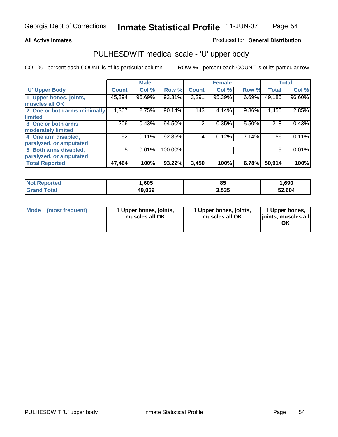#### **All Active Inmates**

#### Produced for **General Distribution**

## PULHESDWIT medical scale - 'U' upper body

|                              |              | <b>Male</b> |         |              | <b>Female</b> |       |              | <b>Total</b> |
|------------------------------|--------------|-------------|---------|--------------|---------------|-------|--------------|--------------|
| <b>U' Upper Body</b>         | <b>Count</b> | Col %       | Row %   | <b>Count</b> | Col %         | Row % | <b>Total</b> | Col %        |
| 1 Upper bones, joints,       | 45,894       | 96.69%      | 93.31%  | 3,291        | 95.39%        | 6.69% | 49,185       | 96.60%       |
| muscles all OK               |              |             |         |              |               |       |              |              |
| 2 One or both arms minimally | 1,307        | 2.75%       | 90.14%  | 143          | 4.14%         | 9.86% | 1,450        | 2.85%        |
| limited                      |              |             |         |              |               |       |              |              |
| 3 One or both arms           | 206          | 0.43%       | 94.50%  | 12           | 0.35%         | 5.50% | 218          | 0.43%        |
| moderately limited           |              |             |         |              |               |       |              |              |
| 4 One arm disabled,          | 52           | 0.11%       | 92.86%  | 4            | 0.12%         | 7.14% | 56           | 0.11%        |
| paralyzed, or amputated      |              |             |         |              |               |       |              |              |
| 5 Both arms disabled,        | 5            | 0.01%       | 100.00% |              |               |       | 5            | 0.01%        |
| paralyzed, or amputated      |              |             |         |              |               |       |              |              |
| <b>Total Reported</b>        | 47,464       | 100%        | 93.22%  | 3,450        | 100%          | 6.78% | 50,914       | 100%         |

| N <sub>of</sub><br><b>rted</b>  | ,605   | ზ5             | .690   |
|---------------------------------|--------|----------------|--------|
| $T_{\alpha}$ tal $\blacksquare$ | 49,069 | 3 535<br>,,,,, | 52.604 |

| <b>Mode</b> | (most frequent) | 1 Upper bones, joints,<br>muscles all OK | 1 Upper bones, joints,<br>muscles all OK | 1 Upper bones,<br>joints, muscles all<br>ΟK |
|-------------|-----------------|------------------------------------------|------------------------------------------|---------------------------------------------|
|-------------|-----------------|------------------------------------------|------------------------------------------|---------------------------------------------|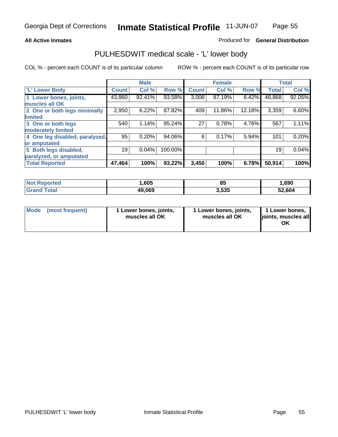#### **All Active Inmates**

#### Produced for **General Distribution**

## PULHESDWIT medical scale - 'L' lower body

|                                |              | <b>Male</b> |         |              | <b>Female</b> |        |              | <b>Total</b> |
|--------------------------------|--------------|-------------|---------|--------------|---------------|--------|--------------|--------------|
| <b>L' Lower Body</b>           | <b>Count</b> | Col %       | Row %   | <b>Count</b> | Col %         | Row %  | <b>Total</b> | Col %        |
| 1 Lower bones, joints,         | 43,860       | 92.41%      | 93.58%  | 3,008        | 87.19%        | 6.42%  | 46,868       | 92.05%       |
| muscles all OK                 |              |             |         |              |               |        |              |              |
| 2 One or both legs minimally   | 2,950        | 6.22%       | 87.82%  | 409          | 11.86%        | 12.18% | 3,359        | 6.60%        |
| limited                        |              |             |         |              |               |        |              |              |
| 3 One or both legs             | 540          | 1.14%       | 95.24%  | 27           | 0.78%         | 4.76%  | 567          | 1.11%        |
| moderately limited             |              |             |         |              |               |        |              |              |
| 4 One leg disabled, paralyzed, | 95           | 0.20%       | 94.06%  | 6            | 0.17%         | 5.94%  | 101          | 0.20%        |
| or amputated                   |              |             |         |              |               |        |              |              |
| 5 Both legs disabled,          | 19           | 0.04%       | 100.00% |              |               |        | 19           | 0.04%        |
| paralyzed, or amputated        |              |             |         |              |               |        |              |              |
| <b>Total Reported</b>          | 47,464       | 100%        | 93.22%  | 3,450        | 100%          | 6.78%  | 50,914       | 100%         |

| <b>Not Reported</b>     | ,605   | 85    | .690   |
|-------------------------|--------|-------|--------|
| $\tau$ otal<br>'Grand . | 49,069 | 3,535 | 52,604 |

|  | Mode (most frequent) | 1 Lower bones, joints,<br>muscles all OK | 1 Lower bones, joints,<br>muscles all OK | 1 Lower bones,<br>joints, muscles all<br>OK |
|--|----------------------|------------------------------------------|------------------------------------------|---------------------------------------------|
|--|----------------------|------------------------------------------|------------------------------------------|---------------------------------------------|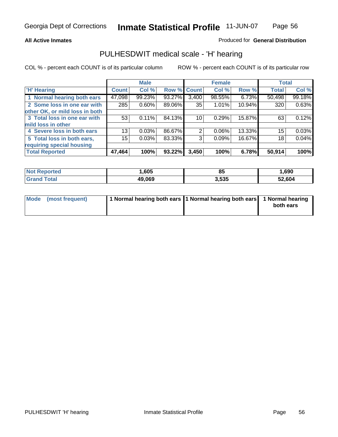#### **All Active Inmates**

### Produced for **General Distribution**

## PULHESDWIT medical scale - 'H' hearing

|                                |                 | <b>Male</b> |             |       | <b>Female</b> |        | <b>Total</b> |        |
|--------------------------------|-----------------|-------------|-------------|-------|---------------|--------|--------------|--------|
| <b>H'</b> Hearing              | <b>Count</b>    | Col %       | Row % Count |       | Col %         | Row %  | <b>Total</b> | Col %  |
| 1 Normal hearing both ears     | 47,098          | 99.23%      | 93.27%      | 3,400 | 98.55%        | 6.73%  | 50,498       | 99.18% |
| 2 Some loss in one ear with    | 285             | 0.60%       | 89.06%      | 35    | 1.01%         | 10.94% | 320          | 0.63%  |
| other OK, or mild loss in both |                 |             |             |       |               |        |              |        |
| 3 Total loss in one ear with   | 53              | 0.11%       | 84.13%      | 10    | 0.29%         | 15.87% | 63           | 0.12%  |
| mild loss in other             |                 |             |             |       |               |        |              |        |
| 4 Severe loss in both ears     | 13 <sub>1</sub> | 0.03%       | 86.67%      | 2     | $0.06\%$      | 13.33% | 15           | 0.03%  |
| 5 Total loss in both ears,     | 15              | 0.03%       | 83.33%      | 3     | 0.09%         | 16.67% | 18           | 0.04%  |
| requiring special housing      |                 |             |             |       |               |        |              |        |
| <b>Total Reported</b>          | 47,464          | 100%        | 93.22%      | 3,450 | 100%          | 6.78%  | 50,914       | 100%   |

| <b>Not</b><br><b>eported</b> | ,605   | QF.<br>၀၁ | ,690   |
|------------------------------|--------|-----------|--------|
| <sup>-</sup> otal            | 49.069 | 3,535     | 52,604 |

| Mode (most frequent) | 1 Normal hearing both ears 11 Normal hearing both ears 1 Normal hearing |           |
|----------------------|-------------------------------------------------------------------------|-----------|
|                      |                                                                         | both ears |
|                      |                                                                         |           |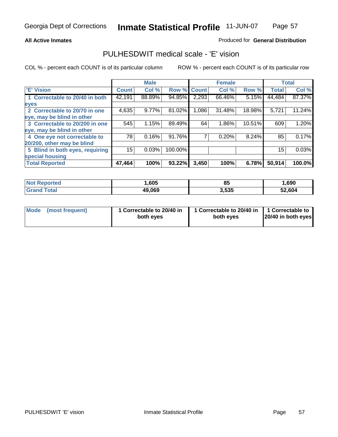#### **All Active Inmates**

### Produced for **General Distribution**

## PULHESDWIT medical scale - 'E' vision

|                                 |              | <b>Male</b> |             |       | <b>Female</b> |        |              | <b>Total</b> |
|---------------------------------|--------------|-------------|-------------|-------|---------------|--------|--------------|--------------|
| 'E' Vision                      | <b>Count</b> | Col %       | Row % Count |       | Col %         | Row %  | <b>Total</b> | Col %        |
| 1 Correctable to 20/40 in both  | 42,191       | 88.89%      | 94.85%      | 2,293 | 66.46%        | 5.15%  | 44,484       | 87.37%       |
| eyes                            |              |             |             |       |               |        |              |              |
| 2 Correctable to 20/70 in one   | 4,635        | 9.77%       | 81.02%      | 1,086 | 31.48%        | 18.98% | 5,721        | 11.24%       |
| eye, may be blind in other      |              |             |             |       |               |        |              |              |
| 3 Correctable to 20/200 in one  | 545          | 1.15%       | 89.49%      | 64    | 1.86%         | 10.51% | 609          | 1.20%        |
| eye, may be blind in other      |              |             |             |       |               |        |              |              |
| 4 One eye not correctable to    | 78           | 0.16%       | 91.76%      |       | 0.20%         | 8.24%  | 85           | 0.17%        |
| 20/200, other may be blind      |              |             |             |       |               |        |              |              |
| 5 Blind in both eyes, requiring | 15           | 0.03%       | 100.00%     |       |               |        | 15           | 0.03%        |
| special housing                 |              |             |             |       |               |        |              |              |
| <b>Total Reported</b>           | 47,464       | 100%        | 93.22%      | 3,450 | 100%          | 6.78%  | 50,914       | 100.0%       |

| <b>Not Reported</b> | ,605   | O L<br>uj | ,690   |
|---------------------|--------|-----------|--------|
| $F$ atal            | 49,069 | 3,535     | 52,604 |

| Mode | (most frequent) | 1 Correctable to 20/40 in<br>both eves | 1 Correctable to 20/40 in   1 Correctable to<br>both eves | 20/40 in both eyes |
|------|-----------------|----------------------------------------|-----------------------------------------------------------|--------------------|
|      |                 |                                        |                                                           |                    |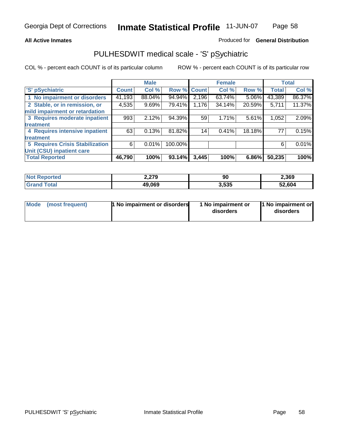## **All Active Inmates**

## Produced for **General Distribution**

## PULHESDWIT medical scale - 'S' pSychiatric

|                                        |              | <b>Male</b> |             |       | <b>Female</b> |        |              | <b>Total</b> |
|----------------------------------------|--------------|-------------|-------------|-------|---------------|--------|--------------|--------------|
| 'S' pSychiatric                        | <b>Count</b> | Col %       | Row % Count |       | Col %         | Row %  | <b>Total</b> | Col %        |
| 1 No impairment or disorders           | 41,193       | 88.04%      | 94.94%      | 2,196 | 63.74%        | 5.06%  | 43,389       | 86.37%       |
| 2 Stable, or in remission, or          | 4,535        | 9.69%       | 79.41%      | 1,176 | 34.14%        | 20.59% | 5,711        | 11.37%       |
| mild impairment or retardation         |              |             |             |       |               |        |              |              |
| 3 Requires moderate inpatient          | 993          | 2.12%       | 94.39%      | 59    | 1.71%         | 5.61%  | 1,052        | 2.09%        |
| treatment                              |              |             |             |       |               |        |              |              |
| 4 Requires intensive inpatient         | 63           | 0.13%       | 81.82%      | 14    | 0.41%         | 18.18% | 77           | 0.15%        |
| treatment                              |              |             |             |       |               |        |              |              |
| <b>5 Requires Crisis Stabilization</b> | 6            | 0.01%       | 100.00%     |       |               |        | 6            | 0.01%        |
| Unit (CSU) inpatient care              |              |             |             |       |               |        |              |              |
| <b>Total Reported</b>                  | 46,790       | 100%        | 93.14%      | 3,445 | 100%          | 6.86%  | 50,235       | 100%         |

| <b>Not Reported</b>       | 2,279  | 90    | 2,369  |
|---------------------------|--------|-------|--------|
| <b>Total</b><br>' Grand 1 | 49,069 | 3,535 | 52,604 |

| Mode (most frequent) | <b>1 No impairment or disorders</b> | 1 No impairment or<br>disorders | 11 No impairment or<br>disorders |
|----------------------|-------------------------------------|---------------------------------|----------------------------------|
|                      |                                     |                                 |                                  |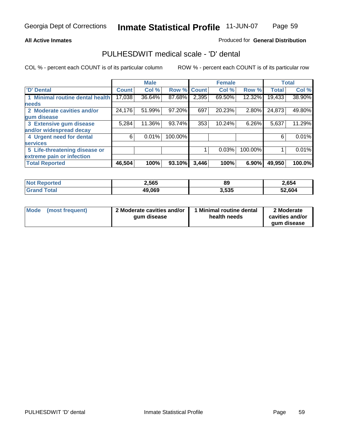#### **All Active Inmates**

#### Produced for **General Distribution**

## PULHESDWIT medical scale - 'D' dental

|                                 |              | <b>Male</b> |             |       | <b>Female</b> |         |              | <b>Total</b> |
|---------------------------------|--------------|-------------|-------------|-------|---------------|---------|--------------|--------------|
| 'D' Dental                      | <b>Count</b> | Col %       | Row % Count |       | Col %         | Row %   | <b>Total</b> | Col %        |
| 1 Minimal routine dental health | 17,038       | 36.64%      | 87.68%      | 2,395 | 69.50%        | 12.32%  | 19,433       | 38.90%       |
| <b>needs</b>                    |              |             |             |       |               |         |              |              |
| 2 Moderate cavities and/or      | 24,176       | 51.99%      | 97.20%      | 697   | 20.23%        | 2.80%   | 24,873       | 49.80%       |
| gum disease                     |              |             |             |       |               |         |              |              |
| 3 Extensive gum disease         | 5,284        | 11.36%      | 93.74%      | 353   | 10.24%        | 6.26%   | 5,637        | 11.29%       |
| and/or widespread decay         |              |             |             |       |               |         |              |              |
| 4 Urgent need for dental        | 6            | 0.01%       | 100.00%     |       |               |         | 6            | 0.01%        |
| <b>services</b>                 |              |             |             |       |               |         |              |              |
| 5 Life-threatening disease or   |              |             |             |       | 0.03%         | 100.00% |              | 0.01%        |
| extreme pain or infection       |              |             |             |       |               |         |              |              |
| <b>Total Reported</b>           | 46,504       | 100%        | 93.10%      | 3,446 | 100%          | 6.90%   | 49,950       | 100.0%       |

| <b>Not Reported</b> | 2,565  | 89    | 2,654  |
|---------------------|--------|-------|--------|
| Γota⊦               | 49,069 | 3,535 | 52,604 |

| <b>Mode</b> | (most frequent) | 2 Moderate cavities and/or<br>qum disease | Minimal routine dental<br>health needs | 2 Moderate<br>cavities and/or |
|-------------|-----------------|-------------------------------------------|----------------------------------------|-------------------------------|
|             |                 |                                           |                                        | qum disease                   |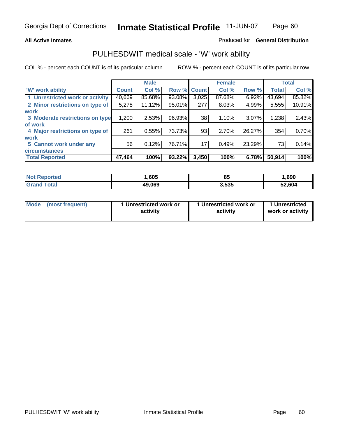#### **All Active Inmates**

#### Produced for **General Distribution**

## PULHESDWIT medical scale - 'W' work ability

|                                 |              | <b>Male</b> |        |              | <b>Female</b> |        |              | <b>Total</b> |
|---------------------------------|--------------|-------------|--------|--------------|---------------|--------|--------------|--------------|
| W' work ability                 | <b>Count</b> | Col %       | Row %  | <b>Count</b> | Col %         | Row %  | <b>Total</b> | Col %        |
| 1 Unrestricted work or activity | 40,669       | 85.68%      | 93.08% | 3,025        | 87.68%        | 6.92%  | 43,694       | 85.82%       |
| 2 Minor restrictions on type of | 5,278        | 11.12%      | 95.01% | 277          | 8.03%         | 4.99%  | 5,555        | 10.91%       |
| <b>work</b>                     |              |             |        |              |               |        |              |              |
| 3 Moderate restrictions on type | 1,200        | 2.53%       | 96.93% | 38           | 1.10%         | 3.07%  | 1,238        | 2.43%        |
| of work                         |              |             |        |              |               |        |              |              |
| 4 Major restrictions on type of | 261          | 0.55%       | 73.73% | 93           | 2.70%         | 26.27% | 354          | 0.70%        |
| <b>work</b>                     |              |             |        |              |               |        |              |              |
| 5 Cannot work under any         | 56           | 0.12%       | 76.71% | 17           | 0.49%         | 23.29% | 73           | 0.14%        |
| <b>circumstances</b>            |              |             |        |              |               |        |              |              |
| <b>Total Reported</b>           | 47,464       | 100%        | 93.22% | 3,450        | 100%          | 6.78%  | 50,914       | 100%         |

| <b>Not Reported</b>            | .605   | 85    | ,690   |
|--------------------------------|--------|-------|--------|
| <b>Total</b><br><b>Grand</b> 1 | 49,069 | 3,535 | 52,604 |

| <b>Mode</b>     | 1 Unrestricted work or | 1 Unrestricted work or | 1 Unrestricted   |
|-----------------|------------------------|------------------------|------------------|
| (most frequent) | activity               | activity               | work or activity |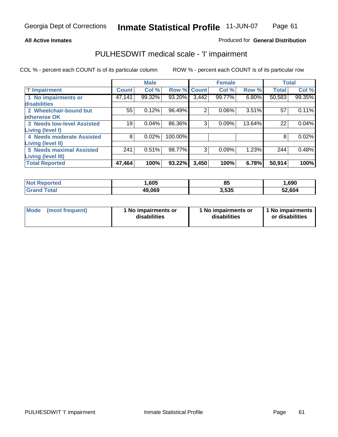## **All Active Inmates**

## Produced for **General Distribution**

## PULHESDWIT medical scale - 'I' impairment

|                                   |              | <b>Male</b> |             |       | <b>Female</b> |        | <b>Total</b> |        |
|-----------------------------------|--------------|-------------|-------------|-------|---------------|--------|--------------|--------|
| <b>T' Impairment</b>              | <b>Count</b> | Col %       | Row % Count |       | Col %         | Row %  | <b>Total</b> | Col %  |
| 1 No impairments or               | 47,141       | 99.32%      | 93.20%      | 3,442 | 99.77%        | 6.80%  | 50,583       | 99.35% |
| disabilities                      |              |             |             |       |               |        |              |        |
| 2 Wheelchair-bound but            | 55           | 0.12%       | 96.49%      | 2     | 0.06%         | 3.51%  | 57           | 0.11%  |
| otherwise OK                      |              |             |             |       |               |        |              |        |
| <b>3 Needs low-level Assisted</b> | 19           | 0.04%       | 86.36%      | 3     | 0.09%         | 13.64% | 22           | 0.04%  |
| Living (level I)                  |              |             |             |       |               |        |              |        |
| 4 Needs moderate Assisted         | 8            | 0.02%       | 100.00%     |       |               |        | 8            | 0.02%  |
| <b>Living (level II)</b>          |              |             |             |       |               |        |              |        |
| <b>5 Needs maximal Assisted</b>   | 241          | 0.51%       | 98.77%      | 3     | 0.09%         | 1.23%  | 244          | 0.48%  |
| <b>Living (level III)</b>         |              |             |             |       |               |        |              |        |
| <b>Total Reported</b>             | 47,464       | 100%        | 93.22%      | 3,450 | 100%          | 6.78%  | 50,914       | 100%   |

| <b>Reported</b><br>NO. | ,605   | 85    | ,690   |
|------------------------|--------|-------|--------|
| <b>ota</b>             | 49,069 | , 535 | 52.604 |

| <b>Mode</b> | (most frequent) | 1 No impairments or<br>disabilities | 1 No impairments or<br>disabilities | 1 1 No impairments<br>or disabilities |
|-------------|-----------------|-------------------------------------|-------------------------------------|---------------------------------------|
|-------------|-----------------|-------------------------------------|-------------------------------------|---------------------------------------|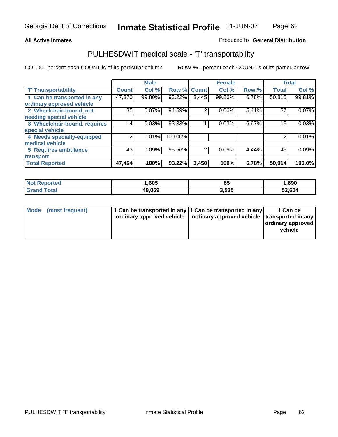#### **Inmate Statistical Profile** 11-JUN-07 Page Page 62

### **All Active Inmates Allowski** Produced fo **General Distribution**

## PULHESDWIT medical scale - 'T' transportability

|                              |              | <b>Male</b> |         |              | <b>Female</b> |       | <b>Total</b> |        |
|------------------------------|--------------|-------------|---------|--------------|---------------|-------|--------------|--------|
| <b>T' Transportability</b>   | <b>Count</b> | Col %       | Row %   | <b>Count</b> | Col %         | Row % | <b>Total</b> | Col %  |
| 1 Can be transported in any  | 47,370       | 99.80%      | 93.22%  | 3,445        | 99.86%        | 6.78% | 50,815       | 99.81% |
| ordinary approved vehicle    |              |             |         |              |               |       |              |        |
| 2 Wheelchair-bound, not      | 35           | 0.07%       | 94.59%  | 2            | 0.06%         | 5.41% | 37           | 0.07%  |
| needing special vehicle      |              |             |         |              |               |       |              |        |
| 3 Wheelchair-bound, requires | 14           | 0.03%       | 93.33%  |              | 0.03%         | 6.67% | 15           | 0.03%  |
| special vehicle              |              |             |         |              |               |       |              |        |
| 4 Needs specially-equipped   | 2            | 0.01%       | 100.00% |              |               |       |              | 0.01%  |
| medical vehicle              |              |             |         |              |               |       |              |        |
| <b>5 Requires ambulance</b>  | 43           | 0.09%       | 95.56%  | 2            | 0.06%         | 4.44% | 45           | 0.09%  |
| transport                    |              |             |         |              |               |       |              |        |
| <b>Total Reported</b>        | 47,464       | 100%        | 93.22%  | 3,450        | 100%          | 6.78% | 50,914       | 100.0% |

| <b>Not</b><br>Reported | .605   | 85    | 690, ا |
|------------------------|--------|-------|--------|
| Γotal<br><b>Grand</b>  | 49,069 | 3,535 | 52,604 |

| Mode (most frequent) | 1 Can be transported in any 1 Can be transported in any | ordinary approved vehicle   ordinary approved vehicle   transported in any | 1 Can be<br>ordinary approved<br>vehicle |
|----------------------|---------------------------------------------------------|----------------------------------------------------------------------------|------------------------------------------|
|                      |                                                         |                                                                            |                                          |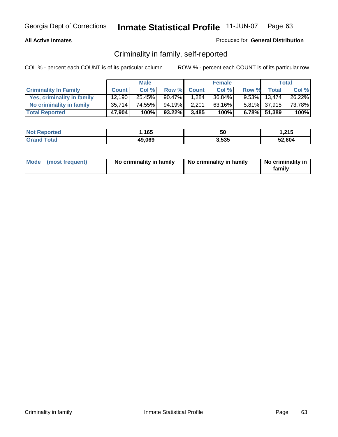### **All Active Inmates**

### Produced for **General Distribution**

## Criminality in family, self-reported

|                              |              | <b>Male</b> |           |              | <b>Female</b> |       |                 | <b>Total</b> |
|------------------------------|--------------|-------------|-----------|--------------|---------------|-------|-----------------|--------------|
| <b>Criminality In Family</b> | <b>Count</b> | Col %       | Row %     | <b>Count</b> | Col %         | Row % | <b>Total</b>    | Col %        |
| Yes, criminality in family   | 12.190       | 25.45%      | $90.47\%$ | 1,284        | 36.84%        |       | $9.53\%$ 13,474 | 26.22%       |
| No criminality in family     | 35,714       | 74.55%      | 94.19%    | 2,201        | 63.16%        |       | 5.81% 37,915    | 73.78%       |
| <b>Total Reported</b>        | 47,904       | 100%        | 93.22%    | 3,485        | 100%          |       | 6.78% 51,389    | 100%         |

| <b>Not Reported</b>          | 1,165  | 50    | .215.، |
|------------------------------|--------|-------|--------|
| <b>Total</b><br><b>Grand</b> | 49,069 | 3,535 | 52,604 |

| Mode (most frequent) |  | No criminality in family | No criminality in family | No criminality in<br>family |
|----------------------|--|--------------------------|--------------------------|-----------------------------|
|----------------------|--|--------------------------|--------------------------|-----------------------------|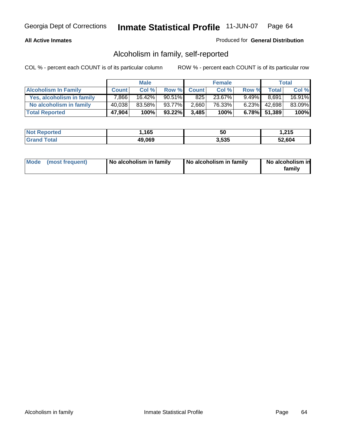### **All Active Inmates**

### Produced for **General Distribution**

## Alcoholism in family, self-reported

|                             |              | <b>Male</b> |           |              | <b>Female</b> |          |              | <b>Total</b> |
|-----------------------------|--------------|-------------|-----------|--------------|---------------|----------|--------------|--------------|
| <b>Alcoholism In Family</b> | <b>Count</b> | Col %       | Row %     | <b>Count</b> | Col %         | Row %    | <b>Total</b> | Col %        |
| Yes, alcoholism in family   | 7.866        | 16.42%      | $90.51\%$ | 825          | 23.67%        | $9.49\%$ | 8,691        | 16.91%       |
| No alcoholism in family     | 40,038       | 83.58%      | 93.77%    | 2,660        | 76.33%        | 6.23%    | 42,698       | 83.09%       |
| <b>Total Reported</b>       | 47,904       | 100%        | 93.22%    | 3,485        | 100%          |          | 6.78% 51,389 | 100%         |

| <b>Not Reported</b>          | 1,165  | 50    | .215.، |
|------------------------------|--------|-------|--------|
| <b>Total</b><br><b>Grand</b> | 49,069 | 3,535 | 52,604 |

|  | Mode (most frequent) | No alcoholism in family | No alcoholism in family | No alcoholism in<br>family |
|--|----------------------|-------------------------|-------------------------|----------------------------|
|--|----------------------|-------------------------|-------------------------|----------------------------|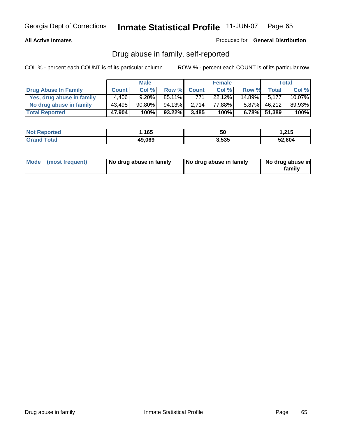### **All Active Inmates**

#### Produced for **General Distribution**

## Drug abuse in family, self-reported

|                           |              | <b>Male</b> |           |              | <b>Female</b> |           |              | <b>Total</b> |
|---------------------------|--------------|-------------|-----------|--------------|---------------|-----------|--------------|--------------|
| Drug Abuse In Family      | <b>Count</b> | Col %       | Row %     | <b>Count</b> | Col %         | Row %     | <b>Total</b> | Col %        |
| Yes, drug abuse in family | 4.406        | $9.20\%$    | $85.11\%$ | 771          | 22.12%        | $14.89\%$ | 5.177        | $10.07\%$    |
| No drug abuse in family   | 43,498       | $90.80\%$   | 94.13%    | 2.714        | 77.88%        | $5.87\%$  | 46,212       | 89.93%       |
| <b>Total Reported</b>     | 47,904       | 100%        | 93.22%    | 3,485        | 100%          |           | 6.78% 51,389 | 100%         |

| <b>Not Reported</b>          | 1,165  | 50    | .215.، |
|------------------------------|--------|-------|--------|
| <b>Total</b><br><b>Grand</b> | 49,069 | 3,535 | 52,604 |

|  | Mode (most frequent) | No drug abuse in family | No drug abuse in family | No drug abuse in<br>family |
|--|----------------------|-------------------------|-------------------------|----------------------------|
|--|----------------------|-------------------------|-------------------------|----------------------------|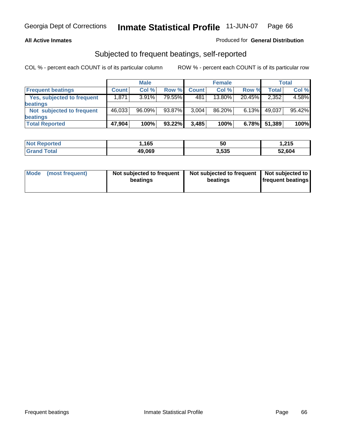### **All Active Inmates**

### Produced for **General Distribution**

## Subjected to frequent beatings, self-reported

|                                   |              | <b>Male</b> |         |              | <b>Female</b> |        |        | Total  |
|-----------------------------------|--------------|-------------|---------|--------------|---------------|--------|--------|--------|
| <b>Frequent beatings</b>          | <b>Count</b> | Col %       | Row %   | <b>Count</b> | Col %         | Row %  | Total  | Col %  |
| <b>Yes, subjected to frequent</b> | 1,871        | 3.91%       | 79.55%I | 481          | 13.80%        | 20.45% | 2,352  | 4.58%  |
| <b>beatings</b>                   |              |             |         |              |               |        |        |        |
| Not subjected to frequent         | 46,033       | 96.09%      | 93.87%  | 3,004        | 86.20%        | 6.13%  | 49,037 | 95.42% |
| <b>beatings</b>                   |              |             |         |              |               |        |        |        |
| <b>Total Reported</b>             | 47,904       | 100%        | 93.22%  | 3,485        | 100%          | 6.78%  | 51,389 | 100%   |

| orted<br><b>NOT</b>        | ,165   | ას    | .215   |
|----------------------------|--------|-------|--------|
| ⊺otal<br>"Gra <sub>r</sub> | 49,069 | 3,535 | 52,604 |

| <b>Mode</b><br>(most frequent) | Not subjected to frequent<br>beatings | Not subjected to frequent   Not subjected to  <br>beatings | <b>frequent beatings</b> |  |
|--------------------------------|---------------------------------------|------------------------------------------------------------|--------------------------|--|
|                                |                                       |                                                            |                          |  |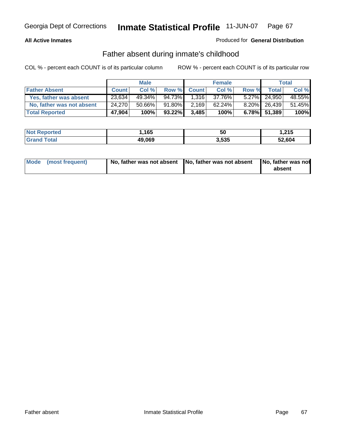### **All Active Inmates**

### Produced for **General Distribution**

## Father absent during inmate's childhood

|                           |              | <b>Male</b> |         |              | <b>Female</b> |       |              | Total  |
|---------------------------|--------------|-------------|---------|--------------|---------------|-------|--------------|--------|
| <b>Father Absent</b>      | <b>Count</b> | Col %       | Row %   | <b>Count</b> | Col %         | Row % | <b>Total</b> | Col %  |
| Yes, father was absent    | 23,634       | $49.34\%$   | 94.73%  | 1.316        | 37.76%        |       | 5.27% 24.950 | 48.55% |
| No, father was not absent | 24.270       | 50.66%      | 91.80%I | 2,169        | 62.24%        |       | 8.20% 26,439 | 51.45% |
| <b>Total Reported</b>     | 47,904       | 100%        | 93.22%  | 3,485        | 100%          |       | 6.78% 51,389 | 100%   |

| <b>Not Reported</b> | .165،  | .,<br>ას | 215. ا |
|---------------------|--------|----------|--------|
| <b>Grand Total</b>  | 49,069 | 3,535    | 52,604 |

| Mode (most frequent) |  | 「No, father was not absent ┃No, father was not absent ┃No, father was not | absent |
|----------------------|--|---------------------------------------------------------------------------|--------|
|----------------------|--|---------------------------------------------------------------------------|--------|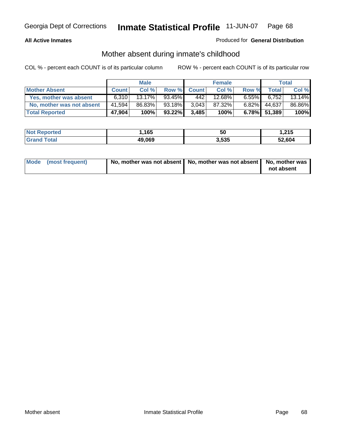### **All Active Inmates**

### Produced for **General Distribution**

## Mother absent during inmate's childhood

|                           |              | <b>Male</b> |        |              | <b>Female</b> |          |              | Total  |
|---------------------------|--------------|-------------|--------|--------------|---------------|----------|--------------|--------|
| <b>Mother Absent</b>      | <b>Count</b> | Col %       | Row %  | <b>Count</b> | Col %         | Row %    | <b>Total</b> | Col %  |
| Yes, mother was absent    | 6.310        | $13.17\%$   | 93.45% | 442          | 12.68%        | $6.55\%$ | 6,752        | 13.14% |
| No, mother was not absent | 41,594       | 86.83%      | 93.18% | 3.043        | 87.32%        | $6.82\%$ | 44,637       | 86.86% |
| <b>Total Reported</b>     | 47,904       | 100%        | 93.22% | 3,485        | 100%          |          | 6.78% 51,389 | 100%   |

| <b>Not Reported</b> | .165،  | 50    | 215. ا |
|---------------------|--------|-------|--------|
| <b>Grand Total</b>  | 49,069 | 3,535 | 52,604 |

| Mode (most frequent) | No, mother was not absent   No, mother was not absent   No, mother was | not absent |
|----------------------|------------------------------------------------------------------------|------------|
|----------------------|------------------------------------------------------------------------|------------|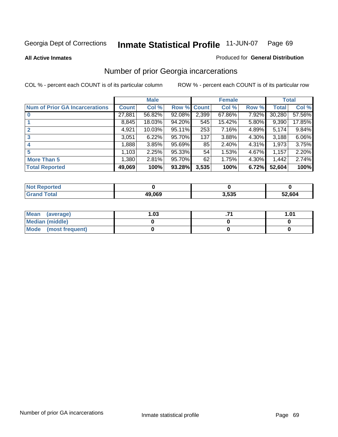#### **All Active Inmates**

#### Produced for **General Distribution**

## Number of prior Georgia incarcerations

|                                       |              | <b>Male</b> |             |       | <b>Female</b> |       |        | <b>Total</b> |
|---------------------------------------|--------------|-------------|-------------|-------|---------------|-------|--------|--------------|
| <b>Num of Prior GA Incarcerations</b> | <b>Count</b> | Col %       | Row % Count |       | Col %         | Row % | Total  | Col %        |
| $\bf{0}$                              | 27,881       | 56.82%      | 92.08%      | 2,399 | 67.86%        | 7.92% | 30,280 | 57.56%       |
|                                       | 8,845        | 18.03%      | 94.20%      | 545   | 15.42%        | 5.80% | 9,390  | 17.85%       |
|                                       | 4,921        | 10.03%      | 95.11%      | 253   | 7.16%         | 4.89% | 5,174  | 9.84%        |
| 3                                     | 3,051        | 6.22%       | 95.70%      | 137   | 3.88%         | 4.30% | 3,188  | 6.06%        |
| 4                                     | 1,888        | 3.85%       | $95.69\%$   | 85    | 2.40%         | 4.31% | 1,973  | 3.75%        |
| 5                                     | 1,103        | 2.25%       | 95.33%      | 54    | 1.53%         | 4.67% | 1,157  | 2.20%        |
| <b>More Than 5</b>                    | 1,380        | 2.81%       | 95.70%      | 62    | 1.75%         | 4.30% | 1,442  | 2.74%        |
| <b>Total Reported</b>                 | 49,069       | 100%        | 93.28%      | 3,535 | 100%          | 6.72% | 52,604 | 100%         |

| rted<br>N               |        |       |        |
|-------------------------|--------|-------|--------|
| ำfa.<br>. Car<br>______ | 19.069 | 3,535 | 52.604 |

| Mean (average)       | l.O3 | 1.01 |
|----------------------|------|------|
| Median (middle)      |      |      |
| Mode (most frequent) |      |      |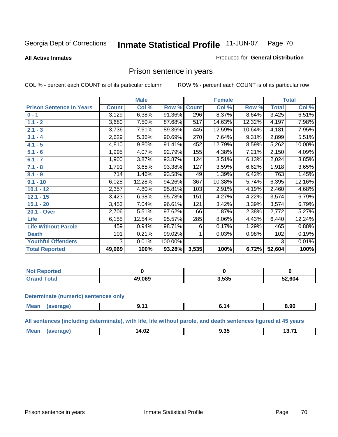**All Active Inmates**

#### Produced for **General Distribution**

## Prison sentence in years

COL % - percent each COUNT is of its particular column ROW % - percent each COUNT is of its particular row

|                                 |              | <b>Male</b> |         |              | <b>Female</b> |        |              | <b>Total</b> |
|---------------------------------|--------------|-------------|---------|--------------|---------------|--------|--------------|--------------|
| <b>Prison Sentence In Years</b> | <b>Count</b> | Col %       | Row %   | <b>Count</b> | Col %         | Row %  | <b>Total</b> | Col %        |
| $0 - 1$                         | 3,129        | 6.38%       | 91.36%  | 296          | 8.37%         | 8.64%  | 3,425        | 6.51%        |
| $1.1 - 2$                       | 3,680        | 7.50%       | 87.68%  | 517          | 14.63%        | 12.32% | 4,197        | 7.98%        |
| $2.1 - 3$                       | 3,736        | 7.61%       | 89.36%  | 445          | 12.59%        | 10.64% | 4,181        | 7.95%        |
| $3.1 - 4$                       | 2,629        | 5.36%       | 90.69%  | 270          | 7.64%         | 9.31%  | 2,899        | 5.51%        |
| $4.1 - 5$                       | 4,810        | 9.80%       | 91.41%  | 452          | 12.79%        | 8.59%  | 5,262        | 10.00%       |
| $5.1 - 6$                       | 1,995        | 4.07%       | 92.79%  | 155          | 4.38%         | 7.21%  | 2,150        | 4.09%        |
| $6.1 - 7$                       | 1,900        | 3.87%       | 93.87%  | 124          | 3.51%         | 6.13%  | 2,024        | 3.85%        |
| $7.1 - 8$                       | 1,791        | 3.65%       | 93.38%  | 127          | 3.59%         | 6.62%  | 1,918        | 3.65%        |
| $8.1 - 9$                       | 714          | 1.46%       | 93.58%  | 49           | 1.39%         | 6.42%  | 763          | 1.45%        |
| $9.1 - 10$                      | 6,028        | 12.28%      | 94.26%  | 367          | 10.38%        | 5.74%  | 6,395        | 12.16%       |
| $10.1 - 12$                     | 2,357        | 4.80%       | 95.81%  | 103          | 2.91%         | 4.19%  | 2,460        | 4.68%        |
| $12.1 - 15$                     | 3,423        | 6.98%       | 95.78%  | 151          | 4.27%         | 4.22%  | 3,574        | 6.79%        |
| $15.1 - 20$                     | 3,453        | 7.04%       | 96.61%  | 121          | 3.42%         | 3.39%  | 3,574        | 6.79%        |
| 20.1 - Over                     | 2,706        | 5.51%       | 97.62%  | 66           | 1.87%         | 2.38%  | 2,772        | 5.27%        |
| <b>Life</b>                     | 6,155        | 12.54%      | 95.57%  | 285          | 8.06%         | 4.43%  | 6,440        | 12.24%       |
| <b>Life Without Parole</b>      | 459          | 0.94%       | 98.71%  | 6            | 0.17%         | 1.29%  | 465          | 0.88%        |
| <b>Death</b>                    | 101          | 0.21%       | 99.02%  |              | 0.03%         | 0.98%  | 102          | 0.19%        |
| <b>Youthful Offenders</b>       | 3            | 0.01%       | 100.00% |              |               |        | 3            | 0.01%        |
| <b>Total Reported</b>           | 49,069       | 100%        | 93.28%  | 3,535        | 100%          | 6.72%  | 52,604       | 100%         |

| Reported<br>NOT. |        |       |        |
|------------------|--------|-------|--------|
| `otal            | 49.069 | 3,535 | 52,604 |

#### **Determinate (numeric) sentences only**

| Mean<br>$\cdots$ | апе | . . | . .<br>$\sim$ $\sim$ $\sim$ $\sim$ $\sim$ $\sim$ $\sim$ $\sim$ | חה פ<br>0.JL<br>- - - |
|------------------|-----|-----|----------------------------------------------------------------|-----------------------|
|                  |     |     |                                                                |                       |

**All sentences (including determinate), with life, life without parole, and death sentences figured at 45 years**

| $M_{\odot}$<br>. | $\sim$<br>4<br>14.V4 | $  -$ | גיד הו |
|------------------|----------------------|-------|--------|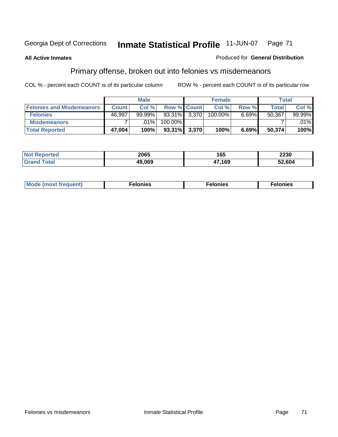#### **All Active Inmates**

#### Produced for **General Distribution**

## Primary offense, broken out into felonies vs misdemeanors

|                                  |              | <b>Male</b> |                    |       | <b>Female</b> |       | Total        |         |
|----------------------------------|--------------|-------------|--------------------|-------|---------------|-------|--------------|---------|
| <b>Felonies and Misdemeanors</b> | <b>Count</b> | Col%        | <b>Row % Count</b> |       | Col %         | Row % | <b>Total</b> | Col %   |
| <b>Felonies</b>                  | 46,997       | $99.99\%$   | $93.31\%$ 3.370    |       | 100.00%       | 6.69% | 50,367       | 99.99%  |
| <b>Misdemeanors</b>              |              | $.01\%$     | 100.00%            |       |               |       |              | $.01\%$ |
| <b>Total Reported</b>            | 47,004       | 100%        | 93.31%             | 3,370 | 100%          | 6.69% | 50,374       | 100%    |

| ted <sup>-</sup><br>Not<br>⋯ | 2065   | 165    | 2230  |
|------------------------------|--------|--------|-------|
|                              | 19.069 | 17,169 | 2,604 |

| Mode (most frequent) | elonies | elonies | onies<br>-е к |
|----------------------|---------|---------|---------------|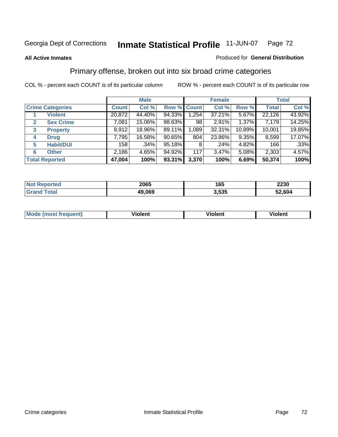#### **All Active Inmates**

#### Produced for **General Distribution**

## Primary offense, broken out into six broad crime categories

|                                  |              | <b>Male</b> |             |       | <b>Female</b> |          |              | <b>Total</b> |
|----------------------------------|--------------|-------------|-------------|-------|---------------|----------|--------------|--------------|
| <b>Crime Categories</b>          | <b>Count</b> | Col %       | Row % Count |       | Col %         | Row %    | <b>Total</b> | Col %        |
| <b>Violent</b>                   | 20,872       | 44.40%      | 94.33%      | 1,254 | 37.21%        | 5.67%    | 22,126       | 43.92%       |
| <b>Sex Crime</b><br>$\mathbf{2}$ | 7,081        | 15.06%      | 98.63%      | 98    | 2.91%         | 1.37%    | 7,179        | 14.25%       |
| $\mathbf{3}$<br><b>Property</b>  | 8,912        | 18.96%      | 89.11%      | 1,089 | 32.31%        | 10.89%   | 10,001       | 19.85%       |
| <b>Drug</b><br>4                 | 7,795        | 16.58%      | $90.65\%$   | 804   | 23.86%        | $9.35\%$ | 8,599        | 17.07%       |
| <b>Habit/DUI</b><br>5            | 158          | .34%        | 95.18%      | 8     | .24%          | 4.82%    | 166          | .33%         |
| <b>Other</b><br>6                | 2,186        | 4.65%       | 94.92%      | 117   | 3.47%         | 5.08%    | 2,303        | 4.57%        |
| <b>Total Reported</b>            | 47,004       | 100%        | 93.31%      | 3,370 | 100%          | 6.69%    | 50,374       | 100%         |

| orted<br>NO | 2065   | 165   | 2230   |
|-------------|--------|-------|--------|
| $\sim$ 40   | 49,069 | 3.535 | 52.604 |

| IМ      | .        | $-$      | -------- |
|---------|----------|----------|----------|
| 1119000 | -------- | -------- |          |
|         |          |          |          |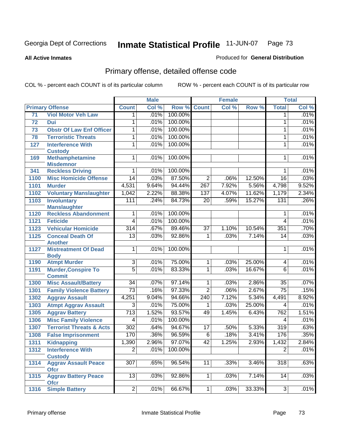**All Active Inmates**

### Produced for **General Distribution**

# Primary offense, detailed offense code

|      |                                                    | <b>Male</b>      |       |         |                  | <b>Female</b> | <b>Total</b> |                 |       |
|------|----------------------------------------------------|------------------|-------|---------|------------------|---------------|--------------|-----------------|-------|
|      | <b>Primary Offense</b>                             | <b>Count</b>     | Col % | Row %   | <b>Count</b>     | Col %         | Row %        | <b>Total</b>    | Col % |
| 71   | <b>Viol Motor Veh Law</b>                          | $\mathbf 1$      | .01%  | 100.00% |                  |               |              | $\mathbf 1$     | .01%  |
| 72   | Dui                                                | 1                | .01%  | 100.00% |                  |               |              | 1               | .01%  |
| 73   | <b>Obstr Of Law Enf Officer</b>                    | 1                | .01%  | 100.00% |                  |               |              | 1               | .01%  |
| 78   | <b>Terroristic Threats</b>                         | 1                | .01%  | 100.00% |                  |               |              | 1               | .01%  |
| 127  | <b>Interference With</b>                           | 1                | .01%  | 100.00% |                  |               |              | 1               | .01%  |
|      | <b>Custody</b>                                     |                  |       |         |                  |               |              |                 |       |
| 169  | <b>Methamphetamine</b>                             | $\mathbf{1}$     | .01%  | 100.00% |                  |               |              | 1               | .01%  |
|      | <b>Misdemnor</b>                                   |                  |       |         |                  |               |              |                 |       |
| 341  | <b>Reckless Driving</b>                            | 1                | .01%  | 100.00% |                  |               |              | 1               | .01%  |
| 1100 | <b>Misc Homicide Offense</b>                       | $\overline{14}$  | .03%  | 87.50%  | $\overline{2}$   | .06%          | 12.50%       | $\overline{16}$ | .03%  |
| 1101 | <b>Murder</b>                                      | 4,531            | 9.64% | 94.44%  | $\overline{267}$ | 7.92%         | 5.56%        | 4,798           | 9.52% |
| 1102 | <b>Voluntary Manslaughter</b>                      | 1,042            | 2.22% | 88.38%  | 137              | 4.07%         | 11.62%       | 1,179           | 2.34% |
| 1103 | <b>Involuntary</b>                                 | 111              | .24%  | 84.73%  | $\overline{20}$  | .59%          | 15.27%       | 131             | .26%  |
|      | <b>Manslaughter</b><br><b>Reckless Abandonment</b> | 1                | .01%  | 100.00% |                  |               |              |                 | .01%  |
| 1120 |                                                    |                  |       |         |                  |               |              | 1               |       |
| 1121 | <b>Feticide</b>                                    | $\overline{4}$   | .01%  | 100.00% |                  |               |              | 4               | .01%  |
| 1123 | <b>Vehicular Homicide</b>                          | $\overline{314}$ | .67%  | 89.46%  | $\overline{37}$  | 1.10%         | 10.54%       | 351             | .70%  |
| 1125 | <b>Conceal Death Of</b><br><b>Another</b>          | $\overline{13}$  | .03%  | 92.86%  | $\mathbf{1}$     | .03%          | 7.14%        | 14              | .03%  |
| 1127 | <b>Mistreatment Of Dead</b>                        | $\mathbf{1}$     | .01%  | 100.00% |                  |               |              | 1               | .01%  |
|      | <b>Body</b>                                        |                  |       |         |                  |               |              |                 |       |
| 1190 | <b>Atmpt Murder</b>                                | $\overline{3}$   | .01%  | 75.00%  | $\mathbf{1}$     | .03%          | 25.00%       | 4               | .01%  |
| 1191 | <b>Murder, Conspire To</b>                         | $\overline{5}$   | .01%  | 83.33%  | $\mathbf{1}$     | .03%          | 16.67%       | 6               | .01%  |
|      | <b>Commit</b>                                      |                  |       |         |                  |               |              |                 |       |
| 1300 | <b>Misc Assault/Battery</b>                        | $\overline{34}$  | .07%  | 97.14%  | $\mathbf{1}$     | .03%          | 2.86%        | $\overline{35}$ | .07%  |
| 1301 | <b>Family Violence Battery</b>                     | $\overline{73}$  | .16%  | 97.33%  | $\overline{2}$   | .06%          | 2.67%        | $\overline{75}$ | .15%  |
| 1302 | <b>Aggrav Assault</b>                              | 4,251            | 9.04% | 94.66%  | 240              | 7.12%         | 5.34%        | 4,491           | 8.92% |
| 1303 | <b>Atmpt Aggrav Assault</b>                        | 3                | .01%  | 75.00%  | 1                | .03%          | 25.00%       | 4               | .01%  |
| 1305 | <b>Aggrav Battery</b>                              | 713              | 1.52% | 93.57%  | 49               | 1.45%         | 6.43%        | 762             | 1.51% |
| 1306 | <b>Misc Family Violence</b>                        | 4                | .01%  | 100.00% |                  |               |              | 4               | .01%  |
| 1307 | <b>Terrorist Threats &amp; Acts</b>                | $\overline{302}$ | .64%  | 94.67%  | $\overline{17}$  | .50%          | 5.33%        | 319             | .63%  |
| 1308 | <b>False Imprisonment</b>                          | 170              | .36%  | 96.59%  | $\overline{6}$   | .18%          | 3.41%        | 176             | .35%  |
|      | 1311 Kidnapping                                    | 1,390            | 2.96% | 97.07%  | 42               | 1.25%         | 2.93%        | 1,432           | 2.84% |
| 1312 | <b>Interference With</b>                           | $\overline{2}$   | .01%  | 100.00% |                  |               |              | $\overline{2}$  | .01%  |
|      | <b>Custody</b>                                     |                  |       |         |                  |               |              |                 |       |
| 1314 | <b>Aggrav Assault Peace</b>                        | $\overline{307}$ | .65%  | 96.54%  | 11               | .33%          | 3.46%        | 318             | .63%  |
|      | <b>Ofcr</b>                                        |                  |       |         |                  |               |              |                 |       |
| 1315 | <b>Aggrav Battery Peace</b>                        | 13               | .03%  | 92.86%  | 1 <sup>1</sup>   | .03%          | 7.14%        | 14              | .03%  |
| 1316 | <b>Ofcr</b><br><b>Simple Battery</b>               | $\overline{2}$   | .01%  | 66.67%  | 1                | .03%          | 33.33%       | $\overline{3}$  | .01%  |
|      |                                                    |                  |       |         |                  |               |              |                 |       |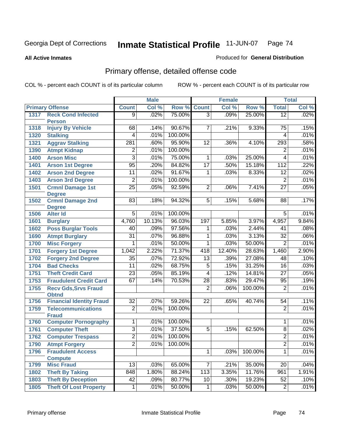**All Active Inmates**

### Produced for **General Distribution**

# Primary offense, detailed offense code

|      |                                           |                  | <b>Male</b> |         |                 | <b>Female</b> |         |                  | <b>Total</b> |
|------|-------------------------------------------|------------------|-------------|---------|-----------------|---------------|---------|------------------|--------------|
|      | <b>Primary Offense</b>                    | <b>Count</b>     | Col %       | Row %   | <b>Count</b>    | Col %         | Row %   | <b>Total</b>     | Col %        |
| 1317 | <b>Reck Cond Infected</b>                 | 9 <sup>1</sup>   | .02%        | 75.00%  | $\overline{3}$  | .09%          | 25.00%  | $\overline{12}$  | .02%         |
|      | <b>Person</b>                             |                  |             |         |                 |               |         |                  |              |
| 1318 | <b>Injury By Vehicle</b>                  | 68               | .14%        | 90.67%  | 7               | .21%          | 9.33%   | 75               | .15%         |
| 1320 | <b>Stalking</b>                           | 4                | .01%        | 100.00% |                 |               |         | 4                | .01%         |
| 1321 | <b>Aggrav Stalking</b>                    | $\overline{281}$ | .60%        | 95.90%  | 12              | .36%          | 4.10%   | $\overline{293}$ | .58%         |
| 1390 | <b>Atmpt Kidnap</b>                       | $\overline{2}$   | .01%        | 100.00% |                 |               |         | $\overline{2}$   | .01%         |
| 1400 | <b>Arson Misc</b>                         | $\overline{3}$   | .01%        | 75.00%  | $\mathbf{1}$    | .03%          | 25.00%  | 4                | .01%         |
| 1401 | <b>Arson 1st Degree</b>                   | 95               | .20%        | 84.82%  | $\overline{17}$ | .50%          | 15.18%  | $\overline{112}$ | .22%         |
| 1402 | <b>Arson 2nd Degree</b>                   | $\overline{11}$  | .02%        | 91.67%  | 1               | .03%          | 8.33%   | $\overline{12}$  | .02%         |
| 1403 | <b>Arson 3rd Degree</b>                   | $\overline{2}$   | .01%        | 100.00% |                 |               |         | $\overline{2}$   | .01%         |
| 1501 | <b>Crmnl Damage 1st</b>                   | $\overline{25}$  | .05%        | 92.59%  | $\overline{2}$  | .06%          | 7.41%   | $\overline{27}$  | .05%         |
|      | <b>Degree</b>                             |                  |             |         |                 |               |         |                  |              |
| 1502 | <b>Crmnl Damage 2nd</b>                   | 83               | .18%        | 94.32%  | 5               | .15%          | 5.68%   | 88               | .17%         |
| 1506 | <b>Degree</b><br><b>Alter Id</b>          | $\overline{5}$   | .01%        | 100.00% |                 |               |         | $\overline{5}$   | .01%         |
|      |                                           |                  |             |         |                 |               |         |                  |              |
| 1601 | <b>Burglary</b>                           | 4,760            | 10.13%      | 96.03%  | 197             | 5.85%         | 3.97%   | 4,957            | 9.84%        |
| 1602 | <b>Poss Burglar Tools</b>                 | 40               | .09%        | 97.56%  | 1               | .03%          | 2.44%   | 41               | .08%         |
| 1690 | <b>Atmpt Burglary</b>                     | $\overline{31}$  | .07%        | 96.88%  | 1               | .03%          | 3.13%   | $\overline{32}$  | .06%         |
| 1700 | <b>Misc Forgery</b>                       | 1                | .01%        | 50.00%  | 1               | .03%          | 50.00%  | $\overline{2}$   | .01%         |
| 1701 | <b>Forgery 1st Degree</b>                 | 1,042            | 2.22%       | 71.37%  | 418             | 12.40%        | 28.63%  | 1,460            | 2.90%        |
| 1702 | <b>Forgery 2nd Degree</b>                 | $\overline{35}$  | .07%        | 72.92%  | $\overline{13}$ | .39%          | 27.08%  | 48               | .10%         |
| 1704 | <b>Bad Checks</b>                         | $\overline{11}$  | .02%        | 68.75%  | $\overline{5}$  | .15%          | 31.25%  | $\overline{16}$  | .03%         |
| 1751 | <b>Theft Credit Card</b>                  | $\overline{23}$  | .05%        | 85.19%  | $\overline{4}$  | .12%          | 14.81%  | $\overline{27}$  | .05%         |
| 1753 | <b>Fraudulent Credit Card</b>             | 67               | .14%        | 70.53%  | 28              | .83%          | 29.47%  | $\overline{95}$  | .19%         |
| 1755 | <b>Recv Gds, Srvs Fraud</b>               |                  |             |         | $\overline{2}$  | .06%          | 100.00% | $\overline{2}$   | .01%         |
|      | <b>Obtnd</b>                              |                  |             |         |                 |               |         |                  |              |
| 1756 | <b>Financial Identity Fraud</b>           | $\overline{32}$  | .07%        | 59.26%  | 22              | .65%          | 40.74%  | $\overline{54}$  | .11%         |
| 1759 | <b>Telecommunications</b><br><b>Fraud</b> | $\overline{2}$   | .01%        | 100.00% |                 |               |         | $\overline{2}$   | .01%         |
| 1760 | <b>Computer Pornography</b>               | $\mathbf{1}$     | .01%        | 100.00% |                 |               |         | 1                | .01%         |
| 1761 | <b>Computer Theft</b>                     | $\overline{3}$   | .01%        | 37.50%  | 5               | .15%          | 62.50%  | 8                | .02%         |
| 1762 | <b>Computer Trespass</b>                  | $\overline{2}$   | .01%        | 100.00% |                 |               |         | 2                | .01%         |
| 1790 | <b>Atmpt Forgery</b>                      | $\overline{2}$   | .01%        | 100.00% |                 |               |         | $\overline{2}$   | .01%         |
| 1796 | <b>Fraudulent Access</b>                  |                  |             |         | $\mathbf{1}$    | .03%          | 100.00% | $\overline{1}$   | .01%         |
|      | <b>Compute</b>                            |                  |             |         |                 |               |         |                  |              |
| 1799 | <b>Misc Fraud</b>                         | $\overline{13}$  | .03%        | 65.00%  | $\overline{7}$  | .21%          | 35.00%  | $\overline{20}$  | .04%         |
| 1802 | <b>Theft By Taking</b>                    | 848              | 1.80%       | 88.24%  | 113             | 3.35%         | 11.76%  | 961              | 1.91%        |
| 1803 | <b>Theft By Deception</b>                 | 42               | .09%        | 80.77%  | 10              | .30%          | 19.23%  | 52               | .10%         |
| 1805 | <b>Theft Of Lost Property</b>             | 1                | .01%        | 50.00%  | $\overline{1}$  | .03%          | 50.00%  | $\overline{2}$   | .01%         |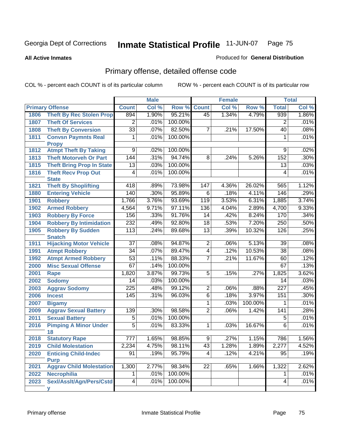#### **All Active Inmates**

#### Produced for **General Distribution**

# Primary offense, detailed offense code

|      |                                            | <b>Male</b>      |       |         | <b>Female</b>   |       | <b>Total</b> |                  |       |
|------|--------------------------------------------|------------------|-------|---------|-----------------|-------|--------------|------------------|-------|
|      | <b>Primary Offense</b>                     | <b>Count</b>     | Col % | Row %   | <b>Count</b>    | Col % | Row %        | <b>Total</b>     | Col % |
| 1806 | <b>Theft By Rec Stolen Prop</b>            | 894              | 1.90% | 95.21%  | 45              | 1.34% | 4.79%        | 939              | 1.86% |
| 1807 | <b>Theft Of Services</b>                   | $\overline{2}$   | .01%  | 100.00% |                 |       |              | 2                | .01%  |
| 1808 | <b>Theft By Conversion</b>                 | $\overline{33}$  | .07%  | 82.50%  | $\overline{7}$  | .21%  | 17.50%       | 40               | .08%  |
| 1811 | <b>Convsn Paymnts Real</b>                 | 1                | .01%  | 100.00% |                 |       |              | 1                | .01%  |
|      | <b>Propy</b>                               |                  |       |         |                 |       |              |                  |       |
| 1812 | <b>Atmpt Theft By Taking</b>               | $\overline{9}$   | .02%  | 100.00% |                 |       |              | $\overline{9}$   | .02%  |
| 1813 | <b>Theft Motorveh Or Part</b>              | 144              | .31%  | 94.74%  | $\overline{8}$  | .24%  | 5.26%        | 152              | .30%  |
| 1815 | <b>Theft Bring Prop In State</b>           | $\overline{13}$  | .03%  | 100.00% |                 |       |              | $\overline{13}$  | .03%  |
| 1816 | <b>Theft Recv Prop Out</b><br><b>State</b> | $\overline{4}$   | .01%  | 100.00% |                 |       |              | 4                | .01%  |
| 1821 | <b>Theft By Shoplifting</b>                | 418              | .89%  | 73.98%  | 147             | 4.36% | 26.02%       | 565              | 1.12% |
| 1880 | <b>Entering Vehicle</b>                    | 140              | .30%  | 95.89%  | 6               | .18%  | 4.11%        | 146              | .29%  |
| 1901 | <b>Robbery</b>                             | 1,766            | 3.76% | 93.69%  | 119             | 3.53% | 6.31%        | 1,885            | 3.74% |
| 1902 | <b>Armed Robbery</b>                       | 4,564            | 9.71% | 97.11%  | 136             | 4.04% | 2.89%        | 4,700            | 9.33% |
| 1903 | <b>Robbery By Force</b>                    | 156              | .33%  | 91.76%  | $\overline{14}$ | .42%  | 8.24%        | 170              | .34%  |
| 1904 | <b>Robbery By Intimidation</b>             | 232              | .49%  | 92.80%  | $\overline{18}$ | .53%  | 7.20%        | $\overline{250}$ | .50%  |
| 1905 | <b>Robbery By Sudden</b>                   | $\overline{113}$ | .24%  | 89.68%  | $\overline{13}$ | .39%  | 10.32%       | 126              | .25%  |
|      | <b>Snatch</b>                              |                  |       |         |                 |       |              |                  |       |
| 1911 | <b>Hijacking Motor Vehicle</b>             | $\overline{37}$  | .08%  | 94.87%  | $\overline{2}$  | .06%  | 5.13%        | $\overline{39}$  | .08%  |
| 1991 | <b>Atmpt Robbery</b>                       | $\overline{34}$  | .07%  | 89.47%  | $\overline{4}$  | .12%  | 10.53%       | $\overline{38}$  | .08%  |
| 1992 | <b>Atmpt Armed Robbery</b>                 | $\overline{53}$  | .11%  | 88.33%  | 7               | .21%  | 11.67%       | 60               | .12%  |
| 2000 | <b>Misc Sexual Offense</b>                 | 67               | .14%  | 100.00% |                 |       |              | 67               | .13%  |
| 2001 | Rape                                       | 1,820            | 3.87% | 99.73%  | $\overline{5}$  | .15%  | .27%         | 1,825            | 3.62% |
| 2002 | <b>Sodomy</b>                              | $\overline{14}$  | .03%  | 100.00% |                 |       |              | 14               | .03%  |
| 2003 | <b>Aggrav Sodomy</b>                       | 225              | .48%  | 99.12%  | $\overline{2}$  | .06%  | .88%         | $\overline{227}$ | .45%  |
| 2006 | <b>Incest</b>                              | 145              | .31%  | 96.03%  | $\overline{6}$  | .18%  | 3.97%        | 151              | .30%  |
| 2007 | <b>Bigamy</b>                              |                  |       |         | $\overline{1}$  | .03%  | 100.00%      | 1                | .01%  |
| 2009 | <b>Aggrav Sexual Battery</b>               | 139              | .30%  | 98.58%  | $\overline{2}$  | .06%  | 1.42%        | 141              | .28%  |
| 2011 | <b>Sexual Battery</b>                      | $\overline{5}$   | .01%  | 100.00% |                 |       |              | $\overline{5}$   | .01%  |
| 2016 | <b>Pimping A Minor Under</b><br>18         | $\overline{5}$   | .01%  | 83.33%  | $\mathbf{1}$    | .03%  | 16.67%       | $\overline{6}$   | .01%  |
| 2018 | <b>Statutory Rape</b>                      | $\overline{777}$ | 1.65% | 98.85%  | $\overline{9}$  | .27%  | 1.15%        | 786              | 1.56% |
| 2019 | <b>Child Molestation</b>                   | 2,234            | 4.75% | 98.11%  | 43              | 1.28% | 1.89%        | 2,277            | 4.52% |
| 2020 | <b>Enticing Child-Indec</b>                | 91               | .19%  | 95.79%  | 4               | .12%  | 4.21%        | 95               | .19%  |
|      | <b>Purp</b>                                |                  |       |         |                 |       |              |                  |       |
| 2021 | <b>Aggrav Child Molestation</b>            | 1,300            | 2.77% | 98.34%  | $\overline{22}$ | .65%  | 1.66%        | 1,322            | 2.62% |
| 2022 | <b>Necrophilia</b>                         | 1                | .01%  | 100.00% |                 |       |              | 1                | .01%  |
| 2023 | Sexl/Asslt/Agn/Pers/Cstd                   | 4                | .01%  | 100.00% |                 |       |              | 4                | .01%  |
|      | v                                          |                  |       |         |                 |       |              |                  |       |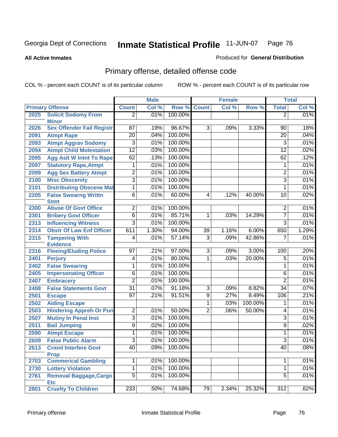**All Active Inmates**

### Produced for **General Distribution**

# Primary offense, detailed offense code

|      |                                                  |                                   | <b>Male</b> |         |                | <b>Female</b> |          |                  | <b>Total</b> |
|------|--------------------------------------------------|-----------------------------------|-------------|---------|----------------|---------------|----------|------------------|--------------|
|      | <b>Primary Offense</b>                           | <b>Count</b>                      | Col %       | Row %   | <b>Count</b>   | Col %         | Row %    | <b>Total</b>     | Col %        |
| 2025 | <b>Solicit Sodomy From</b>                       | $\overline{2}$                    | .01%        | 100.00% |                |               |          | 2                | .01%         |
|      | <b>Minor</b>                                     |                                   |             |         |                |               |          |                  |              |
| 2026 | <b>Sex Offender Fail Registr</b>                 | 87                                | .19%        | 96.67%  | 3              | .09%          | 3.33%    | 90               | .18%         |
| 2091 | <b>Atmpt Rape</b>                                | $\overline{20}$                   | .04%        | 100.00% |                |               |          | 20               | .04%         |
| 2093 | <b>Atmpt Aggrav Sodomy</b>                       | 3                                 | .01%        | 100.00% |                |               |          | $\overline{3}$   | .01%         |
| 2094 | <b>Atmpt Child Molestation</b>                   | $\overline{12}$                   | .03%        | 100.00% |                |               |          | $\overline{12}$  | .02%         |
| 2095 | <b>Agg Aslt W Intnt To Rape</b>                  | 62                                | .13%        | 100.00% |                |               |          | 62               | .12%         |
| 2097 | <b>Statutory Rape, Atmpt</b>                     | 1                                 | .01%        | 100.00% |                |               |          | 1                | .01%         |
| 2099 | <b>Agg Sex Battery Atmpt</b>                     | $\overline{2}$                    | .01%        | 100.00% |                |               |          | 2                | .01%         |
| 2100 | <b>Misc Obscenity</b>                            | $\overline{3}$                    | .01%        | 100.00% |                |               |          | $\overline{3}$   | .01%         |
| 2101 | <b>Distributing Obscene Mat</b>                  | 1                                 | .01%        | 100.00% |                |               |          | 1                | .01%         |
| 2205 | <b>False Swearng Writtn</b>                      | $\overline{6}$                    | .01%        | 60.00%  | 4              | .12%          | 40.00%   | 10               | .02%         |
|      | <b>Stmt</b>                                      |                                   |             |         |                |               |          |                  |              |
| 2300 | <b>Abuse Of Govt Office</b>                      | $\overline{2}$                    | .01%        | 100.00% |                |               |          | 2                | .01%         |
| 2301 | <b>Bribery Govt Officer</b>                      | $\overline{6}$                    | .01%        | 85.71%  | 1              | .03%          | 14.29%   | $\overline{7}$   | .01%         |
| 2313 | <b>Influencing Witness</b>                       | $\overline{3}$                    | .01%        | 100.00% |                |               |          | $\overline{3}$   | .01%         |
| 2314 | <b>Obstr Of Law Enf Officer</b>                  | 611                               | 1.30%       | 94.00%  | 39             | 1.16%         | $6.00\%$ | 650              | 1.29%        |
| 2315 | <b>Tampering With</b>                            | $\overline{4}$                    | .01%        | 57.14%  | $\overline{3}$ | .09%          | 42.86%   | 7                | .01%         |
| 2316 | <b>Evidence</b><br><b>Fleeing/Eluding Police</b> | $\overline{97}$                   | .21%        | 97.00%  | $\overline{3}$ | .09%          | 3.00%    | 100              | .20%         |
| 2401 | <b>Perjury</b>                                   | 4                                 | .01%        | 80.00%  | 1              | .03%          | 20.00%   | $\overline{5}$   | .01%         |
| 2402 | <b>False Swearing</b>                            | 1                                 | .01%        | 100.00% |                |               |          | 1                | .01%         |
| 2405 | <b>Impersonating Officer</b>                     | $\overline{6}$                    | .01%        | 100.00% |                |               |          | $\overline{6}$   | .01%         |
|      |                                                  |                                   | .01%        | 100.00% |                |               |          | $\overline{2}$   | .01%         |
| 2407 | <b>Embracery</b>                                 | $\overline{2}$<br>$\overline{31}$ |             | 91.18%  |                |               |          | $\overline{34}$  | .07%         |
| 2408 | <b>False Statements Govt</b>                     |                                   | .07%        |         | $\overline{3}$ | .09%          | 8.82%    |                  |              |
| 2501 | <b>Escape</b>                                    | $\overline{97}$                   | .21%        | 91.51%  | $\overline{9}$ | .27%          | 8.49%    | 106              | .21%         |
| 2502 | <b>Aiding Escape</b>                             |                                   |             |         | $\overline{1}$ | .03%          | 100.00%  | 1                | .01%         |
| 2503 | <b>Hindering Appreh Or Pun</b>                   | $\overline{2}$                    | .01%        | 50.00%  | $\overline{2}$ | .06%          | 50.00%   | 4                | .01%         |
| 2507 | <b>Mutiny In Penal Inst</b>                      | $\overline{3}$                    | .01%        | 100.00% |                |               |          | $\overline{3}$   | .01%         |
| 2511 | <b>Bail Jumping</b>                              | $\overline{9}$                    | .02%        | 100.00% |                |               |          | $\overline{9}$   | .02%         |
| 2590 | <b>Atmpt Escape</b>                              | $\overline{1}$                    | .01%        | 100.00% |                |               |          | 1                | .01%         |
| 2609 | <b>False Public Alarm</b>                        | $\overline{3}$                    | .01%        | 100.00% |                |               |          | $\overline{3}$   | .01%         |
| 2613 | <b>Crmnl Interfere Govt</b>                      | 40 <sup>1</sup>                   | .09%        | 100.00% |                |               |          | 40               | .08%         |
| 2703 | <b>Prop</b><br><b>Commerical Gambling</b>        | 1                                 | .01%        | 100.00% |                |               |          | 1                | .01%         |
| 2730 | <b>Lottery Violation</b>                         | 1                                 | .01%        | 100.00% |                |               |          | 1                | .01%         |
|      | <b>Removal Baggage, Cargo</b>                    | $\overline{5}$                    | .01%        | 100.00% |                |               |          | $\overline{5}$   | .01%         |
| 2761 | <b>Etc</b>                                       |                                   |             |         |                |               |          |                  |              |
| 2801 | <b>Cruelty To Children</b>                       | $\overline{233}$                  | $.50\%$     | 74.68%  | 79             | 2.34%         | 25.32%   | $\overline{312}$ | .62%         |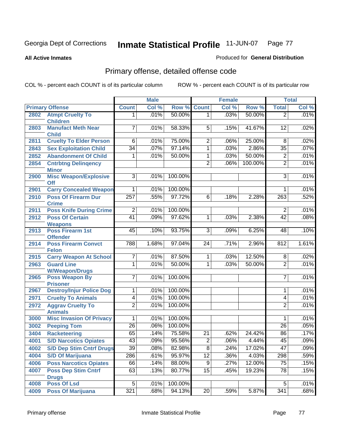#### **All Active Inmates**

## Produced for **General Distribution**

# Primary offense, detailed offense code

|      |                                               |                  | <b>Male</b> |         |                 | <b>Female</b> |         |                 | <b>Total</b> |
|------|-----------------------------------------------|------------------|-------------|---------|-----------------|---------------|---------|-----------------|--------------|
|      | <b>Primary Offense</b>                        | <b>Count</b>     | Col %       | Row %   | <b>Count</b>    | Col %         | Row %   | <b>Total</b>    | Col %        |
| 2802 | <b>Atmpt Cruelty To</b>                       | 1.               | .01%        | 50.00%  | 1               | .03%          | 50.00%  | $\overline{2}$  | .01%         |
|      | <b>Children</b>                               |                  |             |         |                 |               |         |                 |              |
| 2803 | <b>Manufact Meth Near</b>                     | 7                | .01%        | 58.33%  | $\overline{5}$  | .15%          | 41.67%  | 12              | .02%         |
|      | <b>Child</b>                                  |                  |             |         |                 |               |         |                 |              |
| 2811 | <b>Cruelty To Elder Person</b>                | 6                | .01%        | 75.00%  | 2               | .06%          | 25.00%  | 8               | .02%         |
| 2843 | <b>Sex Exploitation Child</b>                 | $\overline{34}$  | .07%        | 97.14%  | 1               | .03%          | 2.86%   | $\overline{35}$ | .07%         |
| 2852 | <b>Abandonment Of Child</b>                   | 1                | .01%        | 50.00%  | 1               | .03%          | 50.00%  | $\overline{2}$  | .01%         |
| 2854 | <b>Cntrbtng Delingency</b>                    |                  |             |         | $\overline{2}$  | .06%          | 100.00% | $\overline{2}$  | .01%         |
| 2900 | <b>Minor</b><br><b>Misc Weapon/Explosive</b>  | $\overline{3}$   | .01%        | 100.00% |                 |               |         | $\overline{3}$  | .01%         |
|      | <b>Off</b>                                    |                  |             |         |                 |               |         |                 |              |
| 2901 | <b>Carry Concealed Weapon</b>                 | 1                | .01%        | 100.00% |                 |               |         | 1               | .01%         |
| 2910 | <b>Poss Of Firearm Dur</b>                    | $\overline{257}$ | .55%        | 97.72%  | 6               | .18%          | 2.28%   | 263             | .52%         |
|      | <b>Crime</b>                                  |                  |             |         |                 |               |         |                 |              |
| 2911 | <b>Poss Knife During Crime</b>                | $\overline{2}$   | .01%        | 100.00% |                 |               |         | $\overline{2}$  | .01%         |
| 2912 | <b>Poss Of Certain</b>                        | $\overline{41}$  | .09%        | 97.62%  | 1               | .03%          | 2.38%   | $\overline{42}$ | .08%         |
|      | <b>Weapons</b>                                |                  |             |         |                 |               |         |                 |              |
| 2913 | <b>Poss Firearm 1st</b>                       | 45               | .10%        | 93.75%  | $\overline{3}$  | .09%          | 6.25%   | 48              | .10%         |
|      | <b>Offender</b>                               |                  |             |         |                 |               |         |                 |              |
| 2914 | <b>Poss Firearm Convct</b>                    | 788              | 1.68%       | 97.04%  | 24              | .71%          | 2.96%   | 812             | 1.61%        |
| 2915 | <b>Felon</b><br><b>Carry Weapon At School</b> | 7                | .01%        | 87.50%  | 1               | .03%          | 12.50%  | 8               | .02%         |
| 2963 | <b>Guard Line</b>                             | 1                | .01%        | 50.00%  | 1               | .03%          | 50.00%  | $\overline{2}$  | .01%         |
|      | <b>W/Weapon/Drugs</b>                         |                  |             |         |                 |               |         |                 |              |
| 2965 | <b>Poss Weapon By</b>                         | $\overline{7}$   | .01%        | 100.00% |                 |               |         | $\overline{7}$  | .01%         |
|      | <b>Prisoner</b>                               |                  |             |         |                 |               |         |                 |              |
| 2967 | <b>Destroy/Injur Police Dog</b>               | 1                | .01%        | 100.00% |                 |               |         | 1               | .01%         |
| 2971 | <b>Cruelty To Animals</b>                     | 4                | .01%        | 100.00% |                 |               |         | 4               | .01%         |
| 2972 | <b>Aggrav Cruelty To</b>                      | $\overline{2}$   | .01%        | 100.00% |                 |               |         | $\overline{2}$  | .01%         |
|      | <b>Animals</b>                                |                  |             |         |                 |               |         |                 |              |
| 3000 | <b>Misc Invasion Of Privacy</b>               | 1                | .01%        | 100.00% |                 |               |         | 1               | .01%         |
| 3002 | <b>Peeping Tom</b>                            | $\overline{26}$  | .06%        | 100.00% |                 |               |         | 26              | .05%         |
| 3404 | <b>Racketeering</b>                           | 65               | .14%        | 75.58%  | $\overline{21}$ | .62%          | 24.42%  | 86              | .17%         |
| 4001 | <b>S/D Narcotics Opiates</b>                  | $\overline{43}$  | .09%        | 95.56%  | $\overline{2}$  | .06%          | 4.44%   | 45              | .09%         |
| 4002 | <b>S/D Dep Stim Cntrf Drugs</b>               | 39               | .08%        | 82.98%  | $\overline{8}$  | .24%          | 17.02%  | $\overline{47}$ | .09%         |
| 4004 | <b>S/D Of Marijuana</b>                       | 286              | .61%        | 95.97%  | $\overline{12}$ | .36%          | 4.03%   | 298             | .59%         |
| 4006 | <b>Poss Narcotics Opiates</b>                 | 66               | .14%        | 88.00%  | $\overline{9}$  | .27%          | 12.00%  | $\overline{75}$ | .15%         |
| 4007 | <b>Poss Dep Stim Cntrf</b>                    | 63               | .13%        | 80.77%  | 15              | .45%          | 19.23%  | $\overline{78}$ | .15%         |
|      | <b>Drugs</b>                                  |                  |             |         |                 |               |         |                 |              |
| 4008 | <b>Poss Of Lsd</b>                            | 5                | .01%        | 100.00% |                 |               |         | 5               | .01%         |
| 4009 | <b>Poss Of Marijuana</b>                      | 321              | .68%        | 94.13%  | $\overline{20}$ | .59%          | 5.87%   | 341             | .68%         |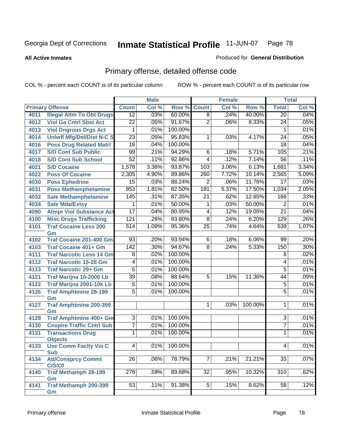#### **All Active Inmates**

### Produced for **General Distribution**

# Primary offense, detailed offense code

|      |                                            | <b>Male</b>      |       | <b>Female</b> |                 |       | <b>Total</b> |                 |       |
|------|--------------------------------------------|------------------|-------|---------------|-----------------|-------|--------------|-----------------|-------|
|      | <b>Primary Offense</b>                     | <b>Count</b>     | Col % | Row %         | <b>Count</b>    | Col % | Row %        | <b>Total</b>    | Col % |
| 4011 | <b>Illegal Attm To Obt Drugs</b>           | $\overline{12}$  | .03%  | 60.00%        | $\overline{8}$  | .24%  | 40.00%       | $\overline{20}$ | .04%  |
| 4012 | <b>Viol Ga Cntrl Sbst Act</b>              | $\overline{22}$  | .05%  | 91.67%        | $\overline{2}$  | .06%  | 8.33%        | 24              | .05%  |
| 4013 | <b>Viol Dngrous Drgs Act</b>               | 1                | .01%  | 100.00%       |                 |       |              | 1               | .01%  |
| 4014 | <b>Uniwfl Mfg/Del/Dist N-C S</b>           | $\overline{23}$  | .05%  | 95.83%        | 1               | .03%  | 4.17%        | 24              | .05%  |
| 4016 | <b>Poss Drug Related Matri</b>             | $\overline{18}$  | .04%  | 100.00%       |                 |       |              | $\overline{18}$ | .04%  |
| 4017 | <b>S/D Cont Sub Public</b>                 | 99               | .21%  | 94.29%        | $\overline{6}$  | .18%  | 5.71%        | 105             | .21%  |
| 4018 | <b>S/D Cont Sub School</b>                 | $\overline{52}$  | .11%  | 92.86%        | $\overline{4}$  | .12%  | 7.14%        | $\overline{56}$ | .11%  |
| 4021 | <b>S/D Cocaine</b>                         | 1,578            | 3.36% | 93.87%        | 103             | 3.06% | 6.13%        | 1,681           | 3.34% |
| 4022 | <b>Poss Of Cocaine</b>                     | 2,305            | 4.90% | 89.86%        | 260             | 7.72% | 10.14%       | 2,565           | 5.09% |
| 4030 | <b>Poss Ephedrine</b>                      | $\overline{15}$  | .03%  | 88.24%        | $\overline{2}$  | .06%  | 11.76%       | 17              | .03%  |
| 4031 | <b>Poss Methamphetamine</b>                | 853              | 1.81% | 82.50%        | 181             | 5.37% | 17.50%       | 1,034           | 2.05% |
| 4032 | <b>Sale Methamphetamine</b>                | 145              | .31%  | 87.35%        | 21              | .62%  | 12.65%       | 166             | .33%  |
| 4034 | <b>Sale Mda/Extsy</b>                      | 1                | .01%  | 50.00%        | $\overline{1}$  | .03%  | 50.00%       | $\overline{2}$  | .01%  |
| 4090 | <b>Atmpt Viol Substance Act</b>            | $\overline{17}$  | .04%  | 80.95%        | $\overline{4}$  | .12%  | 19.05%       | $\overline{21}$ | .04%  |
| 4100 | <b>Misc Drugs Trafficking</b>              | 121              | .26%  | 93.80%        | $\overline{8}$  | .24%  | 6.20%        | 129             | .26%  |
| 4101 | <b>Traf Cocaine Less 200</b>               | 514              | 1.09% | 95.36%        | $\overline{25}$ | .74%  | 4.64%        | 539             | 1.07% |
|      | Gm                                         |                  |       |               |                 |       |              |                 |       |
| 4102 | <b>Traf Cocaine 201-400 Gm</b>             | 93               | .20%  | 93.94%        | 6               | .18%  | 6.06%        | 99              | .20%  |
| 4103 | <b>Traf Cocaine 401+ Gm</b>                | 142              | .30%  | 94.67%        | $\overline{8}$  | .24%  | 5.33%        | 150             | .30%  |
| 4111 | <b>Traf Narcotic Less 14 Gm</b>            | 8                | .02%  | 100.00%       |                 |       |              | 8               | .02%  |
| 4112 | <b>Traf Narcotic 15-28 Gm</b>              | 4                | .01%  | 100.00%       |                 |       |              | 4               | .01%  |
| 4113 | <b>Traf Narcotic 29+ Gm</b>                | $\overline{5}$   | .01%  | 100.00%       |                 |       |              | $\overline{5}$  | .01%  |
| 4121 | Traf Marijna 10-2000 Lb                    | 39               | .08%  | 88.64%        | 5               | .15%  | 11.36%       | 44              | .09%  |
| 4122 | Traf Marijna 2001-10k Lb                   | $\overline{5}$   | .01%  | 100.00%       |                 |       |              | $\overline{5}$  | .01%  |
| 4126 | <b>Traf Amphtmine 28-199</b>               | $\overline{5}$   | .01%  | 100.00%       |                 |       |              | 5               | .01%  |
|      | Gm                                         |                  |       |               |                 |       |              |                 |       |
| 4127 | <b>Traf Amphtmine 200-399</b>              |                  |       |               | $\mathbf 1$     | .03%  | 100.00%      | 1               | .01%  |
|      | Gm                                         |                  |       |               |                 |       |              |                 |       |
| 4128 | Traf Amphtmine 400+ Gm                     | $\overline{3}$   | .01%  | 100.00%       |                 |       |              | $\overline{3}$  | .01%  |
| 4130 | <b>Cnspire Traffic Cntrl Sub</b>           | $\overline{7}$   | .01%  | 100.00%       |                 |       |              | $\overline{7}$  | .01%  |
| 4131 | <b>Transactions Drug</b>                   | $\overline{1}$   | .01%  | 100.00%       |                 |       |              | 1               | .01%  |
|      | <b>Objects</b>                             | $\vert 4 \vert$  |       |               |                 |       |              | 4               |       |
| 4133 | <b>Use Comm Facity Vio C</b><br><b>Sub</b> |                  | .01%  | 100.00%       |                 |       |              |                 | .01%  |
| 4134 | <b>Att/Consprcy Commt</b>                  | $\overline{26}$  | .06%  | 78.79%        | 7               | .21%  | 21.21%       | 33              | .07%  |
|      | C/S/Of                                     |                  |       |               |                 |       |              |                 |       |
| 4140 | <b>Traf Methamph 28-199</b>                | $\overline{278}$ | .59%  | 89.68%        | 32              | .95%  | 10.32%       | 310             | .62%  |
|      | Gm                                         |                  |       |               |                 |       |              |                 |       |
| 4141 | <b>Traf Methamph 200-399</b>               | 53               | .11%  | 91.38%        | 5               | .15%  | 8.62%        | 58              | .12%  |
|      | Gm                                         |                  |       |               |                 |       |              |                 |       |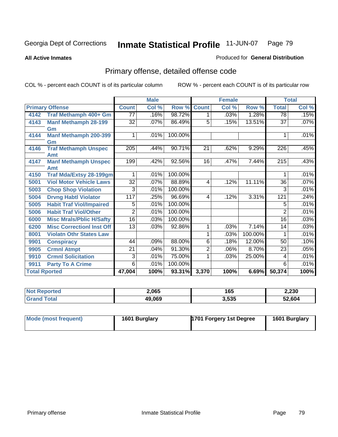**All Active Inmates**

#### Produced for **General Distribution**

# Primary offense, detailed offense code

|                      |                                  | <b>Male</b>      |       |         |                | <b>Female</b> |         | <b>Total</b>     |         |
|----------------------|----------------------------------|------------------|-------|---------|----------------|---------------|---------|------------------|---------|
|                      | <b>Primary Offense</b>           | <b>Count</b>     | Col % | Row %   | <b>Count</b>   | Col %         | Row %   | <b>Total</b>     | Col %   |
| 4142                 | <b>Traf Methamph 400+ Gm</b>     | 77               | .16%  | 98.72%  | 1.             | .03%          | 1.28%   | $\overline{78}$  | .15%    |
| 4143                 | <b>Manf Methamph 28-199</b>      | $\overline{32}$  | .07%  | 86.49%  | 5              | .15%          | 13.51%  | $\overline{37}$  | $.07\%$ |
|                      | Gm                               |                  |       |         |                |               |         |                  |         |
| 4144                 | <b>Manf Methamph 200-399</b>     |                  | .01%  | 100.00% |                |               |         |                  | .01%    |
|                      | Gm                               |                  |       |         |                |               |         |                  |         |
| 4146                 | <b>Traf Methamph Unspec</b>      | 205              | .44%  | 90.71%  | 21             | .62%          | 9.29%   | 226              | .45%    |
|                      | Amt                              |                  |       |         |                |               |         |                  |         |
| 4147                 | <b>Manf Methamph Unspec</b>      | $\overline{199}$ | .42%  | 92.56%  | 16             | .47%          | 7.44%   | $\overline{215}$ | .43%    |
|                      | Amt                              |                  |       |         |                |               |         |                  |         |
| 4150                 | <b>Traf Mda/Extsy 28-199gm</b>   |                  | .01%  | 100.00% |                |               |         | 1                | .01%    |
| 5001                 | <b>Viol Motor Vehicle Laws</b>   | $\overline{32}$  | .07%  | 88.89%  | 4              | .12%          | 11.11%  | 36               | .07%    |
| 5003                 | <b>Chop Shop Violation</b>       | 3                | .01%  | 100.00% |                |               |         | 3                | .01%    |
| 5004                 | <b>Drvng Habtl Violator</b>      | 117              | .25%  | 96.69%  | 4              | .12%          | 3.31%   | 121              | .24%    |
| 5005                 | <b>Habit Traf Viol/Impaired</b>  | 5                | .01%  | 100.00% |                |               |         | 5                | .01%    |
| 5006                 | <b>Habit Traf Viol/Other</b>     | $\overline{2}$   | .01%  | 100.00% |                |               |         | $\overline{2}$   | .01%    |
| 6000                 | <b>Misc Mrals/Pblic H/Safty</b>  | $\overline{16}$  | .03%  | 100.00% |                |               |         | $\overline{16}$  | .03%    |
| 6200                 | <b>Misc Correctionl Inst Off</b> | 13               | .03%  | 92.86%  | 1              | .03%          | 7.14%   | 14               | .03%    |
| 8001                 | <b>Violatn Othr States Law</b>   |                  |       |         | 1              | .03%          | 100.00% | 1                | .01%    |
| 9901                 | <b>Conspiracy</b>                | 44               | .09%  | 88.00%  | $\overline{6}$ | .18%          | 12.00%  | 50               | .10%    |
| 9905                 | <b>Crmnl Atmpt</b>               | 21               | .04%  | 91.30%  | $\overline{2}$ | .06%          | 8.70%   | 23               | .05%    |
| 9910                 | <b>Crmnl Solicitation</b>        | 3                | .01%  | 75.00%  | 1              | .03%          | 25.00%  | 4                | .01%    |
| 9911                 | <b>Party To A Crime</b>          | 6                | .01%  | 100.00% |                |               |         | 6                | .01%    |
| <b>Total Rported</b> |                                  | 47,004           | 100%  | 93.31%  | 3,370          | 100%          | 6.69%   | 50,374           | 100%    |

| τec | 2,065          | 165   | 2,230  |
|-----|----------------|-------|--------|
|     | 49,069<br>11 V | 3,535 | 52.604 |

| Mode (most frequent) | 1601 Burglary | 1701 Forgery 1st Degree | 1601 Burglary |
|----------------------|---------------|-------------------------|---------------|
|----------------------|---------------|-------------------------|---------------|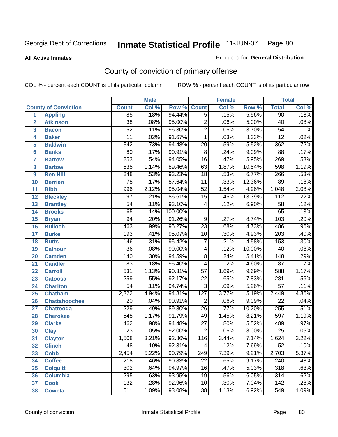#### **All Active Inmates**

#### Produced for **General Distribution**

# County of conviction of primary offense

|                 |                             |                  | <b>Male</b> |         | <b>Female</b>    |       |        | <b>Total</b>     |       |
|-----------------|-----------------------------|------------------|-------------|---------|------------------|-------|--------|------------------|-------|
|                 | <b>County of Conviction</b> | <b>Count</b>     | Col %       | Row %   | <b>Count</b>     | Col % | Row %  | <b>Total</b>     | Col % |
| 1               | <b>Appling</b>              | 85               | .18%        | 94.44%  | $\overline{5}$   | .15%  | 5.56%  | 90               | .18%  |
| $\overline{2}$  | <b>Atkinson</b>             | $\overline{38}$  | .08%        | 95.00%  | $\overline{2}$   | .06%  | 5.00%  | 40               | .08%  |
| 3               | <b>Bacon</b>                | $\overline{52}$  | .11%        | 96.30%  | $\overline{2}$   | .06%  | 3.70%  | $\overline{54}$  | .11%  |
| 4               | <b>Baker</b>                | 11               | .02%        | 91.67%  | $\mathbf{1}$     | .03%  | 8.33%  | $\overline{12}$  | .02%  |
| 5               | <b>Baldwin</b>              | $\overline{342}$ | .73%        | 94.48%  | $\overline{20}$  | .59%  | 5.52%  | 362              | .72%  |
| 6               | <b>Banks</b>                | $\overline{80}$  | .17%        | 90.91%  | $\overline{8}$   | .24%  | 9.09%  | 88               | .17%  |
| 7               | <b>Barrow</b>               | 253              | .54%        | 94.05%  | $\overline{16}$  | .47%  | 5.95%  | 269              | .53%  |
| 8               | <b>Bartow</b>               | $\overline{535}$ | 1.14%       | 89.46%  | 63               | 1.87% | 10.54% | 598              | 1.19% |
| 9               | <b>Ben Hill</b>             | $\overline{248}$ | .53%        | 93.23%  | $\overline{18}$  | .53%  | 6.77%  | 266              | .53%  |
| 10              | <b>Berrien</b>              | 78               | .17%        | 87.64%  | $\overline{11}$  | .33%  | 12.36% | 89               | .18%  |
| 11              | <b>Bibb</b>                 | 996              | 2.12%       | 95.04%  | $\overline{52}$  | 1.54% | 4.96%  | 1,048            | 2.08% |
| 12              | <b>Bleckley</b>             | $\overline{97}$  | .21%        | 86.61%  | $\overline{15}$  | .45%  | 13.39% | $\overline{112}$ | .22%  |
| $\overline{13}$ | <b>Brantley</b>             | $\overline{54}$  | .11%        | 93.10%  | $\overline{4}$   | .12%  | 6.90%  | $\overline{58}$  | .12%  |
| 14              | <b>Brooks</b>               | $\overline{65}$  | .14%        | 100.00% |                  |       |        | 65               | .13%  |
| 15              | <b>Bryan</b>                | $\overline{94}$  | .20%        | 91.26%  | $\overline{9}$   | .27%  | 8.74%  | 103              | .20%  |
| 16              | <b>Bulloch</b>              | 463              | .99%        | 95.27%  | $\overline{23}$  | .68%  | 4.73%  | 486              | .96%  |
| $\overline{17}$ | <b>Burke</b>                | 193              | .41%        | 95.07%  | $\overline{10}$  | .30%  | 4.93%  | $\overline{203}$ | .40%  |
| 18              | <b>Butts</b>                | 146              | .31%        | 95.42%  | $\overline{7}$   | .21%  | 4.58%  | 153              | .30%  |
| 19              | <b>Calhoun</b>              | $\overline{36}$  | .08%        | 90.00%  | 4                | .12%  | 10.00% | 40               | .08%  |
| 20              | <b>Camden</b>               | $\overline{140}$ | .30%        | 94.59%  | $\overline{8}$   | .24%  | 5.41%  | $\overline{148}$ | .29%  |
| 21              | <b>Candler</b>              | $\overline{83}$  | .18%        | 95.40%  | $\overline{4}$   | .12%  | 4.60%  | $\overline{87}$  | .17%  |
| 22              | <b>Carroll</b>              | $\overline{531}$ | 1.13%       | 90.31%  | $\overline{57}$  | 1.69% | 9.69%  | 588              | 1.17% |
| 23              | <b>Catoosa</b>              | 259              | .55%        | 92.17%  | $\overline{22}$  | .65%  | 7.83%  | 281              | .56%  |
| 24              | <b>Charlton</b>             | $\overline{54}$  | .11%        | 94.74%  | $\overline{3}$   | .09%  | 5.26%  | $\overline{57}$  | .11%  |
| 25              | <b>Chatham</b>              | 2,322            | 4.94%       | 94.81%  | $\overline{127}$ | 3.77% | 5.19%  | 2,449            | 4.86% |
| 26              | <b>Chattahoochee</b>        | 20               | .04%        | 90.91%  | $\overline{2}$   | .06%  | 9.09%  | $\overline{22}$  | .04%  |
| 27              | Chattooga                   | 229              | .49%        | 89.80%  | $\overline{26}$  | .77%  | 10.20% | 255              | .51%  |
| 28              | <b>Cherokee</b>             | $\overline{548}$ | 1.17%       | 91.79%  | 49               | 1.45% | 8.21%  | 597              | 1.19% |
| 29              | <b>Clarke</b>               | 462              | .98%        | 94.48%  | $\overline{27}$  | .80%  | 5.52%  | 489              | .97%  |
| 30              | <b>Clay</b>                 | $\overline{23}$  | .05%        | 92.00%  | $\overline{2}$   | .06%  | 8.00%  | $\overline{25}$  | .05%  |
| $\overline{31}$ | <b>Clayton</b>              | 1,508            | 3.21%       | 92.86%  | 116              | 3.44% | 7.14%  | 1,624            | 3.22% |
| 32              | <b>Clinch</b>               | 48               | .10%        | 92.31%  | 4                | .12%  | 7.69%  | 52               | .10%  |
| 33              | <b>Cobb</b>                 | 2,454            | 5.22%       | 90.79%  | 249              | 7.39% | 9.21%  | 2,703            | 5.37% |
| 34              | <b>Coffee</b>               | 218              | .46%        | 90.83%  | 22               | .65%  | 9.17%  | 240              | .48%  |
| 35              | <b>Colquitt</b>             | $\overline{302}$ | .64%        | 94.97%  | 16               | .47%  | 5.03%  | 318              | .63%  |
| 36              | <b>Columbia</b>             | 295              | .63%        | 93.95%  | 19               | .56%  | 6.05%  | 314              | .62%  |
| 37              | <b>Cook</b>                 | 132              | .28%        | 92.96%  | 10               | .30%  | 7.04%  | 142              | .28%  |
| 38              | <b>Coweta</b>               | 511              | 1.09%       | 93.08%  | 38               | 1.13% | 6.92%  | 549              | 1.09% |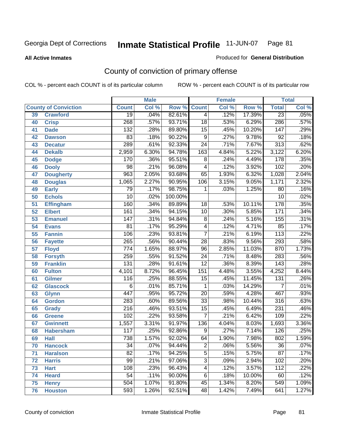#### **All Active Inmates**

#### Produced for **General Distribution**

# County of conviction of primary offense

|                 |                             |                  | <b>Male</b> |         | <b>Female</b>    |       |        | <b>Total</b>     |       |
|-----------------|-----------------------------|------------------|-------------|---------|------------------|-------|--------|------------------|-------|
|                 | <b>County of Conviction</b> | <b>Count</b>     | Col %       | Row %   | <b>Count</b>     | Col % | Row %  | <b>Total</b>     | Col % |
| 39              | <b>Crawford</b>             | $\overline{19}$  | .04%        | 82.61%  | $\overline{4}$   | .12%  | 17.39% | $\overline{23}$  | .05%  |
| 40              | <b>Crisp</b>                | 268              | .57%        | 93.71%  | $\overline{18}$  | .53%  | 6.29%  | 286              | .57%  |
| 41              | <b>Dade</b>                 | $\overline{132}$ | .28%        | 89.80%  | $\overline{15}$  | .45%  | 10.20% | 147              | .29%  |
| 42              | <b>Dawson</b>               | 83               | .18%        | 90.22%  | $\overline{9}$   | .27%  | 9.78%  | $\overline{92}$  | .18%  |
| 43              | <b>Decatur</b>              | 289              | .61%        | 92.33%  | $\overline{24}$  | .71%  | 7.67%  | $\overline{313}$ | .62%  |
| 44              | <b>Dekalb</b>               | 2,959            | 6.30%       | 94.78%  | $\overline{163}$ | 4.84% | 5.22%  | 3,122            | 6.20% |
| 45              | <b>Dodge</b>                | 170              | .36%        | 95.51%  | 8                | .24%  | 4.49%  | $\overline{178}$ | .35%  |
| 46              | <b>Dooly</b>                | $\overline{98}$  | .21%        | 96.08%  | 4                | .12%  | 3.92%  | 102              | .20%  |
| 47              | <b>Dougherty</b>            | $\overline{963}$ | 2.05%       | 93.68%  | 65               | 1.93% | 6.32%  | 1,028            | 2.04% |
| 48              | <b>Douglas</b>              | 1,065            | 2.27%       | 90.95%  | 106              | 3.15% | 9.05%  | 1,171            | 2.32% |
| 49              | <b>Early</b>                | 79               | .17%        | 98.75%  | 1                | .03%  | 1.25%  | 80               | .16%  |
| 50              | <b>Echols</b>               | $\overline{10}$  | .02%        | 100.00% |                  |       |        | $\overline{10}$  | .02%  |
| $\overline{51}$ | <b>Effingham</b>            | 160              | .34%        | 89.89%  | 18               | .53%  | 10.11% | $\overline{178}$ | .35%  |
| 52              | <b>Elbert</b>               | 161              | .34%        | 94.15%  | 10               | .30%  | 5.85%  | 171              | .34%  |
| 53              | <b>Emanuel</b>              | $\overline{147}$ | .31%        | 94.84%  | $\overline{8}$   | .24%  | 5.16%  | 155              | .31%  |
| $\overline{54}$ | <b>Evans</b>                | $\overline{81}$  | .17%        | 95.29%  | $\overline{4}$   | .12%  | 4.71%  | 85               | .17%  |
| 55              | <b>Fannin</b>               | 106              | .23%        | 93.81%  | $\overline{7}$   | .21%  | 6.19%  | $\overline{113}$ | .22%  |
| 56              | <b>Fayette</b>              | 265              | .56%        | 90.44%  | $\overline{28}$  | .83%  | 9.56%  | 293              | .58%  |
| 57              | <b>Floyd</b>                | 774              | 1.65%       | 88.97%  | 96               | 2.85% | 11.03% | 870              | 1.73% |
| 58              | <b>Forsyth</b>              | 259              | .55%        | 91.52%  | $\overline{24}$  | .71%  | 8.48%  | 283              | .56%  |
| 59              | <b>Franklin</b>             | 131              | .28%        | 91.61%  | $\overline{12}$  | .36%  | 8.39%  | $\overline{143}$ | .28%  |
| 60              | <b>Fulton</b>               | 4,101            | 8.72%       | 96.45%  | 151              | 4.48% | 3.55%  | 4,252            | 8.44% |
| 61              | Gilmer                      | 116              | .25%        | 88.55%  | $\overline{15}$  | .45%  | 11.45% | $\overline{131}$ | .26%  |
| 62              | <b>Glascock</b>             | $\overline{6}$   | .01%        | 85.71%  | $\mathbf{1}$     | .03%  | 14.29% | $\overline{7}$   | .01%  |
| 63              | <b>Glynn</b>                | 447              | .95%        | 95.72%  | $\overline{20}$  | .59%  | 4.28%  | 467              | .93%  |
| 64              | <b>Gordon</b>               | 283              | .60%        | 89.56%  | $\overline{33}$  | .98%  | 10.44% | $\overline{316}$ | .63%  |
| 65              | <b>Grady</b>                | $\overline{216}$ | .46%        | 93.51%  | $\overline{15}$  | .45%  | 6.49%  | 231              | .46%  |
| 66              | <b>Greene</b>               | 102              | .22%        | 93.58%  | $\overline{7}$   | .21%  | 6.42%  | 109              | .22%  |
| 67              | <b>Gwinnett</b>             | 1,557            | 3.31%       | 91.97%  | 136              | 4.04% | 8.03%  | 1,693            | 3.36% |
| 68              | <b>Habersham</b>            | 117              | .25%        | 92.86%  | $\overline{9}$   | .27%  | 7.14%  | $\overline{126}$ | .25%  |
| 69              | <b>Hall</b>                 | 738              | 1.57%       | 92.02%  | 64               | 1.90% | 7.98%  | $\overline{802}$ | 1.59% |
| 70              | <b>Hancock</b>              | 34               | .07%        | 94.44%  | 2                | .06%  | 5.56%  | 36               | .07%  |
| 71              | <b>Haralson</b>             | $\overline{82}$  | .17%        | 94.25%  | $\overline{5}$   | .15%  | 5.75%  | $\overline{87}$  | .17%  |
| 72              | <b>Harris</b>               | $\overline{99}$  | .21%        | 97.06%  | $\overline{3}$   | .09%  | 2.94%  | 102              | .20%  |
| 73              | <b>Hart</b>                 | 108              | .23%        | 96.43%  | 4                | .12%  | 3.57%  | 112              | .22%  |
| 74              | <b>Heard</b>                | $\overline{54}$  | .11%        | 90.00%  | 6                | .18%  | 10.00% | 60               | .12%  |
| 75              | <b>Henry</b>                | 504              | 1.07%       | 91.80%  | 45               | 1.34% | 8.20%  | 549              | 1.09% |
| 76              | <b>Houston</b>              | 593              | 1.26%       | 92.51%  | 48               | 1.42% | 7.49%  | 641              | 1.27% |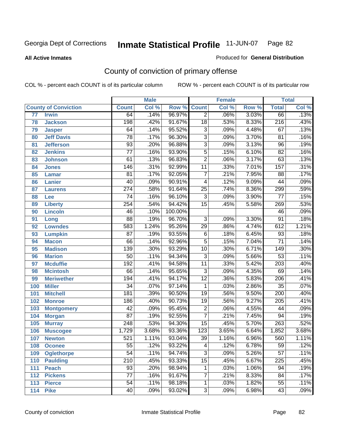**All Active Inmates**

#### Produced for **General Distribution**

# County of conviction of primary offense

|     |                             |                  | <b>Male</b> |         | <b>Female</b>   |       |       | <b>Total</b>     |       |
|-----|-----------------------------|------------------|-------------|---------|-----------------|-------|-------|------------------|-------|
|     | <b>County of Conviction</b> | <b>Count</b>     | Col %       | Row %   | <b>Count</b>    | Col % | Row % | <b>Total</b>     | Col % |
| 77  | <b>Irwin</b>                | 64               | .14%        | 96.97%  | $\overline{2}$  | .06%  | 3.03% | 66               | .13%  |
| 78  | <b>Jackson</b>              | 198              | .42%        | 91.67%  | $\overline{18}$ | .53%  | 8.33% | $\overline{216}$ | .43%  |
| 79  | <b>Jasper</b>               | 64               | .14%        | 95.52%  | $\overline{3}$  | .09%  | 4.48% | 67               | .13%  |
| 80  | <b>Jeff Davis</b>           | $\overline{78}$  | .17%        | 96.30%  | $\overline{3}$  | .09%  | 3.70% | $\overline{81}$  | .16%  |
| 81  | <b>Jefferson</b>            | $\overline{93}$  | .20%        | 96.88%  | $\overline{3}$  | .09%  | 3.13% | $\overline{96}$  | .19%  |
| 82  | <b>Jenkins</b>              | $\overline{77}$  | .16%        | 93.90%  | $\overline{5}$  | .15%  | 6.10% | $\overline{82}$  | .16%  |
| 83  | <b>Johnson</b>              | 61               | .13%        | 96.83%  | $\overline{2}$  | .06%  | 3.17% | 63               | .13%  |
| 84  | <b>Jones</b>                | 146              | .31%        | 92.99%  | $\overline{11}$ | .33%  | 7.01% | 157              | .31%  |
| 85  | <b>Lamar</b>                | $\overline{81}$  | .17%        | 92.05%  | $\overline{7}$  | .21%  | 7.95% | $\overline{88}$  | .17%  |
| 86  | Lanier                      | $\overline{40}$  | .09%        | 90.91%  | 4               | .12%  | 9.09% | 44               | .09%  |
| 87  | <b>Laurens</b>              | $\overline{274}$ | .58%        | 91.64%  | $\overline{25}$ | .74%  | 8.36% | 299              | .59%  |
| 88  | Lee                         | 74               | .16%        | 96.10%  | $\overline{3}$  | .09%  | 3.90% | $\overline{77}$  | .15%  |
| 89  | <b>Liberty</b>              | $\overline{254}$ | .54%        | 94.42%  | $\overline{15}$ | .45%  | 5.58% | 269              | .53%  |
| 90  | <b>Lincoln</b>              | 46               | .10%        | 100.00% |                 |       |       | 46               | .09%  |
| 91  | Long                        | $\overline{88}$  | .19%        | 96.70%  | $\overline{3}$  | .09%  | 3.30% | $\overline{91}$  | .18%  |
| 92  | <b>Lowndes</b>              | 583              | 1.24%       | 95.26%  | 29              | .86%  | 4.74% | 612              | 1.21% |
| 93  | <b>Lumpkin</b>              | $\overline{87}$  | .19%        | 93.55%  | $\overline{6}$  | .18%  | 6.45% | 93               | .18%  |
| 94  | <b>Macon</b>                | 66               | .14%        | 92.96%  | 5               | .15%  | 7.04% | $\overline{71}$  | .14%  |
| 95  | <b>Madison</b>              | 139              | .30%        | 93.29%  | 10              | .30%  | 6.71% | 149              | .30%  |
| 96  | <b>Marion</b>               | $\overline{50}$  | .11%        | 94.34%  | $\overline{3}$  | .09%  | 5.66% | $\overline{53}$  | .11%  |
| 97  | <b>Mcduffie</b>             | $\overline{192}$ | .41%        | 94.58%  | $\overline{11}$ | .33%  | 5.42% | $\overline{203}$ | .40%  |
| 98  | <b>Mcintosh</b>             | 66               | .14%        | 95.65%  | $\overline{3}$  | .09%  | 4.35% | 69               | .14%  |
| 99  | <b>Meriwether</b>           | 194              | .41%        | 94.17%  | $\overline{12}$ | .36%  | 5.83% | $\overline{206}$ | .41%  |
| 100 | <b>Miller</b>               | $\overline{34}$  | .07%        | 97.14%  | $\mathbf{1}$    | .03%  | 2.86% | $\overline{35}$  | .07%  |
| 101 | <b>Mitchell</b>             | 181              | .39%        | 90.50%  | $\overline{19}$ | .56%  | 9.50% | $\overline{200}$ | .40%  |
| 102 | <b>Monroe</b>               | 186              | .40%        | 90.73%  | $\overline{19}$ | .56%  | 9.27% | $\overline{205}$ | .41%  |
| 103 | <b>Montgomery</b>           | $\overline{42}$  | .09%        | 95.45%  | $\overline{2}$  | .06%  | 4.55% | 44               | .09%  |
| 104 | <b>Morgan</b>               | $\overline{87}$  | .19%        | 92.55%  | $\overline{7}$  | .21%  | 7.45% | $\overline{94}$  | .19%  |
| 105 | <b>Murray</b>               | $\overline{248}$ | .53%        | 94.30%  | $\overline{15}$ | .45%  | 5.70% | $\overline{263}$ | .52%  |
| 106 | <b>Muscogee</b>             | 1,729            | 3.68%       | 93.36%  | 123             | 3.65% | 6.64% | 1,852            | 3.68% |
| 107 | <b>Newton</b>               | 521              | 1.11%       | 93.04%  | $\overline{39}$ | 1.16% | 6.96% | 560              | 1.11% |
| 108 | <b>Oconee</b>               | 55               | .12%        | 93.22%  | 4               | .12%  | 6.78% | 59               | .12%  |
| 109 | <b>Oglethorpe</b>           | $\overline{54}$  | .11%        | 94.74%  | $\overline{3}$  | .09%  | 5.26% | $\overline{57}$  | .11%  |
| 110 | <b>Paulding</b>             | $\overline{210}$ | .45%        | 93.33%  | $\overline{15}$ | .45%  | 6.67% | $\overline{225}$ | .45%  |
| 111 | <b>Peach</b>                | 93               | .20%        | 98.94%  | 1               | .03%  | 1.06% | 94               | .19%  |
| 112 | <b>Pickens</b>              | $\overline{77}$  | .16%        | 91.67%  | 7               | .21%  | 8.33% | 84               | .17%  |
| 113 | <b>Pierce</b>               | $\overline{54}$  | .11%        | 98.18%  | 1               | .03%  | 1.82% | $\overline{55}$  | .11%  |
| 114 | <b>Pike</b>                 | 40               | .09%        | 93.02%  | $\overline{3}$  | .09%  | 6.98% | 43               | .09%  |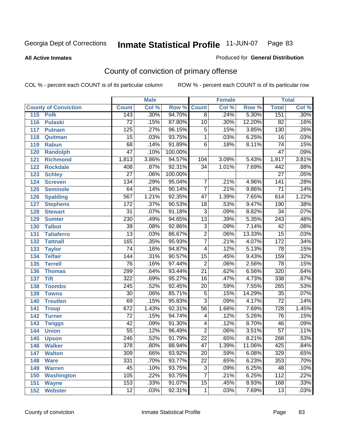**All Active Inmates**

#### Produced for **General Distribution**

# County of conviction of primary offense

|                             |                  | <b>Male</b> |                    |                 | <b>Female</b> |        |                  | <b>Total</b> |
|-----------------------------|------------------|-------------|--------------------|-----------------|---------------|--------|------------------|--------------|
| <b>County of Conviction</b> | <b>Count</b>     | Col %       | <b>Row % Count</b> |                 | Col %         | Row %  | <b>Total</b>     | Col %        |
| 115<br><b>Polk</b>          | 143              | .30%        | 94.70%             | $\overline{8}$  | .24%          | 5.30%  | 151              | .30%         |
| 116<br><b>Pulaski</b>       | $\overline{72}$  | .15%        | 87.80%             | 10              | .30%          | 12.20% | $\overline{82}$  | .16%         |
| 117<br><b>Putnam</b>        | 125              | .27%        | 96.15%             | 5               | .15%          | 3.85%  | 130              | .26%         |
| 118<br>Quitman              | $\overline{15}$  | .03%        | 93.75%             | $\mathbf 1$     | .03%          | 6.25%  | 16               | .03%         |
| 119<br><b>Rabun</b>         | 68               | .14%        | 91.89%             | $\overline{6}$  | .18%          | 8.11%  | $\overline{74}$  | .15%         |
| 120<br><b>Randolph</b>      | $\overline{47}$  | .10%        | 100.00%            |                 |               |        | $\overline{47}$  | .09%         |
| <b>Richmond</b><br>121      | 1,813            | 3.86%       | 94.57%             | 104             | 3.09%         | 5.43%  | 1,917            | 3.81%        |
| 122<br><b>Rockdale</b>      | 408              | .87%        | 92.31%             | 34              | 1.01%         | 7.69%  | 442              | .88%         |
| 123<br><b>Schley</b>        | $\overline{27}$  | .06%        | 100.00%            |                 |               |        | $\overline{27}$  | .05%         |
| 124<br><b>Screven</b>       | 134              | .29%        | 95.04%             | $\overline{7}$  | .21%          | 4.96%  | $\overline{141}$ | .28%         |
| 125<br><b>Seminole</b>      | 64               | .14%        | 90.14%             | $\overline{7}$  | .21%          | 9.86%  | $\overline{71}$  | .14%         |
| 126<br><b>Spalding</b>      | 567              | 1.21%       | 92.35%             | 47              | 1.39%         | 7.65%  | 614              | 1.22%        |
| 127<br><b>Stephens</b>      | 172              | .37%        | 90.53%             | $\overline{18}$ | .53%          | 9.47%  | 190              | .38%         |
| 128<br><b>Stewart</b>       | $\overline{31}$  | .07%        | 91.18%             | $\overline{3}$  | .09%          | 8.82%  | $\overline{34}$  | .07%         |
| 129<br><b>Sumter</b>        | 230              | .49%        | 94.65%             | $\overline{13}$ | .39%          | 5.35%  | 243              | .48%         |
| <b>Talbot</b><br>130        | $\overline{39}$  | .08%        | 92.86%             | $\overline{3}$  | .09%          | 7.14%  | $\overline{42}$  | .08%         |
| 131<br><b>Taliaferro</b>    | $\overline{13}$  | .03%        | 86.67%             | $\overline{2}$  | .06%          | 13.33% | $\overline{15}$  | .03%         |
| <b>Tattnall</b><br>132      | 165              | .35%        | 95.93%             | $\overline{7}$  | .21%          | 4.07%  | $\overline{172}$ | .34%         |
| 133<br><b>Taylor</b>        | $\overline{74}$  | .16%        | 94.87%             | $\overline{4}$  | .12%          | 5.13%  | 78               | .15%         |
| <b>Telfair</b><br>134       | 144              | .31%        | 90.57%             | 15              | .45%          | 9.43%  | 159              | .32%         |
| 135<br><b>Terrell</b>       | $\overline{76}$  | .16%        | 97.44%             | $\overline{2}$  | .06%          | 2.56%  | 78               | .15%         |
| 136<br><b>Thomas</b>        | 299              | .64%        | 93.44%             | $\overline{21}$ | .62%          | 6.56%  | 320              | .64%         |
| 137<br><b>Tift</b>          | 322              | .69%        | 95.27%             | $\overline{16}$ | .47%          | 4.73%  | 338              | .67%         |
| <b>Toombs</b><br>138        | $\overline{245}$ | .52%        | 92.45%             | 20              | .59%          | 7.55%  | 265              | .53%         |
| 139<br><b>Towns</b>         | $\overline{30}$  | .06%        | 85.71%             | $\overline{5}$  | .15%          | 14.29% | $\overline{35}$  | .07%         |
| <b>Treutlen</b><br>140      | 69               | .15%        | 95.83%             | $\overline{3}$  | .09%          | 4.17%  | $\overline{72}$  | .14%         |
| 141<br><b>Troup</b>         | 672              | 1.43%       | 92.31%             | $\overline{56}$ | 1.66%         | 7.69%  | 728              | 1.45%        |
| 142<br><b>Turner</b>        | $\overline{72}$  | .15%        | 94.74%             | 4               | .12%          | 5.26%  | $\overline{76}$  | .15%         |
| 143<br><b>Twiggs</b>        | $\overline{42}$  | .09%        | 91.30%             | $\overline{4}$  | .12%          | 8.70%  | 46               | .09%         |
| 144<br><b>Union</b>         | $\overline{55}$  | .12%        | 96.49%             | $\overline{2}$  | .06%          | 3.51%  | $\overline{57}$  | .11%         |
| 145<br><b>Upson</b>         | $\overline{246}$ | .52%        | 91.79%             | $\overline{22}$ | .65%          | 8.21%  | 268              | .53%         |
| 146<br><b>Walker</b>        | 378              | .80%        | 88.94%             | 47              | 1.39%         | 11.06% | 425              | $.84\%$      |
| 147<br><b>Walton</b>        | $\overline{309}$ | .66%        | 93.92%             | $\overline{20}$ | .59%          | 6.08%  | 329              | .65%         |
| 148<br><b>Ware</b>          | 331              | .70%        | 93.77%             | $\overline{22}$ | .65%          | 6.23%  | 353              | .70%         |
| 149<br><b>Warren</b>        | 45               | .10%        | 93.75%             | 3               | .09%          | 6.25%  | 48               | .10%         |
| Washington<br>150           | 105              | .22%        | 93.75%             | $\overline{7}$  | .21%          | 6.25%  | 112              | .22%         |
| 151<br><b>Wayne</b>         | 153              | .33%        | 91.07%             | 15              | .45%          | 8.93%  | 168              | .33%         |
| 152<br><b>Webster</b>       | $\overline{12}$  | .03%        | 92.31%             | $\mathbf{1}$    | .03%          | 7.69%  | 13               | .03%         |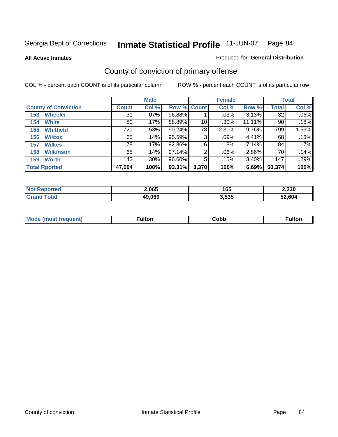**All Active Inmates**

### Produced for **General Distribution**

# County of conviction of primary offense

|                             |              | <b>Male</b> |             |       | <b>Female</b> |        |              | <b>Total</b> |
|-----------------------------|--------------|-------------|-------------|-------|---------------|--------|--------------|--------------|
| <b>County of Conviction</b> | <b>Count</b> | Col %       | Row % Count |       | Col %         | Row %  | <b>Total</b> | Col %        |
| <b>Wheeler</b><br>153       | 31           | $.07\%$     | 96.88%      |       | .03%          | 3.13%  | 32           | $.06\%$      |
| <b>White</b><br>154         | 80           | .17%        | 88.89%      | 10    | $.30\%$       | 11.11% | 90           | .18%         |
| <b>Whitfield</b><br>155     | 721          | 1.53%       | 90.24%      | 78    | 2.31%         | 9.76%  | 799          | 1.59%        |
| <b>Wilcox</b><br>156        | 65           | .14%        | 95.59%      | 3     | .09%          | 4.41%  | 68           | .13%         |
| <b>Wilkes</b><br>157        | 78           | .17%        | 92.86%      | 6     | .18%          | 7.14%  | 84           | .17%         |
| <b>Wilkinson</b><br>158     | 68           | .14%        | 97.14%      | 2     | .06%          | 2.86%  | 70           | .14%         |
| <b>Worth</b><br>159         | 142          | $.30\%$     | 96.60%      | 5     | .15%          | 3.40%  | 147          | .29%         |
| <b>Total Rported</b>        | 47,004       | 100%        | 93.31%      | 3,370 | 100%          | 6.69%  | 50,374       | 100%         |

| тео<br>N0 | 2,065  | 165   | 2,230  |
|-----------|--------|-------|--------|
|           | 49.069 | 3,535 | 52.604 |

| <b>Mo</b><br>uent) | ™ulton<br>_____ | obb∶ | <b>AIWIF</b> |
|--------------------|-----------------|------|--------------|
|                    |                 |      |              |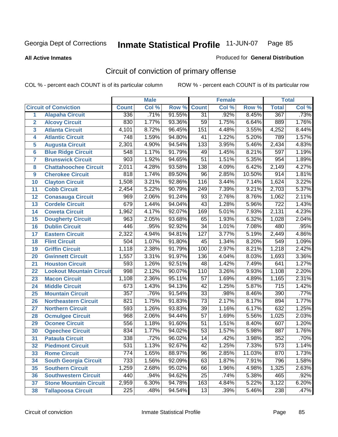**All Active Inmates**

#### Produced for **General Distribution**

# Circuit of conviction of primary offense

|                         |                                 |                  | <b>Male</b> |        |                  | <b>Female</b> |        |                  | <b>Total</b> |
|-------------------------|---------------------------------|------------------|-------------|--------|------------------|---------------|--------|------------------|--------------|
|                         | <b>Circuit of Conviction</b>    | <b>Count</b>     | Col %       | Row %  | <b>Count</b>     | Col %         | Row %  | <b>Total</b>     | Col %        |
| 1                       | <b>Alapaha Circuit</b>          | 336              | .71%        | 91.55% | $\overline{31}$  | .92%          | 8.45%  | 367              | .73%         |
| $\overline{2}$          | <b>Alcovy Circuit</b>           | 830              | 1.77%       | 93.36% | $\overline{59}$  | 1.75%         | 6.64%  | 889              | 1.76%        |
| $\overline{\mathbf{3}}$ | <b>Atlanta Circuit</b>          | 4,101            | 8.72%       | 96.45% | 151              | 4.48%         | 3.55%  | 4,252            | 8.44%        |
| 4                       | <b>Atlantic Circuit</b>         | 748              | 1.59%       | 94.80% | $\overline{41}$  | 1.22%         | 5.20%  | 789              | 1.57%        |
| 5                       | <b>Augusta Circuit</b>          | 2,301            | 4.90%       | 94.54% | $\overline{133}$ | 3.95%         | 5.46%  | 2,434            | 4.83%        |
| $6\phantom{a}$          | <b>Blue Ridge Circuit</b>       | 548              | 1.17%       | 91.79% | 49               | 1.45%         | 8.21%  | 597              | 1.19%        |
| $\overline{\mathbf{7}}$ | <b>Brunswick Circuit</b>        | $\overline{903}$ | 1.92%       | 94.65% | $\overline{51}$  | 1.51%         | 5.35%  | 954              | 1.89%        |
| 8                       | <b>Chattahoochee Circuit</b>    | 2,011            | 4.28%       | 93.58% | 138              | 4.09%         | 6.42%  | 2,149            | 4.27%        |
| 9                       | <b>Cherokee Circuit</b>         | 818              | 1.74%       | 89.50% | $\overline{96}$  | 2.85%         | 10.50% | 914              | 1.81%        |
| 10                      | <b>Clayton Circuit</b>          | 1,508            | 3.21%       | 92.86% | 116              | 3.44%         | 7.14%  | 1,624            | 3.22%        |
| 11                      | <b>Cobb Circuit</b>             | 2,454            | 5.22%       | 90.79% | 249              | 7.39%         | 9.21%  | 2,703            | 5.37%        |
| 12                      | <b>Conasauga Circuit</b>        | 969              | 2.06%       | 91.24% | $\overline{93}$  | 2.76%         | 8.76%  | 1,062            | 2.11%        |
| 13                      | <b>Cordele Circuit</b>          | 679              | 1.44%       | 94.04% | $\overline{43}$  | 1.28%         | 5.96%  | $\overline{722}$ | 1.43%        |
| 14                      | <b>Coweta Circuit</b>           | 1,962            | 4.17%       | 92.07% | 169              | 5.01%         | 7.93%  | 2,131            | 4.23%        |
| 15                      | <b>Dougherty Circuit</b>        | 963              | 2.05%       | 93.68% | 65               | 1.93%         | 6.32%  | 1,028            | 2.04%        |
| 16                      | <b>Dublin Circuit</b>           | 446              | .95%        | 92.92% | $\overline{34}$  | 1.01%         | 7.08%  | 480              | .95%         |
| 17                      | <b>Eastern Circuit</b>          | 2,322            | 4.94%       | 94.81% | $\overline{127}$ | 3.77%         | 5.19%  | 2,449            | 4.86%        |
| 18                      | <b>Flint Circuit</b>            | 504              | 1.07%       | 91.80% | 45               | 1.34%         | 8.20%  | 549              | 1.09%        |
| 19                      | <b>Griffin Circuit</b>          | 1,118            | 2.38%       | 91.79% | 100              | 2.97%         | 8.21%  | 1,218            | 2.42%        |
| 20                      | <b>Gwinnett Circuit</b>         | 1,557            | 3.31%       | 91.97% | 136              | 4.04%         | 8.03%  | 1,693            | 3.36%        |
| 21                      | <b>Houston Circuit</b>          | 593              | 1.26%       | 92.51% | 48               | 1.42%         | 7.49%  | 641              | 1.27%        |
| $\overline{22}$         | <b>Lookout Mountain Circuit</b> | 998              | 2.12%       | 90.07% | 110              | 3.26%         | 9.93%  | 1,108            | 2.20%        |
| 23                      | <b>Macon Circuit</b>            | 1,108            | 2.36%       | 95.11% | 57               | 1.69%         | 4.89%  | 1,165            | 2.31%        |
| 24                      | <b>Middle Circuit</b>           | 673              | 1.43%       | 94.13% | $\overline{42}$  | 1.25%         | 5.87%  | $\overline{715}$ | 1.42%        |
| 25                      | <b>Mountain Circuit</b>         | $\overline{357}$ | .76%        | 91.54% | $\overline{33}$  | .98%          | 8.46%  | 390              | .77%         |
| 26                      | <b>Northeastern Circuit</b>     | 821              | 1.75%       | 91.83% | $\overline{73}$  | 2.17%         | 8.17%  | 894              | 1.77%        |
| 27                      | <b>Northern Circuit</b>         | 593              | 1.26%       | 93.83% | $\overline{39}$  | 1.16%         | 6.17%  | 632              | 1.25%        |
| 28                      | <b>Ocmulgee Circuit</b>         | 968              | 2.06%       | 94.44% | $\overline{57}$  | 1.69%         | 5.56%  | 1,025            | 2.03%        |
| 29                      | <b>Oconee Circuit</b>           | 556              | 1.18%       | 91.60% | $\overline{51}$  | 1.51%         | 8.40%  | 607              | 1.20%        |
| 30                      | <b>Ogeechee Circuit</b>         | 834              | 1.77%       | 94.02% | $\overline{53}$  | 1.57%         | 5.98%  | 887              | 1.76%        |
| $\overline{31}$         | <b>Pataula Circuit</b>          | 338              | .72%        | 96.02% | 14               | .42%          | 3.98%  | 352              | .70%         |
| 32                      | <b>Piedmont Circuit</b>         | 531              | 1.13%       | 92.67% | 42               | 1.25%         | 7.33%  | 573              | 1.14%        |
| 33                      | <b>Rome Circuit</b>             | 774              | 1.65%       | 88.97% | 96               | 2.85%         | 11.03% | 870              | 1.73%        |
| 34                      | <b>South Georgia Circuit</b>    | $\overline{733}$ | 1.56%       | 92.09% | 63               | 1.87%         | 7.91%  | 796              | 1.58%        |
| 35                      | <b>Southern Circuit</b>         | 1,259            | 2.68%       | 95.02% | 66               | 1.96%         | 4.98%  | 1,325            | 2.63%        |
| 36                      | <b>Southwestern Circuit</b>     | 440              | .94%        | 94.62% | 25               | .74%          | 5.38%  | 465              | .92%         |
| 37                      | <b>Stone Mountain Circuit</b>   | 2,959            | 6.30%       | 94.78% | 163              | 4.84%         | 5.22%  | 3,122            | 6.20%        |
| 38                      | <b>Tallapoosa Circuit</b>       | 225              | .48%        | 94.54% | $\overline{13}$  | .39%          | 5.46%  | 238              | .47%         |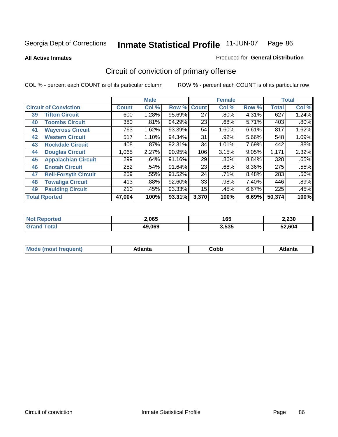**All Active Inmates**

#### Produced for **General Distribution**

# Circuit of conviction of primary offense

|    |                              |              | <b>Male</b> |        |              | <b>Female</b> |          |              | <b>Total</b> |
|----|------------------------------|--------------|-------------|--------|--------------|---------------|----------|--------------|--------------|
|    | <b>Circuit of Conviction</b> | <b>Count</b> | Col %       | Row %  | <b>Count</b> | Col %         | Row %    | <b>Total</b> | Col %        |
| 39 | <b>Tifton Circuit</b>        | 600          | 1.28%       | 95.69% | 27           | $.80\%$       | 4.31%    | 627          | 1.24%        |
| 40 | <b>Toombs Circuit</b>        | 380          | .81%        | 94.29% | 23           | .68%          | 5.71%    | 403          | $.80\%$      |
| 41 | <b>Waycross Circuit</b>      | 763          | 1.62%       | 93.39% | 54           | 1.60%         | 6.61%    | 817          | 1.62%        |
| 42 | <b>Western Circuit</b>       | 517          | 1.10%       | 94.34% | 31           | .92%          | 5.66%    | 548          | 1.09%        |
| 43 | <b>Rockdale Circuit</b>      | 408          | .87%        | 92.31% | 34           | 1.01%         | 7.69%    | 442          | .88%         |
| 44 | <b>Douglas Circuit</b>       | 1,065        | 2.27%       | 90.95% | 106          | 3.15%         | 9.05%    | 1,171        | 2.32%        |
| 45 | <b>Appalachian Circuit</b>   | 299          | .64%        | 91.16% | 29           | .86%          | 8.84%    | 328          | .65%         |
| 46 | <b>Enotah Circuit</b>        | 252          | .54%        | 91.64% | 23           | .68%          | $8.36\%$ | 275          | .55%         |
| 47 | <b>Bell-Forsyth Circuit</b>  | 259          | .55%        | 91.52% | 24           | $.71\%$       | 8.48%    | 283          | .56%         |
| 48 | <b>Towaliga Circuit</b>      | 413          | .88%        | 92.60% | 33           | .98%          | 7.40%    | 446          | .89%         |
| 49 | <b>Paulding Circuit</b>      | 210          | .45%        | 93.33% | 15           | .45%          | 6.67%    | 225          | .45%         |
|    | <b>Total Rported</b>         | 47,004       | 100%        | 93.31% | 3,370        | 100%          | 6.69%    | 50,374       | 100%         |

| II HO | 2,065  | 165   | 2,230  |
|-------|--------|-------|--------|
|       | 49,069 | 3.535 | 52.604 |

| M | $-100$<br>. . | ∩h⊦<br><b>CODD</b> | ---<br>на |
|---|---------------|--------------------|-----------|
|---|---------------|--------------------|-----------|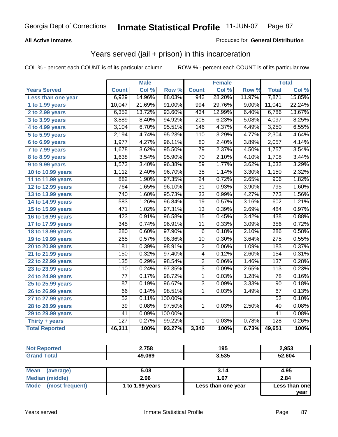### **All Active Inmates**

### Produced for **General Distribution**

## Years served (jail + prison) in this incarceration

|                       |                  | <b>Male</b> |         |                  | <b>Female</b> |        |                  | <b>Total</b> |
|-----------------------|------------------|-------------|---------|------------------|---------------|--------|------------------|--------------|
| <b>Years Served</b>   | <b>Count</b>     | Col %       | Row %   | <b>Count</b>     | Col %         | Row %  | <b>Total</b>     | Col %        |
| Less than one year    | 6,929            | 14.96%      | 88.03%  | 942              | 28.20%        | 11.97% | 7,871            | 15.85%       |
| 1 to 1.99 years       | 10,047           | 21.69%      | 91.00%  | 994              | 29.76%        | 9.00%  | 11,041           | 22.24%       |
| 2 to 2.99 years       | 6,352            | 13.72%      | 93.60%  | 434              | 12.99%        | 6.40%  | 6,786            | 13.67%       |
| $3$ to 3.99 years     | 3,889            | 8.40%       | 94.92%  | $\overline{208}$ | 6.23%         | 5.08%  | 4,097            | 8.25%        |
| 4 to 4.99 years       | 3,104            | 6.70%       | 95.51%  | 146              | 4.37%         | 4.49%  | 3,250            | 6.55%        |
| 5 to 5.99 years       | 2,194            | 4.74%       | 95.23%  | 110              | 3.29%         | 4.77%  | 2,304            | 4.64%        |
| 6 to 6.99 years       | 1,977            | 4.27%       | 96.11%  | $\overline{80}$  | 2.40%         | 3.89%  | 2,057            | 4.14%        |
| 7 to 7.99 years       | 1,678            | 3.62%       | 95.50%  | 79               | 2.37%         | 4.50%  | 1,757            | 3.54%        |
| 8 to 8.99 years       | 1,638            | 3.54%       | 95.90%  | $\overline{70}$  | 2.10%         | 4.10%  | 1,708            | 3.44%        |
| 9 to 9.99 years       | 1,573            | 3.40%       | 96.38%  | 59               | 1.77%         | 3.62%  | 1,632            | 3.29%        |
| 10 to 10.99 years     | 1,112            | 2.40%       | 96.70%  | 38               | 1.14%         | 3.30%  | 1,150            | 2.32%        |
| 11 to 11.99 years     | 882              | 1.90%       | 97.35%  | $\overline{24}$  | 0.72%         | 2.65%  | $\overline{906}$ | 1.82%        |
| 12 to 12.99 years     | 764              | 1.65%       | 96.10%  | $\overline{31}$  | 0.93%         | 3.90%  | 795              | 1.60%        |
| 13 to 13.99 years     | 740              | 1.60%       | 95.73%  | $\overline{33}$  | 0.99%         | 4.27%  | 773              | 1.56%        |
| 14 to 14.99 years     | 583              | 1.26%       | 96.84%  | $\overline{19}$  | 0.57%         | 3.16%  | 602              | 1.21%        |
| 15 to 15.99 years     | 471              | 1.02%       | 97.31%  | $\overline{13}$  | 0.39%         | 2.69%  | 484              | 0.97%        |
| 16 to 16.99 years     | 423              | 0.91%       | 96.58%  | $\overline{15}$  | 0.45%         | 3.42%  | 438              | 0.88%        |
| 17 to 17.99 years     | 345              | 0.74%       | 96.91%  | 11               | 0.33%         | 3.09%  | 356              | 0.72%        |
| 18 to 18.99 years     | 280              | 0.60%       | 97.90%  | $\overline{6}$   | 0.18%         | 2.10%  | 286              | 0.58%        |
| 19 to 19.99 years     | 265              | 0.57%       | 96.36%  | $\overline{10}$  | 0.30%         | 3.64%  | $\overline{275}$ | 0.55%        |
| 20 to 20.99 years     | 181              | 0.39%       | 98.91%  | $\overline{2}$   | 0.06%         | 1.09%  | 183              | 0.37%        |
| 21 to 21.99 years     | 150              | 0.32%       | 97.40%  | 4                | 0.12%         | 2.60%  | 154              | 0.31%        |
| 22 to 22.99 years     | 135              | 0.29%       | 98.54%  | $\overline{2}$   | 0.06%         | 1.46%  | 137              | 0.28%        |
| 23 to 23.99 years     | 110              | 0.24%       | 97.35%  | $\overline{3}$   | 0.09%         | 2.65%  | 113              | 0.23%        |
| 24 to 24.99 years     | $\overline{77}$  | 0.17%       | 98.72%  | $\mathbf 1$      | 0.03%         | 1.28%  | $\overline{78}$  | 0.16%        |
| 25 to 25.99 years     | 87               | 0.19%       | 96.67%  | $\overline{3}$   | 0.09%         | 3.33%  | 90               | 0.18%        |
| 26 to 26.99 years     | 66               | 0.14%       | 98.51%  | $\mathbf{1}$     | 0.03%         | 1.49%  | 67               | 0.13%        |
| 27 to 27.99 years     | $\overline{52}$  | 0.11%       | 100.00% |                  |               |        | $\overline{52}$  | 0.10%        |
| 28 to 28.99 years     | $\overline{39}$  | 0.08%       | 97.50%  | $\mathbf{1}$     | 0.03%         | 2.50%  | 40               | 0.08%        |
| 29 to 29.99 years     | $\overline{41}$  | 0.09%       | 100.00% |                  |               |        | $\overline{41}$  | 0.08%        |
| Thirty + years        | $\overline{127}$ | 0.27%       | 99.22%  | $\overline{1}$   | 0.03%         | 0.78%  | 128              | 0.26%        |
| <b>Total Reported</b> | 46,311           | 100%        | 93.27%  | 3,340            | 100%          | 6.73%  | 49,651           | 100%         |

| <b>Not Reported</b>            | 2.758           | 195                | 2,953         |
|--------------------------------|-----------------|--------------------|---------------|
| <b>Grand Total</b>             | 49,069          | 3,535              | 52,604        |
|                                |                 |                    |               |
| <b>Mean</b><br>(average)       | 5.08            | 3.14               | 4.95          |
| <b>Median (middle)</b>         | 2.96            | 1.67               | 2.84          |
| <b>Mode</b><br>(most frequent) | 1 to 1.99 years | Less than one year | Less than one |
|                                |                 |                    | year          |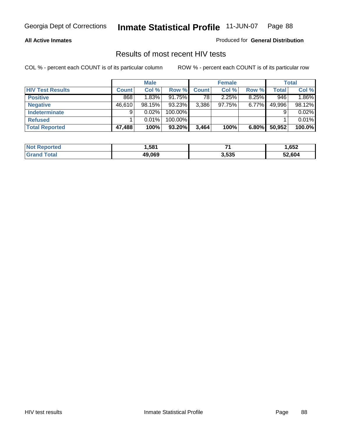#### **All Active Inmates**

Produced for **General Distribution**

### Results of most recent HIV tests

|                         |              | <b>Male</b> |         |              | <b>Female</b> |       |              | Total    |
|-------------------------|--------------|-------------|---------|--------------|---------------|-------|--------------|----------|
| <b>HIV Test Results</b> | <b>Count</b> | Col %       | Row %   | <b>Count</b> | Col %         | Row % | <b>Total</b> | Col %    |
| <b>Positive</b>         | 868          | 1.83%       | 91.75%  | 78           | 2.25%         | 8.25% | 946          | $1.86\%$ |
| <b>Negative</b>         | 46,610       | 98.15%      | 93.23%  | 3,386        | 97.75%        | 6.77% | 49,996       | 98.12%   |
| <b>Indeterminate</b>    | 9            | 0.02%       | 100.00% |              |               |       |              | 0.02%    |
| <b>Refused</b>          |              | 0.01%       | 100.00% |              |               |       |              | 0.01%    |
| <b>Total Reported</b>   | 47,488       | 100%        | 93.20%  | 3,464        | 100%          | 6.80% | 50,952       | 100.0%   |

| <b>Not</b><br><b>rted</b>    | .581   | -     | ,652   |
|------------------------------|--------|-------|--------|
| <sup>-</sup> otal<br>  Grand | 49.069 | 3,535 | 52,604 |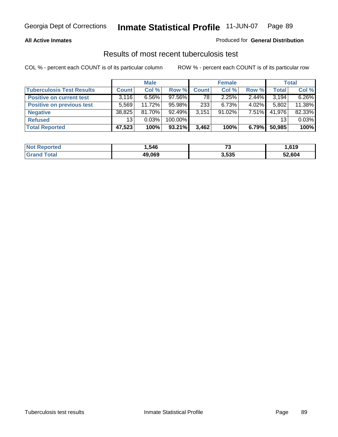### **All Active Inmates**

### Produced for **General Distribution**

### Results of most recent tuberculosis test

|                                  |              | <b>Male</b> |         |              | <b>Female</b> |          |              | Total  |
|----------------------------------|--------------|-------------|---------|--------------|---------------|----------|--------------|--------|
| <b>Tuberculosis Test Results</b> | <b>Count</b> | Col %       | Row %   | <b>Count</b> | Col %         | Row %    | <b>Total</b> | Col %  |
| <b>Positive on current test</b>  | 3,116        | $6.56\%$    | 97.56%  | 78           | 2.25%         | 2.44%    | 3,194        | 6.26%  |
| <b>Positive on previous test</b> | 5.569        | 11.72%      | 95.98%  | 233          | 6.73%         | 4.02%    | 5,802        | 11.38% |
| <b>Negative</b>                  | 38,825       | $81.70\%$   | 92.49%  | 3,151        | $91.02\%$     | $7.51\%$ | 41,976       | 82.33% |
| <b>Refused</b>                   | 13           | 0.03%       | 100.00% |              |               |          | 13           | 0.03%  |
| <b>Total Reported</b>            | 47,523       | 100%        | 93.21%  | 3,462        | 100%          | 6.79%    | 50,985       | 100%   |

| <b>Not Reported</b>   | .546   | $\sim$ | ,619   |
|-----------------------|--------|--------|--------|
| <b>Grand</b><br>Total | 49,069 | 3,535  | 52,604 |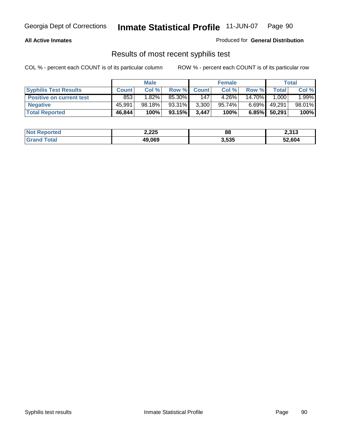### **All Active Inmates**

Produced for **General Distribution**

### Results of most recent syphilis test

|                                 | <b>Male</b>  |          |        | <b>Female</b> |        |          | Total  |        |
|---------------------------------|--------------|----------|--------|---------------|--------|----------|--------|--------|
| <b>Syphilis Test Results</b>    | <b>Count</b> | Col %    | Row %  | <b>Count</b>  | Col %  | Row %    | Total  | Col %  |
| <b>Positive on current test</b> | 853          | $1.82\%$ | 85.30% | 147           | 4.26%  | 14.70%   | 1,000  | 1.99%  |
| <b>Negative</b>                 | 45.991       | 98.18%   | 93.31% | 3,300         | 95.74% | $6.69\%$ | 49,291 | 98.01% |
| <b>Total Reported</b>           | 46,844       | 100%     | 93.15% | 3,447         | 100%   | 6.85%    | 50,291 | 100%   |

| <b>Not Reported</b> | 2,225  | 88    | 2,313  |
|---------------------|--------|-------|--------|
| <b>Grand Total</b>  | 49,069 | 3,535 | 52,604 |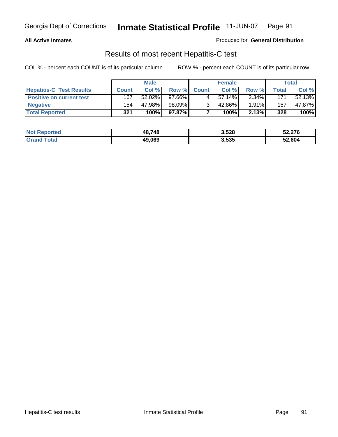### **All Active Inmates**

#### Produced for **General Distribution**

### Results of most recent Hepatitis-C test

|                                 |              | <b>Male</b> |        |              | <b>Female</b> |          |             | Total  |
|---------------------------------|--------------|-------------|--------|--------------|---------------|----------|-------------|--------|
| <b>Hepatitis-C Test Results</b> | <b>Count</b> | Col %       | Row %I | <b>Count</b> | Col %         | Row %    | $\tau$ otal | Col %  |
| <b>Positive on current test</b> | 167          | 52.02%      | 97.66% |              | $57.14\%$     | $2.34\%$ | 171         | 52.13% |
| <b>Negative</b>                 | 154          | 47.98%      | 98.09% |              | 42.86%        | 1.91%    | 157         | 47.87% |
| <b>Total Reported</b>           | 321          | 100%        | 97.87% |              | 100%          | 2.13%    | 328         | 100%   |

| <b>Not Reported</b> | 48.748 | 3,528 | 52,276 |
|---------------------|--------|-------|--------|
| <b>Grand Total</b>  | 49,069 | 3,535 | 52,604 |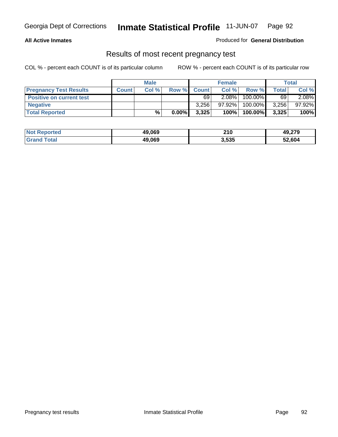#### **All Active Inmates**

### Produced for **General Distribution**

### Results of most recent pregnancy test

|                                 | <b>Male</b>  |      | <b>Female</b> |              |        | <b>Total</b> |              |        |
|---------------------------------|--------------|------|---------------|--------------|--------|--------------|--------------|--------|
| <b>Pregnancy Test Results</b>   | <b>Count</b> | Col% | Row %         | <b>Count</b> | Col %  | Row %        | <b>Total</b> | Col %  |
| <b>Positive on current test</b> |              |      |               | 69           | 2.08%  | 100.00%      | 69           | 2.08%  |
| <b>Negative</b>                 |              |      |               | 3.256        | 97.92% | 100.00%      | 3,256        | 97.92% |
| <b>Total Reported</b>           |              | %    | $0.00\%$      | 3,325        | 100%   | 100.00%      | 3,325        | 100%   |

| <b>Not Reported</b> | 49,069 | 210   | 49,279 |
|---------------------|--------|-------|--------|
| <b>Grand Total</b>  | 49,069 | 3,535 | 52,604 |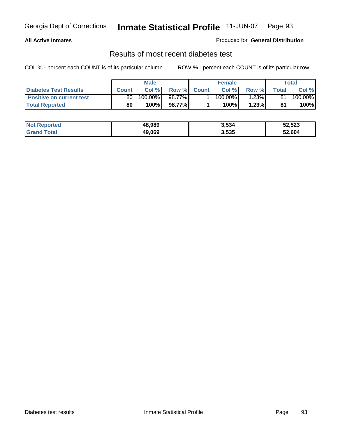### **All Active Inmates**

### Produced for **General Distribution**

### Results of most recent diabetes test

|                                 | <b>Male</b>  |         |         | <b>Female</b> |                       |          | Total |         |
|---------------------------------|--------------|---------|---------|---------------|-----------------------|----------|-------|---------|
| <b>Diabetes Test Results</b>    | <b>Count</b> | Col %   | Row %   | <b>Count</b>  | Col %                 | Row %I   | Total | Col %   |
| <b>Positive on current test</b> | 80 l         | 100.00% | 98.77%I |               | $100.\overline{00\%}$ | $1.23\%$ | 81    | 100.00% |
| <b>Total Reported</b>           | 80           | 100%    | 98.77%  |               | 100%                  | 1.23%    | 81    | 100%    |

| <b>Not Reported</b>     | 48.989 | 3,534 | 52,523 |
|-------------------------|--------|-------|--------|
| <b>Total</b><br>l Grand | 49,069 | 3,535 | 52,604 |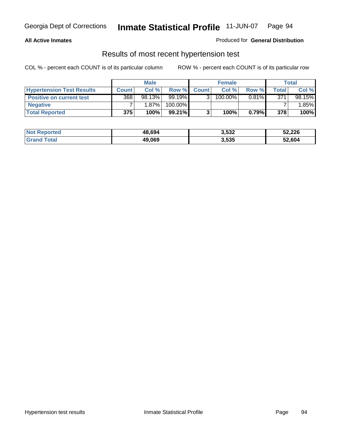### **All Active Inmates**

#### Produced for **General Distribution**

### Results of most recent hypertension test

|                                  |              | <b>Male</b> |         |              | <b>Female</b> |          |       | Total    |
|----------------------------------|--------------|-------------|---------|--------------|---------------|----------|-------|----------|
| <b>Hypertension Test Results</b> | <b>Count</b> | Col %       | Row %   | <b>Count</b> | Col%          | Row %    | Total | Col %    |
| <b>Positive on current test</b>  | 368          | 98.13%      | 99.19%  |              | $100.00\%$    | $0.81\%$ | 371   | 98.15%   |
| <b>Negative</b>                  |              | 1.87%       | 100.00% |              |               |          |       | $1.85\%$ |
| <b>Total Reported</b>            | 375          | 100%        | 99.21%  |              | 100%          | 0.79%    | 378   | 100%     |

| <b>Not Reported</b> | 48,694 | 3,532 | 52,226 |
|---------------------|--------|-------|--------|
| <b>Grand Total</b>  | 49,069 | 3,535 | 52,604 |